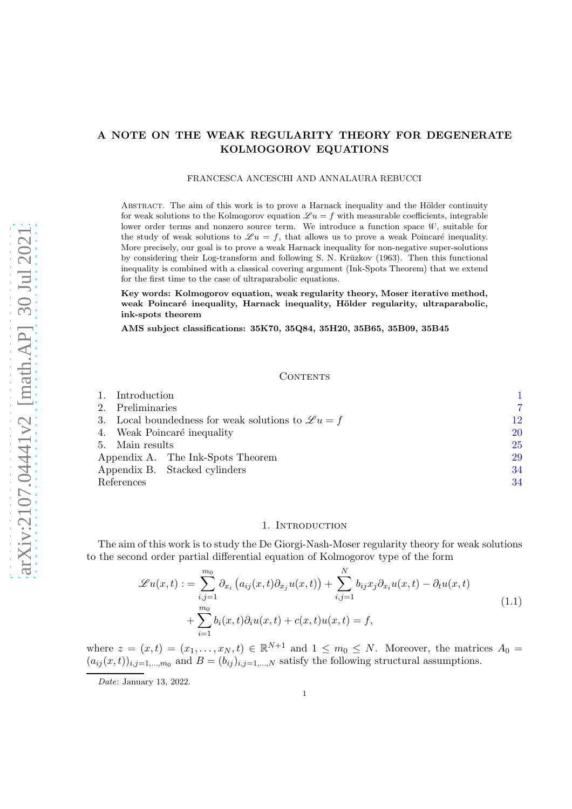# A NOTE ON THE WEAK REGULARITY THEORY FOR DEGENERATE KOLMOGOROV EQUATIONS

#### FRANCESCA ANCESCHI AND ANNALAURA REBUCCI

ABSTRACT. The aim of this work is to prove a Harnack inequality and the Hölder continuity for weak solutions to the Kolmogorov equation  $\mathscr{L} u = f$  with measurable coefficients, integrable lower order terms and nonzero source term. We introduce a function space  $W$ , suitable for the study of weak solutions to  $\mathscr{L} u = f$ , that allows us to prove a weak Poincaré inequality. More precisely, our goal is to prove a weak Harnack inequality for non-negative super-solutions by considering their Log-transform and following S. N. Krŭzkov (1963). Then this functional inequality is combined with a classical covering argument (Ink-Spots Theorem) that we extend for the first time to the case of ultraparabolic equations.

Key words: Kolmogorov equation, weak regularity theory, Moser iterative method, weak Poincaré inequality, Harnack inequality, Hölder regularity, ultraparabolic, ink-spots theorem

AMS subject classifications: 35K70, 35Q84, 35H20, 35B65, 35B09, 35B45

#### CONTENTS

|                                   | Introduction                                                |                               |           |
|-----------------------------------|-------------------------------------------------------------|-------------------------------|-----------|
| 2.                                | Preliminaries                                               |                               |           |
| 3.                                | Local boundedness for weak solutions to $\mathscr{L} u = f$ |                               | 12        |
|                                   | 4. Weak Poincaré inequality                                 |                               | 20        |
|                                   | 5. Main results                                             |                               | <b>25</b> |
| Appendix A. The Ink-Spots Theorem |                                                             | 29                            |           |
|                                   |                                                             | Appendix B. Stacked cylinders | 34        |
| References                        |                                                             |                               | 34        |

#### 1. INTRODUCTION

<span id="page-0-0"></span>The aim of this work is to study the De Giorgi-Nash-Moser regularity theory for weak solutions to the second order partial differential equation of Kolmogorov type of the form

$$
\mathcal{L}u(x,t) := \sum_{i,j=1}^{m_0} \partial_{x_i} (a_{ij}(x,t)\partial_{x_j} u(x,t)) + \sum_{i,j=1}^{N} b_{ij} x_j \partial_{x_i} u(x,t) - \partial_t u(x,t) + \sum_{i=1}^{m_0} b_i(x,t)\partial_i u(x,t) + c(x,t)u(x,t) = f,
$$
\n(1.1)

<span id="page-0-1"></span>where  $z = (x, t) = (x_1, \ldots, x_N, t) \in \mathbb{R}^{N+1}$  and  $1 \leq m_0 \leq N$ . Moreover, the matrices  $A_0 =$  $(a_{ij}(x,t))_{i,j=1,\dots,m_0}$  and  $B=(b_{ij})_{i,j=1,\dots,N}$  satisfy the following structural assumptions.

Date: January 13, 2022.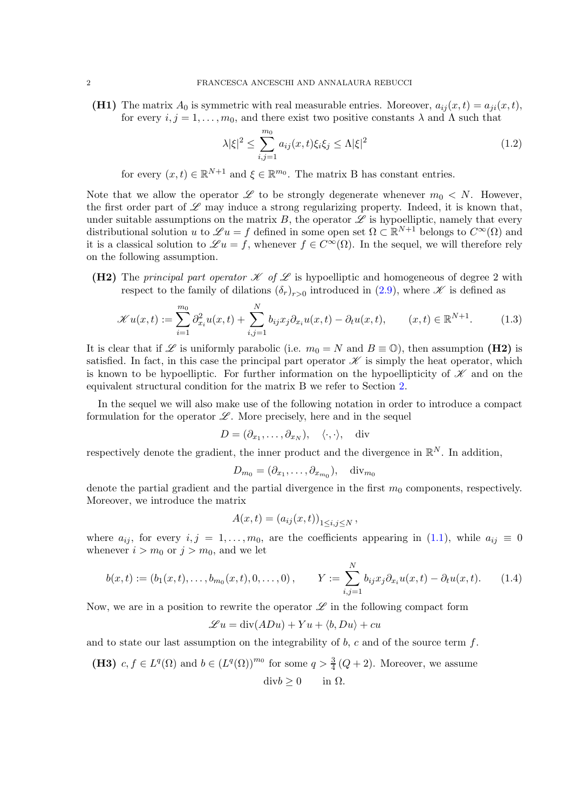(H1) The matrix  $A_0$  is symmetric with real measurable entries. Moreover,  $a_{ij}(x,t) = a_{ji}(x,t)$ , for every  $i, j = 1, \ldots, m_0$ , and there exist two positive constants  $\lambda$  and  $\Lambda$  such that

<span id="page-1-0"></span>
$$
\lambda |\xi|^2 \le \sum_{i,j=1}^{m_0} a_{ij}(x,t)\xi_i \xi_j \le \Lambda |\xi|^2 \tag{1.2}
$$

for every  $(x,t) \in \mathbb{R}^{N+1}$  and  $\xi \in \mathbb{R}^{m_0}$ . The matrix B has constant entries.

Note that we allow the operator  $\mathscr L$  to be strongly degenerate whenever  $m_0 < N$ . However, the first order part of  $\mathscr L$  may induce a strong regularizing property. Indeed, it is known that, under suitable assumptions on the matrix  $B$ , the operator  $\mathscr L$  is hypoelliptic, namely that every distributional solution u to  $\mathscr{L}u = f$  defined in some open set  $\Omega \subset \mathbb{R}^{N+1}$  belongs to  $C^{\infty}(\Omega)$  and it is a classical solution to  $\mathscr{L} u = f$ , whenever  $f \in C^{\infty}(\Omega)$ . In the sequel, we will therefore rely on the following assumption.

(H2) The principal part operator  $\mathscr K$  of  $\mathscr L$  is hypoelliptic and homogeneous of degree 2 with respect to the family of dilations  $(\delta_r)_{r>0}$  introduced in [\(2.9\)](#page-7-0), where  $\mathscr K$  is defined as

<span id="page-1-1"></span>
$$
\mathcal{K}u(x,t) := \sum_{i=1}^{m_0} \partial_{x_i}^2 u(x,t) + \sum_{i,j=1}^N b_{ij} x_j \partial_{x_i} u(x,t) - \partial_t u(x,t), \qquad (x,t) \in \mathbb{R}^{N+1}.
$$
 (1.3)

It is clear that if L is uniformly parabolic (i.e.  $m_0 = N$  and  $B \equiv \mathbb{O}$ ), then assumption (H2) is satisfied. In fact, in this case the principal part operator  $\mathscr K$  is simply the heat operator, which is known to be hypoelliptic. For further information on the hypoellipticity of  $\mathscr K$  and on the equivalent structural condition for the matrix B we refer to Section [2.](#page-6-0)

In the sequel we will also make use of the following notation in order to introduce a compact formulation for the operator  $\mathscr L$ . More precisely, here and in the sequel

$$
D = (\partial_{x_1}, \dots, \partial_{x_N}), \quad \langle \cdot, \cdot \rangle, \quad \text{div}
$$

respectively denote the gradient, the inner product and the divergence in  $\mathbb{R}^N$ . In addition,

$$
D_{m_0} = (\partial_{x_1}, \dots, \partial_{x_{m_0}}), \quad \text{div}_{m_0}
$$

denote the partial gradient and the partial divergence in the first  $m_0$  components, respectively. Moreover, we introduce the matrix

$$
A(x,t) = (a_{ij}(x,t))_{1 \le i,j \le N},
$$

where  $a_{ij}$ , for every  $i, j = 1, \ldots, m_0$ , are the coefficients appearing in [\(1.1\)](#page-0-1), while  $a_{ij} \equiv 0$ whenever  $i > m_0$  or  $j > m_0$ , and we let

$$
b(x,t) := (b_1(x,t),\ldots,b_{m_0}(x,t),0,\ldots,0), \qquad Y := \sum_{i,j=1}^N b_{ij} x_j \partial_{x_i} u(x,t) - \partial_t u(x,t). \tag{1.4}
$$

Now, we are in a position to rewrite the operator  $\mathscr L$  in the following compact form

$$
\mathcal{L}u = \text{div}(ADu) + Yu + \langle b, Du \rangle + cu
$$

and to state our last assumption on the integrability of  $b$ ,  $c$  and of the source term  $f$ .

(H3) 
$$
c, f \in L^q(\Omega)
$$
 and  $b \in (L^q(\Omega))^{m_0}$  for some  $q > \frac{3}{4}(Q+2)$ . Moreover, we assume  
  $divb \ge 0$  in  $\Omega$ .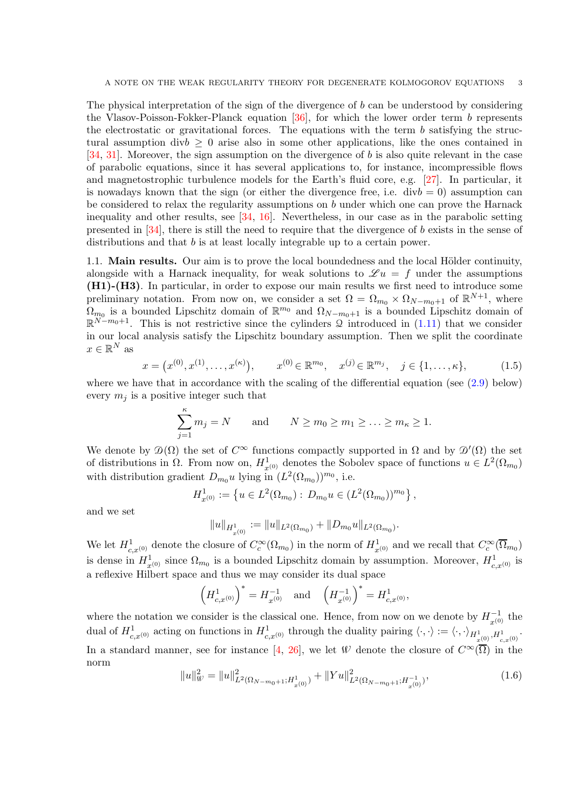The physical interpretation of the sign of the divergence of b can be understood by considering the Vlasov-Poisson-Fokker-Planck equation  $[36]$ , for which the lower order term b represents the electrostatic or gravitational forces. The equations with the term  $b$  satisfying the structural assumption  $divb > 0$  arise also in some other applications, like the ones contained in [\[34,](#page-34-1) [31\]](#page-34-2). Moreover, the sign assumption on the divergence of b is also quite relevant in the case of parabolic equations, since it has several applications to, for instance, incompressible flows and magnetostrophic turbulence models for the Earth's fluid core, e.g. [\[27\]](#page-34-3). In particular, it is nowadays known that the sign (or either the divergence free, i.e.  $divb = 0$ ) assumption can be considered to relax the regularity assumptions on b under which one can prove the Harnack inequality and other results, see [\[34,](#page-34-1) [16\]](#page-34-4). Nevertheless, in our case as in the parabolic setting presented in [\[34\]](#page-34-1), there is still the need to require that the divergence of b exists in the sense of distributions and that b is at least locally integrable up to a certain power.

1.1. **Main results.** Our aim is to prove the local boundedness and the local Hölder continuity. alongside with a Harnack inequality, for weak solutions to  $\mathscr{L} u = f$  under the assumptions (H1)-(H3). In particular, in order to expose our main results we first need to introduce some preliminary notation. From now on, we consider a set  $\Omega = \Omega_{m_0} \times \Omega_{N-m_0+1}$  of  $\mathbb{R}^{N+1}$ , where  $\Omega_{m_0}$  is a bounded Lipschitz domain of  $\mathbb{R}^{m_0}$  and  $\Omega_{N-m_0+1}$  is a bounded Lipschitz domain of  $\mathbb{R}^{N-m_0+1}$ . This is not restrictive since the cylinders Q introduced in [\(1.11\)](#page-4-0) that we consider in our local analysis satisfy the Lipschitz boundary assumption. Then we split the coordinate  $x \in \mathbb{R}^N$  as

<span id="page-2-1"></span>
$$
x = (x^{(0)}, x^{(1)}, \dots, x^{(\kappa)}), \qquad x^{(0)} \in \mathbb{R}^{m_0}, \quad x^{(j)} \in \mathbb{R}^{m_j}, \quad j \in \{1, \dots, \kappa\},
$$
 (1.5)

where we have that in accordance with the scaling of the differential equation (see  $(2.9)$ ) below) every  $m_i$  is a positive integer such that

$$
\sum_{j=1}^{\kappa} m_j = N \quad \text{and} \quad N \ge m_0 \ge m_1 \ge \ldots \ge m_{\kappa} \ge 1.
$$

We denote by  $\mathcal{D}(\Omega)$  the set of  $C^{\infty}$  functions compactly supported in  $\Omega$  and by  $\mathcal{D}'(\Omega)$  the set of distributions in  $\Omega$ . From now on,  $H^1_{x^{(0)}}$  denotes the Sobolev space of functions  $u \in L^2(\Omega_{m_0})$ with distribution gradient  $D_{m_0}u$  lying in  $(L^2(\Omega_{m_0}))^{m_0}$ , i.e.

$$
H_{x^{(0)}}^1 := \left\{ u \in L^2(\Omega_{m_0}) : D_{m_0} u \in (L^2(\Omega_{m_0}))^{m_0} \right\},\,
$$

and we set

$$
||u||_{H^1_{x^{(0)}}} := ||u||_{L^2(\Omega_{m_0})} + ||D_{m_0}u||_{L^2(\Omega_{m_0})}
$$

We let  $H^1_{c,x^{(0)}}$  denote the closure of  $C_c^{\infty}(\Omega_{m_0})$  in the norm of  $H^1_{x^{(0)}}$  and we recall that  $C_c^{\infty}(\overline{\Omega}_{m_0})$ is dense in  $H_{x^{(0)}}^1$  since  $\Omega_{m_0}$  is a bounded Lipschitz domain by assumption. Moreover,  $H_{c,x^{(0)}}^1$  is a reflexive Hilbert space and thus we may consider its dual space

$$
\left(H^1_{c,x^{(0)}}\right)^*=H^{-1}_{x^{(0)}}\quad\text{and}\quad \left(H^{-1}_{x^{(0)}}\right)^*=H^1_{c,x^{(0)}},
$$

where the notation we consider is the classical one. Hence, from now on we denote by  $H_{\tau^{(0)}}^{-1}$  the dual of  $H^1_{c,x^{(0)}}$  acting on functions in  $H^1_{c,x^{(0)}}$  through the duality pairing  $\langle \cdot, \cdot \rangle := \langle \cdot, \cdot \rangle_{H^1_{x^{(0)}}, H^1_{c,x^{(0)}}}$ . In a standard manner, see for instance [\[4,](#page-33-2) [26\]](#page-34-5), we let W denote the closure of  $C^{\infty}(\overline{\Omega})$  in the norm

<span id="page-2-0"></span>
$$
||u||_{\mathcal{W}}^2 = ||u||_{L^2(\Omega_{N-m_0+1};H_{x^{(0)}}^1)}^2 + ||Yu||_{L^2(\Omega_{N-m_0+1};H_{x^{(0)}}^{-1})}^2,
$$
\n(1.6)

.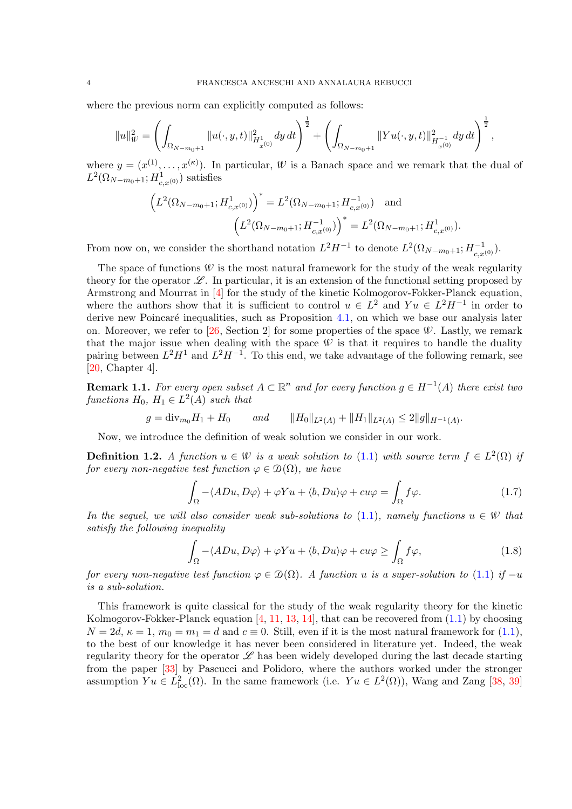where the previous norm can explicitly computed as follows:

$$
||u||_W^2 = \left(\int_{\Omega_{N-m_0+1}} ||u(\cdot,y,t)||^2_{H^1_{x^{(0)}}}dy\,dt\right)^{\frac{1}{2}} + \left(\int_{\Omega_{N-m_0+1}} ||Yu(\cdot,y,t)||^2_{H^{-1}_{x^{(0)}}}dy\,dt\right)^{\frac{1}{2}},
$$

where  $y = (x^{(1)}, \ldots, x^{(\kappa)})$ . In particular,  $\mathcal W$  is a Banach space and we remark that the dual of  $L^2(\Omega_{N-m_0+1}; H^1_{c,x^{(0)}})$  satisfies

$$
\left(L^2(\Omega_{N-m_0+1};H^1_{c,x^{(0)}})\right)^* = L^2(\Omega_{N-m_0+1};H^{-1}_{c,x^{(0)}}) \text{ and }
$$

$$
\left(L^2(\Omega_{N-m_0+1};H^{-1}_{c,x^{(0)}})\right)^* = L^2(\Omega_{N-m_0+1};H^1_{c,x^{(0)}}).
$$

From now on, we consider the shorthand notation  $L^2H^{-1}$  to denote  $L^2(\Omega_{N-m_0+1}; H^{-1}_{c,x^{(0)}})$ .

The space of functions  $W$  is the most natural framework for the study of the weak regularity theory for the operator  $\mathscr{L}$ . In particular, it is an extension of the functional setting proposed by Armstrong and Mourrat in [\[4\]](#page-33-2) for the study of the kinetic Kolmogorov-Fokker-Planck equation, where the authors show that it is sufficient to control  $u \in L^2$  and  $Yu \in L^2H^{-1}$  in order to derive new Poincaré inequalities, such as Proposition  $4.1$ , on which we base our analysis later on. Moreover, we refer to  $[26, Section 2]$  for some properties of the space  $W$ . Lastly, we remark that the major issue when dealing with the space  $W$  is that it requires to handle the duality pairing between  $L^2H^1$  and  $L^2H^{-1}$ . To this end, we take advantage of the following remark, see [\[20,](#page-34-6) Chapter 4].

<span id="page-3-2"></span>**Remark 1.1.** For every open subset  $A \subset \mathbb{R}^n$  and for every function  $g \in H^{-1}(A)$  there exist two functions  $H_0$ ,  $H_1 \in L^2(A)$  such that

 $g = \text{div}_{m_0} H_1 + H_0$  and  $||H_0||_{L^2(A)} + ||H_1||_{L^2(A)} \leq 2||g||_{H^{-1}(A)}.$ 

Now, we introduce the definition of weak solution we consider in our work.

<span id="page-3-0"></span>**Definition 1.2.** A function  $u \in W$  is a weak solution to [\(1.1\)](#page-0-1) with source term  $f \in L^2(\Omega)$  if for every non-negative test function  $\varphi \in \mathcal{D}(\Omega)$ , we have

<span id="page-3-1"></span>
$$
\int_{\Omega} -\langle ADu, D\varphi \rangle + \varphi Yu + \langle b, Du \rangle \varphi + cu\varphi = \int_{\Omega} f\varphi.
$$
\n(1.7)

In the sequel, we will also consider weak sub-solutions to [\(1.1\)](#page-0-1), namely functions  $u \in W$  that satisfy the following inequality

$$
\int_{\Omega} -\langle ADu, D\varphi \rangle + \varphi Yu + \langle b, Du \rangle \varphi + cu\varphi \ge \int_{\Omega} f\varphi, \tag{1.8}
$$

for every non-negative test function  $\varphi \in \mathcal{D}(\Omega)$ . A function u is a super-solution to [\(1.1\)](#page-0-1) if  $-u$ is a sub-solution.

This framework is quite classical for the study of the weak regularity theory for the kinetic Kolmogorov-Fokker-Planck equation  $[4, 11, 13, 14]$  $[4, 11, 13, 14]$  $[4, 11, 13, 14]$  $[4, 11, 13, 14]$  $[4, 11, 13, 14]$  $[4, 11, 13, 14]$ , that can be recovered from  $(1.1)$  by choosing  $N = 2d$ ,  $\kappa = 1$ ,  $m_0 = m_1 = d$  and  $c \equiv 0$ . Still, even if it is the most natural framework for [\(1.1\)](#page-0-1), to the best of our knowledge it has never been considered in literature yet. Indeed, the weak regularity theory for the operator  $\mathscr L$  has been widely developed during the last decade starting from the paper [\[33\]](#page-34-10) by Pascucci and Polidoro, where the authors worked under the stronger assumption  $Yu \in L^2_{loc}(\Omega)$ . In the same framework (i.e.  $Yu \in L^2(\Omega)$ ), Wang and Zang [\[38,](#page-35-0) [39\]](#page-35-1)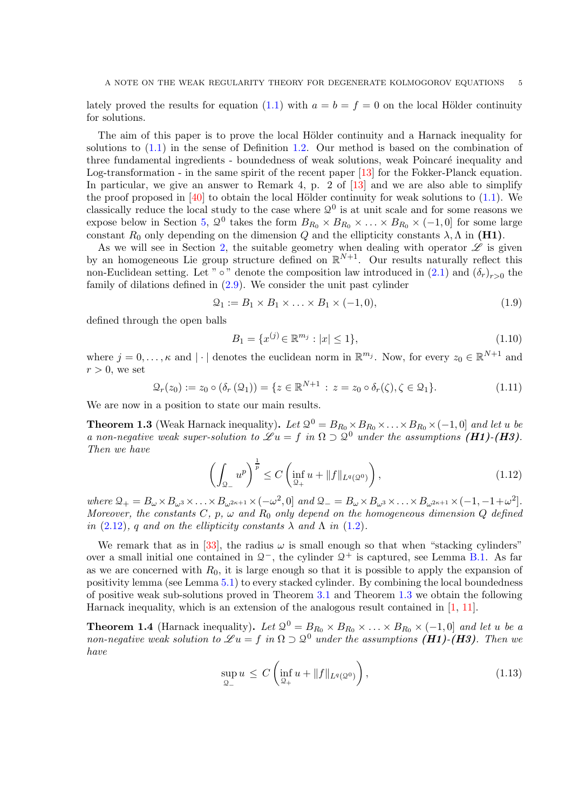lately proved the results for equation [\(1.1\)](#page-0-1) with  $a = b = f = 0$  on the local Hölder continuity for solutions.

The aim of this paper is to prove the local Hölder continuity and a Harnack inequality for solutions to [\(1.1\)](#page-0-1) in the sense of Definition [1.2.](#page-3-0) Our method is based on the combination of three fundamental ingredients - boundedness of weak solutions, weak Poincaré inequality and Log-transformation - in the same spirit of the recent paper [\[13\]](#page-34-8) for the Fokker-Planck equation. In particular, we give an answer to Remark 4, p. 2 of [\[13\]](#page-34-8) and we are also able to simplify the proof proposed in  $[40]$  to obtain the local Hölder continuity for weak solutions to  $(1.1)$ . We classically reduce the local study to the case where  $\mathcal{Q}^0$  is at unit scale and for some reasons we expose below in Section [5,](#page-24-0)  $\mathcal{Q}^0$  takes the form  $B_{R_0} \times B_{R_0} \times \ldots \times B_{R_0} \times (-1,0]$  for some large constant  $R_0$  only depending on the dimension Q and the ellipticity constants  $\lambda$ ,  $\Lambda$  in (H1).

As we will see in Section [2,](#page-6-0) the suitable geometry when dealing with operator  $\mathscr L$  is given by an homogeneous Lie group structure defined on  $\mathbb{R}^{N+1}$ . Our results naturally reflect this non-Euclidean setting. Let " ∘" denote the composition law introduced in  $(2.1)$  and  $(\delta_r)_{r>0}$  the family of dilations defined in [\(2.9\)](#page-7-0). We consider the unit past cylinder

<span id="page-4-4"></span>
$$
\mathcal{Q}_1 := B_1 \times B_1 \times \ldots \times B_1 \times (-1, 0), \tag{1.9}
$$

defined through the open balls

<span id="page-4-3"></span>
$$
B_1 = \{x^{(j)} \in \mathbb{R}^{m_j} : |x| \le 1\},\tag{1.10}
$$

where  $j = 0, \ldots, \kappa$  and  $|\cdot|$  denotes the euclidean norm in  $\mathbb{R}^{m_j}$ . Now, for every  $z_0 \in \mathbb{R}^{N+1}$  and  $r > 0$ , we set

<span id="page-4-0"></span>
$$
\mathcal{Q}_r(z_0) := z_0 \circ (\delta_r(\mathcal{Q}_1)) = \{ z \in \mathbb{R}^{N+1} : z = z_0 \circ \delta_r(\zeta), \zeta \in \mathcal{Q}_1 \}. \tag{1.11}
$$

We are now in a position to state our main results.

<span id="page-4-1"></span>**Theorem 1.3** (Weak Harnack inequality). Let  $\mathcal{Q}^0 = B_{R_0} \times B_{R_0} \times \ldots \times B_{R_0} \times (-1,0]$  and let u be a non-negative weak super-solution to  $\mathscr{L} u = f$  in  $\Omega \supset \mathfrak{Q}^0$  under the assumptions (H1)-(H3). Then we have

$$
\left(\int_{\mathcal{Q}_{-}} u^{p}\right)^{\frac{1}{p}} \leq C \left(\inf_{\mathcal{Q}_{+}} u + \|f\|_{L^{q}(\mathcal{Q}^{0})}\right),\tag{1.12}
$$

where  $\mathcal{Q}_+ = B_\omega \times B_{\omega^3} \times \ldots \times B_{\omega^{2\kappa+1}} \times (-\omega^2, 0]$  and  $\mathcal{Q}_- = B_\omega \times B_{\omega^3} \times \ldots \times B_{\omega^{2\kappa+1}} \times (-1, -1+\omega^2]$ . Moreover, the constants C, p,  $\omega$  and R<sub>0</sub> only depend on the homogeneous dimension Q defined in  $(2.12)$ , q and on the ellipticity constants  $\lambda$  and  $\Lambda$  in  $(1.2)$ .

We remark that as in [\[33\]](#page-34-10), the radius  $\omega$  is small enough so that when "stacking cylinders" over a small initial one contained in  $\mathcal{Q}^-$ , the cylinder  $\mathcal{Q}^+$  is captured, see Lemma [B.1.](#page-33-3) As far as we are concerned with  $R_0$ , it is large enough so that it is possible to apply the expansion of positivity lemma (see Lemma [5.1\)](#page-25-0) to every stacked cylinder. By combining the local boundedness of positive weak sub-solutions proved in Theorem [3.1](#page-11-1) and Theorem [1.3](#page-4-1) we obtain the following Harnack inequality, which is an extension of the analogous result contained in [\[1,](#page-33-4) [11\]](#page-34-7).

<span id="page-4-2"></span>**Theorem 1.4** (Harnack inequality). Let  $\mathcal{Q}^0 = B_{R_0} \times B_{R_0} \times \ldots \times B_{R_0} \times (-1,0]$  and let u be a non-negative weak solution to  $\mathscr{L} u = f$  in  $\Omega \supset \mathbb{Q}^0$  under the assumptions  $(H1)$ - $(H3)$ . Then we have

$$
\sup_{\mathcal{Q}_-} u \le C \left( \inf_{\mathcal{Q}_+} u + \|f\|_{L^q(\mathcal{Q}^0)} \right),\tag{1.13}
$$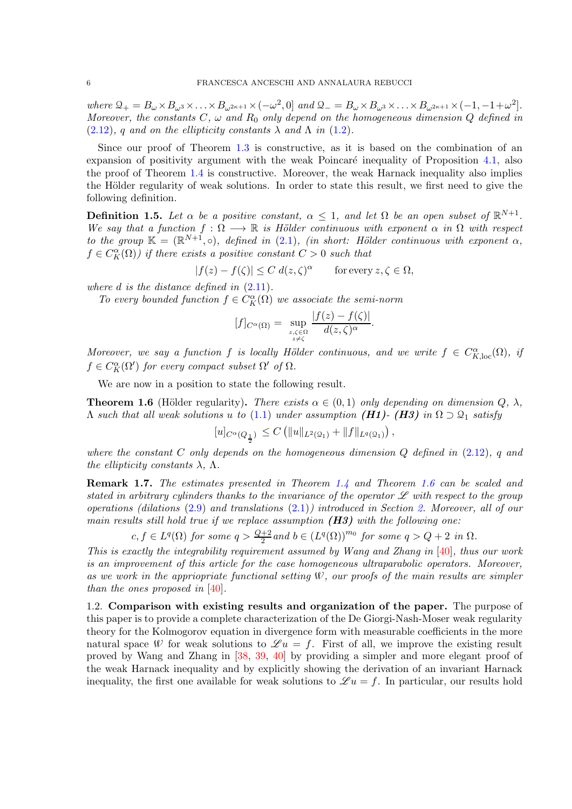where  $\mathcal{Q}_+ = B_\omega \times B_{\omega^3} \times \ldots \times B_{\omega^{2\kappa+1}} \times (-\omega^2, 0]$  and  $\mathcal{Q}_- = B_\omega \times B_{\omega^3} \times \ldots \times B_{\omega^{2\kappa+1}} \times (-1, -1+\omega^2]$ . Moreover, the constants  $C, \omega$  and  $R_0$  only depend on the homogeneous dimension Q defined in  $(2.12)$ , q and on the ellipticity constants  $\lambda$  and  $\Lambda$  in  $(1.2)$ .

Since our proof of Theorem [1.3](#page-4-1) is constructive, as it is based on the combination of an expansion of positivity argument with the weak Poincaré inequality of Proposition  $4.1$ , also the proof of Theorem [1.4](#page-4-2) is constructive. Moreover, the weak Harnack inequality also implies the Hölder regularity of weak solutions. In order to state this result, we first need to give the following definition.

**Definition 1.5.** Let  $\alpha$  be a positive constant,  $\alpha \leq 1$ , and let  $\Omega$  be an open subset of  $\mathbb{R}^{N+1}$ . We say that a function  $f : \Omega \longrightarrow \mathbb{R}$  is Hölder continuous with exponent  $\alpha$  in  $\Omega$  with respect to the group  $\mathbb{K} = (\mathbb{R}^{N+1}, \circ),$  defined in [\(2.1\)](#page-6-1), (in short: Hölder continuous with exponent  $\alpha$ ,  $f \in C_K^{\alpha}(\Omega)$  if there exists a positive constant  $C > 0$  such that

 $|f(z) - f(\zeta)| \le C d(z, \zeta)^{\alpha}$  for every  $z, \zeta \in \Omega$ ,

where  $d$  is the distance defined in  $(2.11)$ .

To every bounded function  $f \in C_K^{\alpha}(\Omega)$  we associate the semi-norm

$$
[f]_{C^{\alpha}(\Omega)} = \sup_{\substack{z,\zeta \in \Omega \\ z \neq \zeta}} \frac{|f(z) - f(\zeta)|}{d(z,\zeta)^{\alpha}}
$$

.

Moreover, we say a function f is locally Hölder continuous, and we write  $f \in C_{K,\text{loc}}^{\alpha}(\Omega)$ , if  $f \in C_K^{\alpha}(\Omega')$  for every compact subset  $\Omega'$  of  $\Omega$ .

We are now in a position to state the following result.

<span id="page-5-0"></span>**Theorem 1.6** (Hölder regularity). There exists  $\alpha \in (0,1)$  only depending on dimension  $Q$ ,  $\lambda$ ,  $Λ$  such that all weak solutions u to [\(1.1\)](#page-0-1) under assumption (H1)- (H3) in  $Ω ⊃ Q₁$  satisfy

$$
[u]_{C^{\alpha}(Q_{\frac{1}{2}})}\,\leq C\left(\|u\|_{L^2(\Omega_1)}+\|f\|_{L^q(\Omega_1)}\right),
$$

where the constant  $C$  only depends on the homogeneous dimension  $Q$  defined in  $(2.12)$ , q and the ellipticity constants  $\lambda$ ,  $\Lambda$ .

<span id="page-5-1"></span>Remark 1.7. The estimates presented in Theorem [1.4](#page-4-2) and Theorem [1.6](#page-5-0) can be scaled and stated in arbitrary cylinders thanks to the invariance of the operator  $\mathscr L$  with respect to the group operations (dilations [\(2.9\)](#page-7-0) and translations [\(2.1\)](#page-6-1)) introduced in Section [2.](#page-6-0) Moreover, all of our main results still hold true if we replace assumption  $(H3)$  with the following one:

 $c, f \in L^q(\Omega)$  for some  $q > \frac{Q+2}{2}$  and  $b \in (L^q(\Omega))^{m_0}$  for some  $q > Q+2$  in  $\Omega$ .

This is exactly the integrability requirement assumed by Wang and Zhang in  $[40]$ , thus our work is an improvement of this article for the case homogeneous ultraparabolic operators. Moreover, as we work in the appriopriate functional setting  $W$ , our proofs of the main results are simpler than the ones proposed in [\[40\]](#page-35-2).

1.2. Comparison with existing results and organization of the paper. The purpose of this paper is to provide a complete characterization of the De Giorgi-Nash-Moser weak regularity theory for the Kolmogorov equation in divergence form with measurable coefficients in the more natural space W for weak solutions to  $\mathscr{L} u = f$ . First of all, we improve the existing result proved by Wang and Zhang in [\[38,](#page-35-0) [39,](#page-35-1) [40\]](#page-35-2) by providing a simpler and more elegant proof of the weak Harnack inequality and by explicitly showing the derivation of an invariant Harnack inequality, the first one available for weak solutions to  $\mathscr{L} u = f$ . In particular, our results hold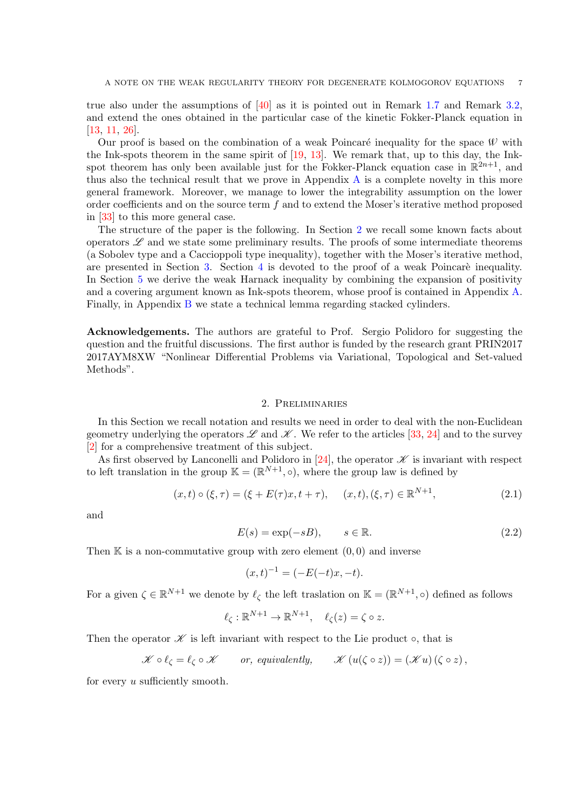true also under the assumptions of [\[40\]](#page-35-2) as it is pointed out in Remark [1.7](#page-5-1) and Remark [3.2,](#page-12-0) and extend the ones obtained in the particular case of the kinetic Fokker-Planck equation in [\[13,](#page-34-8) [11,](#page-34-7) [26\]](#page-34-5).

Our proof is based on the combination of a weak Poincaré inequality for the space  $W$  with the Ink-spots theorem in the same spirit of [\[19,](#page-34-11) [13\]](#page-34-8). We remark that, up to this day, the Inkspot theorem has only been available just for the Fokker-Planck equation case in  $\mathbb{R}^{2n+1}$ , and thus also the technical result that we prove in Appendix [A](#page-28-0) is a complete novelty in this more general framework. Moreover, we manage to lower the integrability assumption on the lower order coefficients and on the source term  $f$  and to extend the Moser's iterative method proposed in [\[33\]](#page-34-10) to this more general case.

The structure of the paper is the following. In Section [2](#page-6-0) we recall some known facts about operators  $\mathscr L$  and we state some preliminary results. The proofs of some intermediate theorems (a Sobolev type and a Caccioppoli type inequality), together with the Moser's iterative method, are presented in Section [3.](#page-11-0) Section [4](#page-19-0) is devoted to the proof of a weak Poincaré inequality. In Section [5](#page-24-0) we derive the weak Harnack inequality by combining the expansion of positivity and a covering argument known as Ink-spots theorem, whose proof is contained in Appendix [A.](#page-28-0) Finally, in Appendix [B](#page-33-0) we state a technical lemma regarding stacked cylinders.

Acknowledgements. The authors are grateful to Prof. Sergio Polidoro for suggesting the question and the fruitful discussions. The first author is funded by the research grant PRIN2017 2017AYM8XW "Nonlinear Differential Problems via Variational, Topological and Set-valued Methods".

## 2. Preliminaries

<span id="page-6-0"></span>In this Section we recall notation and results we need in order to deal with the non-Euclidean geometry underlying the operators  $\mathscr L$  and  $\mathscr K$ . We refer to the articles [\[33,](#page-34-10) [24\]](#page-34-12) and to the survey [\[2\]](#page-33-5) for a comprehensive treatment of this subject.

As first observed by Lanconelli and Polidoro in [\[24\]](#page-34-12), the operator  $\mathscr K$  is invariant with respect to left translation in the group  $\mathbb{K} = (\mathbb{R}^{N+1}, \circ)$ , where the group law is defined by

<span id="page-6-1"></span>
$$
(x,t) \circ (\xi, \tau) = (\xi + E(\tau)x, t + \tau), \quad (x,t), (\xi, \tau) \in \mathbb{R}^{N+1}, \tag{2.1}
$$

and

<span id="page-6-2"></span>
$$
E(s) = \exp(-sB), \qquad s \in \mathbb{R}.\tag{2.2}
$$

N+1

Then  $\mathbb K$  is a non-commutative group with zero element  $(0,0)$  and inverse

$$
(x,t)^{-1} = (-E(-t)x, -t).
$$

For a given  $\zeta \in \mathbb{R}^{N+1}$  we denote by  $\ell_{\zeta}$  the left traslation on  $\mathbb{K} = (\mathbb{R}^{N+1}, \circ)$  defined as follows

$$
\ell_{\zeta} : \mathbb{R}^{N+1} \to \mathbb{R}^{N+1}, \quad \ell_{\zeta}(z) = \zeta \circ z.
$$

Then the operator  $\mathscr K$  is left invariant with respect to the Lie product  $\circ$ , that is

$$
\mathscr{K} \circ \ell_{\zeta} = \ell_{\zeta} \circ \mathscr{K} \qquad or, equivalently, \qquad \mathscr{K} (u(\zeta \circ z)) = (\mathscr{K} u)(\zeta \circ z),
$$

for every u sufficiently smooth.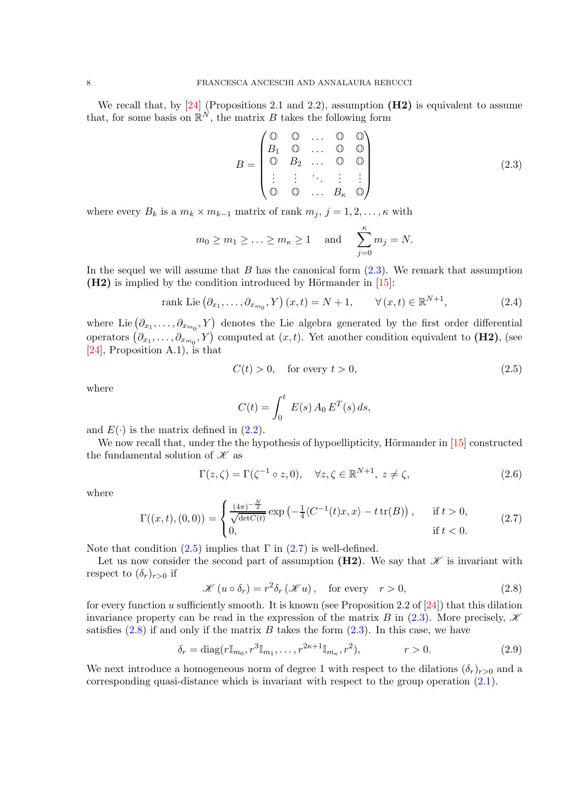We recall that, by  $[24]$  (Propositions 2.1 and 2.2), assumption  $(H2)$  is equivalent to assume that, for some basis on  $\mathbb{R}^N$ , the matrix B takes the following form

<span id="page-7-1"></span>
$$
B = \begin{pmatrix} \mathbb{O} & \mathbb{O} & \dots & \mathbb{O} & \mathbb{O} \\ B_1 & \mathbb{O} & \dots & \mathbb{O} & \mathbb{O} \\ \mathbb{O} & B_2 & \dots & \mathbb{O} & \mathbb{O} \\ \vdots & \vdots & \ddots & \vdots & \vdots \\ \mathbb{O} & \mathbb{O} & \dots & B_\kappa & \mathbb{O} \end{pmatrix} \tag{2.3}
$$

where every  $B_k$  is a  $m_k \times m_{k-1}$  matrix of rank  $m_j$ ,  $j = 1, 2, \ldots, \kappa$  with

$$
m_0 \ge m_1 \ge \ldots \ge m_\kappa \ge 1
$$
 and  $\sum_{j=0}^\kappa m_j = N$ .

In the sequel we will assume that  $B$  has the canonical form  $(2.3)$ . We remark that assumption  $(H2)$  is implied by the condition introduced by Hörmander in [\[15\]](#page-34-13):

rank Lie 
$$
(\partial_{x_1}, \ldots, \partial_{x_{m_0}}, Y)(x, t) = N + 1, \quad \forall (x, t) \in \mathbb{R}^{N+1},
$$
 (2.4)

where Lie  $(\partial_{x_1}, \ldots, \partial_{x_{m_0}}, Y)$  denotes the Lie algebra generated by the first order differential operators  $(\partial_{x_1}, \ldots, \partial_{x_{m_0}}, Y)$  computed at  $(x, t)$ . Yet another condition equivalent to (H2), (see [\[24\]](#page-34-12), Proposition A.1), is that

<span id="page-7-2"></span>
$$
C(t) > 0, \quad \text{for every } t > 0,
$$
\n
$$
(2.5)
$$

where

$$
C(t) = \int_0^t E(s) A_0 E^T(s) ds,
$$

and  $E(\cdot)$  is the matrix defined in  $(2.2)$ .

We now recall that, under the the hypothesis of hypoellipticity, Hörmander in  $[15]$  constructed the fundamental solution of  $\mathscr K$  as

$$
\Gamma(z,\zeta) = \Gamma(\zeta^{-1} \circ z,0), \quad \forall z,\zeta \in \mathbb{R}^{N+1}, \ z \neq \zeta,
$$
\n(2.6)

where

<span id="page-7-3"></span>
$$
\Gamma((x,t),(0,0)) = \begin{cases} \frac{(4\pi)^{-\frac{N}{2}}}{\sqrt{\det C(t)}} \exp\left(-\frac{1}{4}\langle C^{-1}(t)x, x\rangle - t \operatorname{tr}(B)\right), & \text{if } t > 0, \\ 0, & \text{if } t < 0. \end{cases}
$$
(2.7)

Note that condition  $(2.5)$  implies that  $\Gamma$  in  $(2.7)$  is well-defined.

Let us now consider the second part of assumption  $(H2)$ . We say that  $\mathscr K$  is invariant with respect to  $(\delta_r)_{r>0}$  if

<span id="page-7-4"></span>
$$
\mathcal{K}(u \circ \delta_r) = r^2 \delta_r(\mathcal{K}u), \quad \text{for every} \quad r > 0,
$$
\n(2.8)

for every function u sufficiently smooth. It is known (see Proposition 2.2 of [\[24\]](#page-34-12)) that this dilation invariance property can be read in the expression of the matrix B in [\(2.3\)](#page-7-1). More precisely,  $\mathscr K$ satisfies  $(2.8)$  if and only if the matrix B takes the form  $(2.3)$ . In this case, we have

<span id="page-7-0"></span>
$$
\delta_r = \text{diag}(r \mathbb{I}_{m_0}, r^3 \mathbb{I}_{m_1}, \dots, r^{2\kappa + 1} \mathbb{I}_{m_\kappa}, r^2), \qquad r > 0. \tag{2.9}
$$

We next introduce a homogeneous norm of degree 1 with respect to the dilations  $(\delta_r)_{r>0}$  and a corresponding quasi-distance which is invariant with respect to the group operation  $(2.1)$ .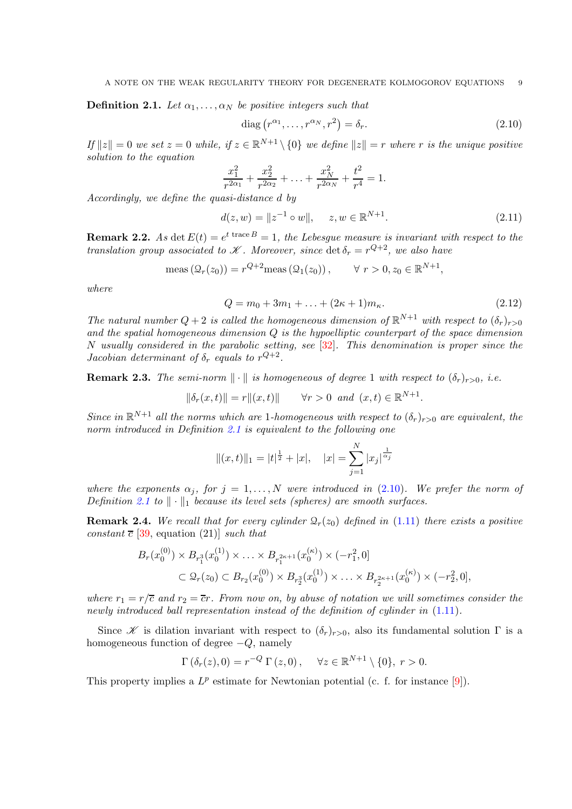<span id="page-8-2"></span>**Definition 2.1.** Let  $\alpha_1, \ldots, \alpha_N$  be positive integers such that

<span id="page-8-3"></span>
$$
\text{diag}\left(r^{\alpha_1}, \dots, r^{\alpha_N}, r^2\right) = \delta_r. \tag{2.10}
$$

 $If ||z|| = 0$  we set  $z = 0$  while, if  $z \in \mathbb{R}^{N+1} \setminus \{0\}$  we define  $||z|| = r$  where r is the unique positive solution to the equation

$$
\frac{x_1^2}{r^{2\alpha_1}} + \frac{x_2^2}{r^{2\alpha_2}} + \ldots + \frac{x_N^2}{r^{2\alpha_N}} + \frac{t^2}{r^4} = 1.
$$

Accordingly, we define the quasi-distance d by

<span id="page-8-1"></span>
$$
d(z, w) = \|z^{-1} \circ w\|, \quad z, w \in \mathbb{R}^{N+1}.
$$
 (2.11)

**Remark 2.2.** As det  $E(t) = e^{t \text{ trace } B} = 1$ , the Lebesgue measure is invariant with respect to the translation group associated to  $\mathscr K$ . Moreover, since  $\det \delta_r = r^{Q+2}$ , we also have

$$
\operatorname{meas}(\mathcal{Q}_r(z_0)) = r^{Q+2}\operatorname{meas}(\mathcal{Q}_1(z_0)), \qquad \forall \ r > 0, z_0 \in \mathbb{R}^{N+1},
$$

where

<span id="page-8-0"></span>
$$
Q = m_0 + 3m_1 + \dots + (2\kappa + 1)m_\kappa. \tag{2.12}
$$

The natural number  $Q + 2$  is called the homogeneous dimension of  $\mathbb{R}^{N+1}$  with respect to  $(\delta_r)_{r>0}$ and the spatial homogeneous dimension  $Q$  is the hypoelliptic counterpart of the space dimension N usually considered in the parabolic setting, see  $[32]$ . This denomination is proper since the Jacobian determinant of  $\delta_r$  equals to  $r^{Q+2}$ .

**Remark 2.3.** The semi-norm  $\|\cdot\|$  is homogeneous of degree 1 with respect to  $(\delta_r)_{r>0}$ , i.e.

$$
\|\delta_r(x,t)\| = r\|(x,t)\|
$$
  $\forall r > 0 \text{ and } (x,t) \in \mathbb{R}^{N+1}.$ 

Since in  $\mathbb{R}^{N+1}$  all the norms which are 1-homogeneous with respect to  $(\delta_r)_{r>0}$  are equivalent, the norm introduced in Definition [2.1](#page-8-2) is equivalent to the following one

$$
||(x,t)||_1 = |t|^{\frac{1}{2}} + |x|, \quad |x| = \sum_{j=1}^{N} |x_j|^{\frac{1}{\alpha_j}}
$$

where the exponents  $\alpha_j$ , for  $j = 1, ..., N$  were introduced in [\(2.10\)](#page-8-3). We prefer the norm of Definition [2.1](#page-8-2) to  $\|\cdot\|_1$  because its level sets (spheres) are smooth surfaces.

<span id="page-8-4"></span>**Remark 2.4.** We recall that for every cylinder  $\mathcal{Q}_r(z_0)$  defined in [\(1.11\)](#page-4-0) there exists a positive constant  $\bar{c}$  [\[39,](#page-35-1) equation (21)] such that

$$
B_r(x_0^{(0)}) \times B_{r_1^3}(x_0^{(1)}) \times \ldots \times B_{r_1^{2\kappa+1}}(x_0^{(\kappa)}) \times (-r_1^2, 0]
$$
  

$$
\subset \mathcal{Q}_r(z_0) \subset B_{r_2}(x_0^{(0)}) \times B_{r_2^3}(x_0^{(1)}) \times \ldots \times B_{r_2^{2\kappa+1}}(x_0^{(\kappa)}) \times (-r_2^2, 0],
$$

where  $r_1 = r/\overline{c}$  and  $r_2 = \overline{c}r$ . From now on, by abuse of notation we will sometimes consider the newly introduced ball representation instead of the definition of cylinder in [\(1.11\)](#page-4-0).

Since *X* is dilation invariant with respect to  $(\delta_r)_{r>0}$ , also its fundamental solution Γ is a homogeneous function of degree  $-Q$ , namely

$$
\Gamma\left(\delta_r(z),0\right) = r^{-Q} \Gamma\left(z,0\right), \quad \forall z \in \mathbb{R}^{N+1} \setminus \{0\}, \ r > 0.
$$

This property implies a  $L^p$  estimate for Newtonian potential (c. f. for instance [\[9\]](#page-33-6)).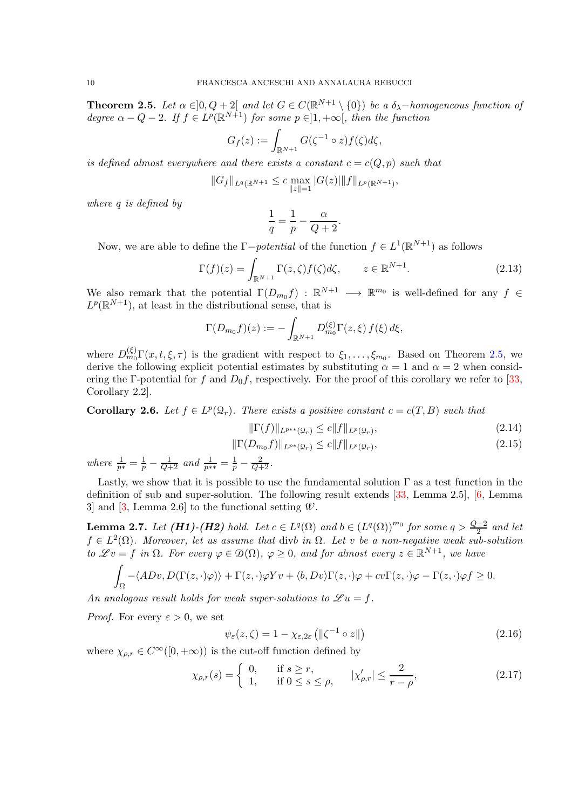<span id="page-9-0"></span>**Theorem 2.5.** Let  $\alpha \in ]0, Q + 2[$  and let  $G \in C(\mathbb{R}^{N+1} \setminus \{0\})$  be a  $\delta_{\lambda}$ -homogeneous function of degree  $\alpha - Q - 2$ . If  $f \in L^p(\mathbb{R}^{N+1})$  for some  $p \in ]1, +\infty[$ , then the function

$$
G_f(z) := \int_{\mathbb{R}^{N+1}} G(\zeta^{-1} \circ z) f(\zeta) d\zeta,
$$

is defined almost everywhere and there exists a constant  $c = c(Q, p)$  such that

$$
||G_f||_{L^q(\mathbb{R}^{N+1}} \leq c \max_{\|z\|=1} |G(z)| ||f||_{L^p(\mathbb{R}^{N+1})},
$$

where q is defined by

$$
\frac{1}{q} = \frac{1}{p} - \frac{\alpha}{Q+2}.
$$

Now, we are able to define the  $\Gamma-potential$  of the function  $f \in L^1(\mathbb{R}^{N+1})$  as follows

$$
\Gamma(f)(z) = \int_{\mathbb{R}^{N+1}} \Gamma(z,\zeta) f(\zeta) d\zeta, \qquad z \in \mathbb{R}^{N+1}.
$$
 (2.13)

We also remark that the potential  $\Gamma(D_{m_0}f)$ :  $\mathbb{R}^{N+1} \longrightarrow \mathbb{R}^{m_0}$  is well-defined for any  $f \in$  $L^p(\mathbb{R}^{N+1})$ , at least in the distributional sense, that is

$$
\Gamma(D_{m_0}f)(z) := -\int_{\mathbb{R}^{N+1}} D_{m_0}^{(\xi)} \Gamma(z, \xi) f(\xi) d\xi,
$$

where  $D_{m_0}^{(\xi)} \Gamma(x, t, \xi, \tau)$  is the gradient with respect to  $\xi_1, \ldots, \xi_{m_0}$ . Based on Theorem [2.5,](#page-9-0) we derive the following explicit potential estimates by substituting  $\alpha = 1$  and  $\alpha = 2$  when considering the Γ-potential for f and  $D_0f$ , respectively. For the proof of this corollary we refer to [\[33,](#page-34-10) Corollary 2.2].

<span id="page-9-1"></span>**Corollary 2.6.** Let  $f \in L^p(\mathcal{Q}_r)$ . There exists a positive constant  $c = c(T, B)$  such that

<span id="page-9-5"></span><span id="page-9-4"></span>
$$
\|\Gamma(f)\|_{L^{p**}(\Omega_r)} \le c \|f\|_{L^p(\Omega_r)},\tag{2.14}
$$

$$
\|\Gamma(D_{m_0}f)\|_{L^{p^*}(\Omega_r)} \le c\|f\|_{L^p(\Omega_r)},\tag{2.15}
$$

where  $\frac{1}{p^*} = \frac{1}{p} - \frac{1}{Q+2}$  and  $\frac{1}{p^{**}} = \frac{1}{p} - \frac{2}{Q+2}$ .

Lastly, we show that it is possible to use the fundamental solution  $\Gamma$  as a test function in the definition of sub and super-solution. The following result extends [\[33,](#page-34-10) Lemma 2.5], [\[6,](#page-33-7) Lemma 3] and [\[3,](#page-33-8) Lemma 2.6] to the functional setting  $W$ .

<span id="page-9-3"></span>**Lemma 2.7.** Let  $(H1)$ - $(H2)$  hold. Let  $c \in L^q(\Omega)$  and  $b \in (L^q(\Omega))^{m_0}$  for some  $q > \frac{Q+2}{2}$  and let  $f \in L^2(\Omega)$ . Moreover, let us assume that divb in  $\Omega$ . Let v be a non-negative weak sub-solution to  $\mathscr{L}v = f$  in  $\Omega$ . For every  $\varphi \in \mathcal{D}(\Omega)$ ,  $\varphi \geq 0$ , and for almost every  $z \in \mathbb{R}^{N+1}$ , we have

$$
\int_{\Omega} -\langle ADv, D(\Gamma(z,\cdot)\varphi) \rangle + \Gamma(z,\cdot)\varphi Yv + \langle b, Dv \rangle \Gamma(z,\cdot)\varphi + cv\Gamma(z,\cdot)\varphi - \Gamma(z,\cdot)\varphi f \ge 0.
$$

An analogous result holds for weak super-solutions to  $\mathscr{L} u = f$ .

*Proof.* For every  $\varepsilon > 0$ , we set

$$
\psi_{\varepsilon}(z,\zeta) = 1 - \chi_{\varepsilon,2\varepsilon} \left( \| \zeta^{-1} \circ z \| \right) \tag{2.16}
$$

where  $\chi_{\rho,r} \in C^{\infty}([0,+\infty))$  is the cut-off function defined by

<span id="page-9-2"></span>
$$
\chi_{\rho,r}(s) = \begin{cases} 0, & \text{if } s \ge r, \\ 1, & \text{if } 0 \le s \le \rho, \end{cases} \quad |\chi_{\rho,r}'| \le \frac{2}{r - \rho}, \tag{2.17}
$$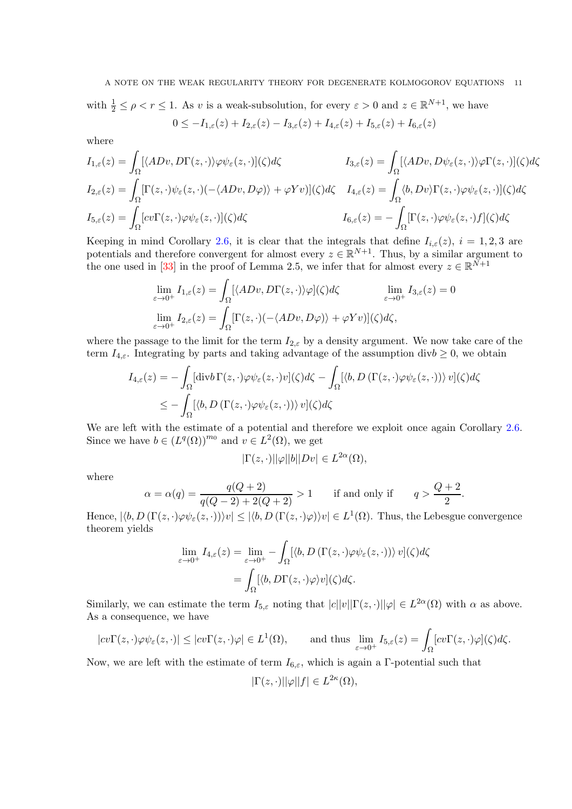with  $\frac{1}{2} \leq \rho < r \leq 1$ . As v is a weak-subsolution, for every  $\varepsilon > 0$  and  $z \in \mathbb{R}^{N+1}$ , we have  $0 \leq -I_{1,\varepsilon}(z) + I_{2,\varepsilon}(z) - I_{3,\varepsilon}(z) + I_{4,\varepsilon}(z) + I_{5,\varepsilon}(z) + I_{6,\varepsilon}(z)$ 

where

$$
I_{1,\varepsilon}(z) = \int_{\Omega} [\langle ADv, D\Gamma(z, \cdot) \rangle \varphi \psi_{\varepsilon}(z, \cdot)](\zeta) d\zeta
$$
  
\n
$$
I_{3,\varepsilon}(z) = \int_{\Omega} [\langle ADv, D\psi_{\varepsilon}(z, \cdot) \rangle \varphi \Gamma(z, \cdot)](\zeta) d\zeta
$$
  
\n
$$
I_{2,\varepsilon}(z) = \int_{\Omega} [\Gamma(z, \cdot) \psi_{\varepsilon}(z, \cdot) (-\langle ADv, D\varphi) \rangle + \varphi Yv)](\zeta) d\zeta
$$
  
\n
$$
I_{4,\varepsilon}(z) = \int_{\Omega} \langle b, Dv \rangle \Gamma(z, \cdot) \varphi \psi_{\varepsilon}(z, \cdot)](\zeta) d\zeta
$$
  
\n
$$
I_{5,\varepsilon}(z) = -\int_{\Omega} [\Gamma(z, \cdot) \varphi \psi_{\varepsilon}(z, \cdot) f](\zeta) d\zeta
$$

Keeping in mind Corollary [2.6,](#page-9-1) it is clear that the integrals that define  $I_{i,\varepsilon}(z)$ ,  $i = 1,2,3$  are potentials and therefore convergent for almost every  $z \in \mathbb{R}^{N+1}$ . Thus, by a similar argument to the one used in [\[33\]](#page-34-10) in the proof of Lemma 2.5, we infer that for almost every  $z \in \mathbb{R}^{\bar{N}+1}$ 

$$
\lim_{\varepsilon \to 0^+} I_{1,\varepsilon}(z) = \int_{\Omega} [\langle ADv, D\Gamma(z, \cdot) \rangle \varphi](\zeta) d\zeta \qquad \lim_{\varepsilon \to 0^+} I_{3,\varepsilon}(z) = 0
$$
  

$$
\lim_{\varepsilon \to 0^+} I_{2,\varepsilon}(z) = \int_{\Omega} [\Gamma(z, \cdot) (-\langle ADv, D\varphi) \rangle + \varphi Yv)](\zeta) d\zeta,
$$

where the passage to the limit for the term  $I_{2,\varepsilon}$  by a density argument. We now take care of the term  $I_{4,\varepsilon}$ . Integrating by parts and taking advantage of the assumption div $b \geq 0$ , we obtain

$$
I_{4,\varepsilon}(z) = -\int_{\Omega} [\text{div}b \Gamma(z,\cdot)\varphi \psi_{\varepsilon}(z,\cdot)v](\zeta) d\zeta - \int_{\Omega} [\langle b, D(\Gamma(z,\cdot)\varphi \psi_{\varepsilon}(z,\cdot))\rangle v](\zeta) d\zeta
$$
  

$$
\leq -\int_{\Omega} [\langle b, D(\Gamma(z,\cdot)\varphi \psi_{\varepsilon}(z,\cdot))\rangle v](\zeta) d\zeta
$$

We are left with the estimate of a potential and therefore we exploit once again Corollary [2.6.](#page-9-1) Since we have  $b \in (L^q(\Omega))^{m_0}$  and  $v \in L^2(\Omega)$ , we get

$$
|\Gamma(z,\cdot)||\varphi||b||Dv| \in L^{2\alpha}(\Omega),
$$

where

$$
\alpha = \alpha(q) = \frac{q(Q+2)}{q(Q-2) + 2(Q+2)} > 1
$$
 if and only if  $q > \frac{Q+2}{2}$ 

.

Hence,  $|\langle b, D(\Gamma(z, \cdot) \varphi \psi_{\varepsilon}(z, \cdot)) \rangle v| \leq |\langle b, D(\Gamma(z, \cdot) \varphi) \rangle v| \in L^1(\Omega)$ . Thus, the Lebesgue convergence theorem yields

$$
\lim_{\varepsilon \to 0^+} I_{4,\varepsilon}(z) = \lim_{\varepsilon \to 0^+} - \int_{\Omega} [\langle b, D(\Gamma(z, \cdot) \varphi \psi_{\varepsilon}(z, \cdot)) \rangle \, v](\zeta) d\zeta
$$

$$
= \int_{\Omega} [\langle b, D\Gamma(z, \cdot) \varphi \rangle v](\zeta) d\zeta.
$$

Similarly, we can estimate the term  $I_{5,\varepsilon}$  noting that  $|c||v||\Gamma(z,\cdot)||\varphi| \in L^{2\alpha}(\Omega)$  with  $\alpha$  as above. As a consequence, we have

$$
|cv\Gamma(z,\cdot)\varphi\psi_{\varepsilon}(z,\cdot)|\leq |cv\Gamma(z,\cdot)\varphi|\in L^1(\Omega),\qquad\text{and thus }\lim_{\varepsilon\to 0^+}I_{5,\varepsilon}(z)=\int_{\Omega}[cv\Gamma(z,\cdot)\varphi](\zeta)d\zeta.
$$

Now, we are left with the estimate of term  $I_{6,\varepsilon}$ , which is again a Γ-potential such that

$$
|\Gamma(z,\cdot)||\varphi||f| \in L^{2\kappa}(\Omega),
$$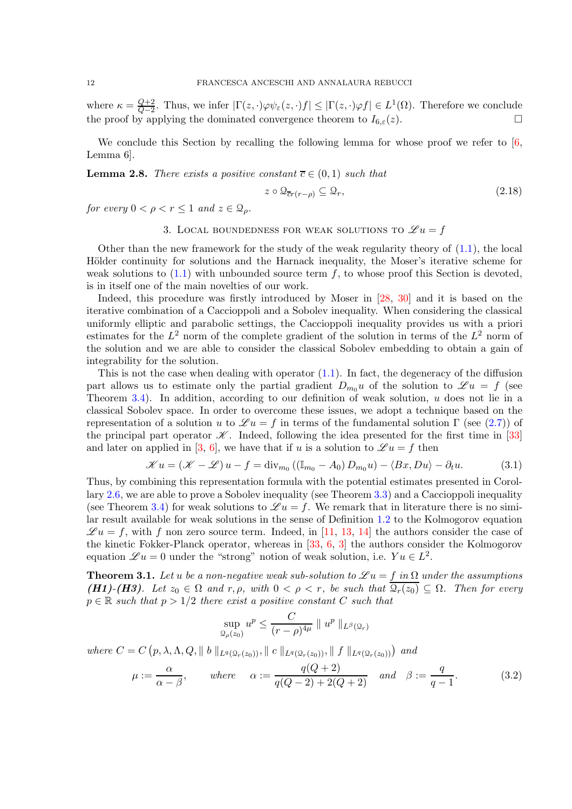where  $\kappa = \frac{Q+2}{Q-2}$  $\frac{Q+2}{Q-2}$ . Thus, we infer  $|\Gamma(z,\cdot)\varphi\psi_{\varepsilon}(z,\cdot)f| \leq |\Gamma(z,\cdot)\varphi f| \in L^1(\Omega)$ . Therefore we conclude the proof by applying the dominated convergence theorem to  $I_{6,\varepsilon}(z)$ .

We conclude this Section by recalling the following lemma for whose proof we refer to  $[6,$ Lemma 6].

<span id="page-11-3"></span>**Lemma 2.8.** There exists a positive constant  $\overline{c} \in (0,1)$  such that

$$
z \circ \mathcal{Q}_{\overline{cr}(r-\rho)} \subseteq \mathcal{Q}_r,\tag{2.18}
$$

<span id="page-11-0"></span>for every  $0 < \rho < r \leq 1$  and  $z \in \mathcal{Q}_\rho$ .

## 3. LOCAL BOUNDEDNESS FOR WEAK SOLUTIONS TO  $\mathscr{L} u = f$

Other than the new framework for the study of the weak regularity theory of  $(1.1)$ , the local Hölder continuity for solutions and the Harnack inequality, the Moser's iterative scheme for weak solutions to  $(1.1)$  with unbounded source term f, to whose proof this Section is devoted, is in itself one of the main novelties of our work.

Indeed, this procedure was firstly introduced by Moser in [\[28,](#page-34-15) [30\]](#page-34-16) and it is based on the iterative combination of a Caccioppoli and a Sobolev inequality. When considering the classical uniformly elliptic and parabolic settings, the Caccioppoli inequality provides us with a priori estimates for the  $L^2$  norm of the complete gradient of the solution in terms of the  $L^2$  norm of the solution and we are able to consider the classical Sobolev embedding to obtain a gain of integrability for the solution.

This is not the case when dealing with operator  $(1.1)$ . In fact, the degeneracy of the diffusion part allows us to estimate only the partial gradient  $D_{m_0}u$  of the solution to  $\mathscr{L} u = f$  (see Theorem [3.4\)](#page-14-0). In addition, according to our definition of weak solution,  $u$  does not lie in a classical Sobolev space. In order to overcome these issues, we adopt a technique based on the representation of a solution u to  $\mathscr{L} u = f$  in terms of the fundamental solution  $\Gamma$  (see [\(2.7\)](#page-7-3)) of the principal part operator  $\mathscr K$ . Indeed, following the idea presented for the first time in [\[33\]](#page-34-10) and later on applied in [\[3,](#page-33-8) [6\]](#page-33-7), we have that if u is a solution to  $\mathscr{L} u = f$  then

$$
\mathcal{K}u = (\mathcal{K} - \mathcal{L})u - f = \text{div}_{m_0} ((\mathbb{I}_{m_0} - A_0) D_{m_0}u) - \langle Bx, Du \rangle - \partial_t u. \tag{3.1}
$$

Thus, by combining this representation formula with the potential estimates presented in Corollary [2.6,](#page-9-1) we are able to prove a Sobolev inequality (see Theorem [3.3\)](#page-12-1) and a Caccioppoli inequality (see Theorem [3.4\)](#page-14-0) for weak solutions to  $\mathscr{L} u = f$ . We remark that in literature there is no similar result available for weak solutions in the sense of Definition [1.2](#page-3-0) to the Kolmogorov equation  $\mathscr{L}u = f$ , with f non zero source term. Indeed, in [\[11,](#page-34-7) [13,](#page-34-8) [14\]](#page-34-9) the authors consider the case of the kinetic Fokker-Planck operator, whereas in [\[33,](#page-34-10) [6,](#page-33-7) [3\]](#page-33-8) the authors consider the Kolmogorov equation  $\mathscr{L}u = 0$  under the "strong" notion of weak solution, i.e.  $Yu \in L^2$ .

<span id="page-11-1"></span>**Theorem 3.1.** Let u be a non-negative weak sub-solution to  $\mathscr{L}u = f$  in  $\Omega$  under the assumptions (H1)-(H3). Let  $z_0 \in \Omega$  and  $r, \rho$ , with  $0 < \rho < r$ , be such that  $\overline{\mathcal{Q}_r(z_0)} \subseteq \Omega$ . Then for every  $p \in \mathbb{R}$  such that  $p > 1/2$  there exist a positive constant C such that

$$
\sup_{\mathcal{Q}_{\rho}(z_0)} u^p \le \frac{C}{(r-\rho)^{4\mu}} \parallel u^p \parallel_{L^{\beta}(\mathcal{Q}_r)}
$$

where  $C = C(p, \lambda, \Lambda, Q, || b ||_{L^q(Q_r(z_0))}, || c ||_{L^q(Q_r(z_0))}, || f ||_{L^q(Q_r(z_0))})$  and

<span id="page-11-2"></span>
$$
\mu := \frac{\alpha}{\alpha - \beta}, \quad where \quad \alpha := \frac{q(Q+2)}{q(Q-2) + 2(Q+2)} \quad and \quad \beta := \frac{q}{q-1}.
$$
 (3.2)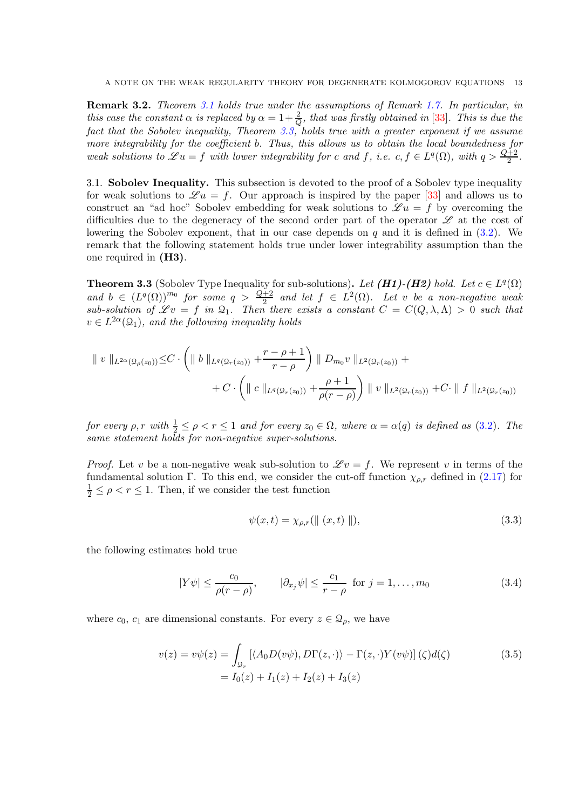<span id="page-12-0"></span>Remark 3.2. Theorem [3.1](#page-11-1) holds true under the assumptions of Remark [1.7.](#page-5-1) In particular, in this case the constant  $\alpha$  is replaced by  $\alpha = 1 + \frac{2}{Q}$ , that was firstly obtained in [\[33\]](#page-34-10). This is due the fact that the Sobolev inequality, Theorem [3.3,](#page-12-1) holds true with a greater exponent if we assume more integrability for the coefficient b. Thus, this allows us to obtain the local boundedness for weak solutions to  $\mathscr{L}u = f$  with lower integrability for c and f, i.e.  $c, f \in L^q(\Omega)$ , with  $q > \frac{Q+2}{2}$ .

3.1. Sobolev Inequality. This subsection is devoted to the proof of a Sobolev type inequality for weak solutions to  $\mathscr{L} u = f$ . Our approach is inspired by the paper [\[33\]](#page-34-10) and allows us to construct an "ad hoc" Sobolev embedding for weak solutions to  $\mathscr{L} u = f$  by overcoming the difficulties due to the degeneracy of the second order part of the operator  $\mathscr L$  at the cost of lowering the Sobolev exponent, that in our case depends on  $q$  and it is defined in  $(3.2)$ . We remark that the following statement holds true under lower integrability assumption than the one required in (H3).

<span id="page-12-1"></span>**Theorem 3.3** (Sobolev Type Inequality for sub-solutions). Let (**H1)-(H2)** hold. Let  $c \in L^q(\Omega)$ and  $b \in (L^q(\Omega))^{m_0}$  for some  $q > \frac{Q+2}{2}$  and let  $f \in L^2(\Omega)$ . Let v be a non-negative weak sub-solution of  $\mathscr{L}v = f$  in  $\mathfrak{Q}_1$ . Then there exists a constant  $C = C(Q, \lambda, \Lambda) > 0$  such that  $v \in L^{2\alpha}(\mathfrak{Q}_1)$ , and the following inequality holds

$$
\| v \|_{L^{2\alpha}(\Omega_{\rho}(z_0))} \leq C \cdot \left( \| b \|_{L^{q}(\Omega_{r}(z_0))} + \frac{r - \rho + 1}{r - \rho} \right) \| D_{m_0} v \|_{L^{2}(\Omega_{r}(z_0))} + \\ + C \cdot \left( \| c \|_{L^{q}(\Omega_{r}(z_0))} + \frac{\rho + 1}{\rho(r - \rho)} \right) \| v \|_{L^{2}(\Omega_{r}(z_0))} + C \cdot \| f \|_{L^{2}(\Omega_{r}(z_0))}
$$

for every  $\rho, r$  with  $\frac{1}{2} \leq \rho < r \leq 1$  and for every  $z_0 \in \Omega$ , where  $\alpha = \alpha(q)$  is defined as  $(3.2)$ . The same statement holds for non-negative super-solutions.

*Proof.* Let v be a non-negative weak sub-solution to  $\mathscr{L}v = f$ . We represent v in terms of the fundamental solution Γ. To this end, we consider the cut-off function  $\chi_{\rho,r}$  defined in [\(2.17\)](#page-9-2) for  $\frac{1}{2} \leq \rho < r \leq 1$ . Then, if we consider the test function

<span id="page-12-3"></span>
$$
\psi(x,t) = \chi_{\rho,r}(\| (x,t) \|), \tag{3.3}
$$

the following estimates hold true

<span id="page-12-2"></span>
$$
|Y\psi| \le \frac{c_0}{\rho(r-\rho)}, \qquad |\partial_{x_j}\psi| \le \frac{c_1}{r-\rho} \text{ for } j = 1,\dots, m_0
$$
 (3.4)

where  $c_0$ ,  $c_1$  are dimensional constants. For every  $z \in \mathcal{Q}_\rho$ , we have

$$
v(z) = v\psi(z) = \int_{\Omega_r} \left[ \langle A_0 D(v\psi), D\Gamma(z, \cdot) \rangle - \Gamma(z, \cdot) Y(v\psi) \right] (\zeta) d(\zeta)
$$
  
=  $I_0(z) + I_1(z) + I_2(z) + I_3(z)$  (3.5)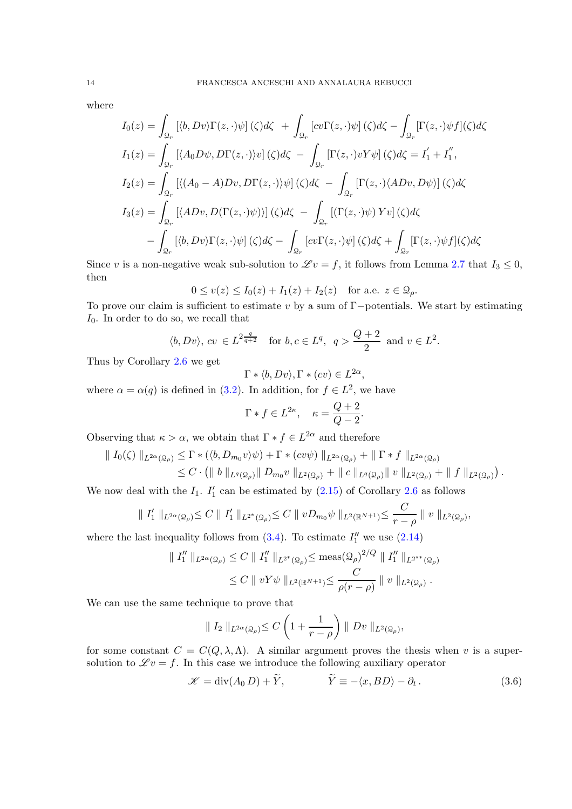where

$$
I_0(z) = \int_{\mathcal{Q}_r} [\langle b, Dv \rangle \Gamma(z, \cdot) \psi] (\zeta) d\zeta + \int_{\mathcal{Q}_r} [cv\Gamma(z, \cdot)\psi] (\zeta) d\zeta - \int_{\mathcal{Q}_r} [\Gamma(z, \cdot)\psi f](\zeta) d\zeta
$$
  
\n
$$
I_1(z) = \int_{\mathcal{Q}_r} [\langle A_0 D\psi, D\Gamma(z, \cdot) \rangle v] (\zeta) d\zeta - \int_{\mathcal{Q}_r} [\Gamma(z, \cdot)vY \psi] (\zeta) d\zeta = I'_1 + I''_1,
$$
  
\n
$$
I_2(z) = \int_{\mathcal{Q}_r} [\langle (A_0 - A)Dv, D\Gamma(z, \cdot) \rangle \psi] (\zeta) d\zeta - \int_{\mathcal{Q}_r} [\Gamma(z, \cdot) \langle ADv, D\psi \rangle] (\zeta) d\zeta
$$
  
\n
$$
I_3(z) = \int_{\mathcal{Q}_r} [\langle ADv, D(\Gamma(z, \cdot)\psi) \rangle] (\zeta) d\zeta - \int_{\mathcal{Q}_r} [(\Gamma(z, \cdot)\psi) Yv] (\zeta) d\zeta
$$
  
\n
$$
- \int_{\mathcal{Q}_r} [\langle b, Dv \rangle \Gamma(z, \cdot)\psi] (\zeta) d\zeta - \int_{\mathcal{Q}_r} [cv\Gamma(z, \cdot)\psi] (\zeta) d\zeta + \int_{\mathcal{Q}_r} [\Gamma(z, \cdot)\psi f] (\zeta) d\zeta
$$

Since v is a non-negative weak sub-solution to  $\mathscr{L}v = f$ , it follows from Lemma [2.7](#page-9-3) that  $I_3 \leq 0$ , then

$$
0\leq v(z)\leq I_0(z)+I_1(z)+I_2(z)\quad\text{for a.e. }z\in\mathcal{Q}_\rho.
$$

To prove our claim is sufficient to estimate v by a sum of  $\Gamma$ -potentials. We start by estimating  $I_0$ . In order to do so, we recall that

$$
\langle b, Dv \rangle
$$
,  $cv \in L^2^{\frac{q}{q+2}}$  for  $b, c \in L^q$ ,  $q > \frac{Q+2}{2}$  and  $v \in L^2$ .

Thus by Corollary [2.6](#page-9-1) we get

$$
\Gamma * \langle b, Dv \rangle, \Gamma * (cv) \in L^{2\alpha}
$$

,

where  $\alpha = \alpha(q)$  is defined in [\(3.2\)](#page-11-2). In addition, for  $f \in L^2$ , we have

$$
\Gamma * f \in L^{2\kappa}, \quad \kappa = \frac{Q+2}{Q-2}.
$$

Observing that  $\kappa > \alpha$ , we obtain that  $\Gamma * f \in L^{2\alpha}$  and therefore

$$
\begin{split} \| I_0(\zeta) \|_{L^{2\alpha}(\Omega_\rho)} &\leq \Gamma * (\langle b, D_{m_0} v \rangle \psi) + \Gamma * (cv\psi) \|_{L^{2\alpha}(\Omega_\rho)} + \| \Gamma * f \|_{L^{2\alpha}(\Omega_\rho)} \\ &\leq C \cdot \left( \| b \|_{L^q(\Omega_\rho)} \| D_{m_0} v \|_{L^2(\Omega_\rho)} + \| c \|_{L^q(\Omega_\rho)} \| v \|_{L^2(\Omega_\rho)} + \| f \|_{L^2(\Omega_\rho)} \right). \end{split}
$$

We now deal with the  $I_1$ .  $I'_1$  can be estimated by  $(2.15)$  of Corollary [2.6](#page-9-1) as follows

$$
\| I_1' \|_{L^{2\alpha}(\Omega_\rho)} \leq C \| I_1' \|_{L^{2^*}(\Omega_\rho)} \leq C \| v D_{m_0} \psi \|_{L^2(\mathbb{R}^{N+1})} \leq \frac{C}{r - \rho} \| v \|_{L^2(\Omega_\rho)},
$$

where the last inequality follows from  $(3.4)$ . To estimate  $I''_1$  we use  $(2.14)$ 

$$
\| I''_1 \|_{L^{2\alpha}(\Omega_\rho)} \le C \| I''_1 \|_{L^{2^*}(\Omega_\rho)} \le \text{meas}(\Omega_\rho)^{2/Q} \| I''_1 \|_{L^{2^{**}}(\Omega_\rho)}
$$
  

$$
\le C \| vY\psi \|_{L^2(\mathbb{R}^{N+1})} \le \frac{C}{\rho(r-\rho)} \| v \|_{L^2(\Omega_\rho)}.
$$

We can use the same technique to prove that

$$
\| I_2 \|_{L^{2\alpha}(\Omega_\rho)} \leq C \left( 1 + \frac{1}{r - \rho} \right) \| Dv \|_{L^2(\Omega_\rho)},
$$

for some constant  $C = C(Q, \lambda, \Lambda)$ . A similar argument proves the thesis when v is a supersolution to  $\mathscr{L}v = f$ . In this case we introduce the following auxiliary operator

$$
\mathcal{K} = \text{div}(A_0 D) + \widetilde{Y}, \qquad \widetilde{Y} \equiv -\langle x, BD \rangle - \partial_t. \qquad (3.6)
$$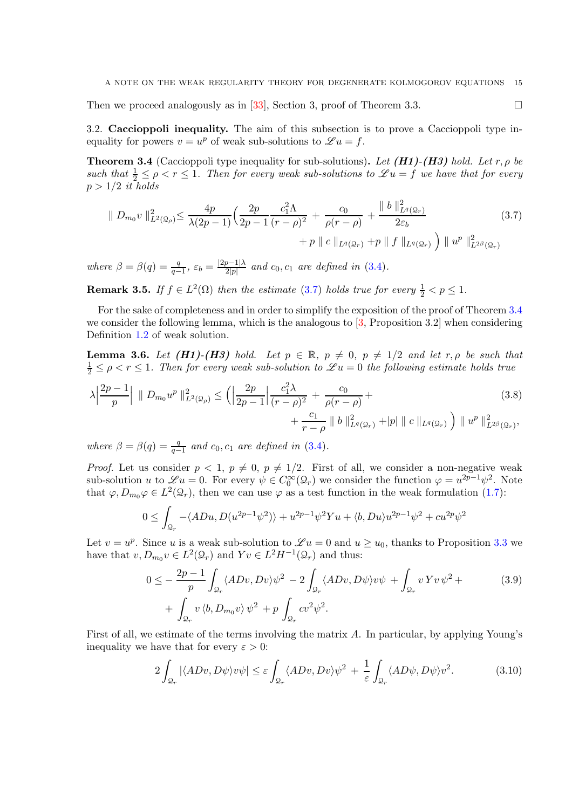Then we proceed analogously as in [\[33\]](#page-34-10), Section 3, proof of Theorem 3.3.

3.2. Caccioppoli inequality. The aim of this subsection is to prove a Caccioppoli type inequality for powers  $v = u^p$  of weak sub-solutions to  $\mathscr{L} u = f$ .

<span id="page-14-0"></span>**Theorem 3.4** (Caccioppoli type inequality for sub-solutions). Let  $(H1)$ - $(H3)$  hold. Let r,  $\rho$  be such that  $\frac{1}{2} \leq \rho < r \leq 1$ . Then for every weak sub-solutions to  $\mathscr{L}u = f$  we have that for every  $p > 1/2$  it holds

<span id="page-14-1"></span>
$$
\| D_{m_0} v \|_{L^2(\Omega_\rho)}^2 \le \frac{4p}{\lambda(2p-1)} \Big( \frac{2p}{2p-1} \frac{c_1^2 \Lambda}{(r-\rho)^2} + \frac{c_0}{\rho(r-\rho)} + \frac{\| b \|^2_{L^q(\Omega_r)}}{2\varepsilon_b} + p \| c \|_{L^q(\Omega_r)} + p \| f \|_{L^q(\Omega_r)} \Big) \| u^p \|_{L^{2\beta}(\Omega_r)}^2
$$
\n(3.7)

where  $\beta = \beta(q) = \frac{q}{q-1}, \ \varepsilon_b = \frac{|2p-1|\lambda}{2|p|}$  $rac{p-1}{2|p|}$  and  $c_0, c_1$  are defined in  $(3.4)$ .

**Remark 3.5.** If  $f \in L^2(\Omega)$  then the estimate [\(3.7\)](#page-14-1) holds true for every  $\frac{1}{2} < p \leq 1$ .

For the sake of completeness and in order to simplify the exposition of the proof of Theorem [3.4](#page-14-0) we consider the following lemma, which is the analogous to [\[3,](#page-33-8) Proposition 3.2] when considering Definition [1.2](#page-3-0) of weak solution.

<span id="page-14-5"></span>**Lemma 3.6.** Let (H1)-(H3) hold. Let  $p \in \mathbb{R}$ ,  $p \neq 0$ ,  $p \neq 1/2$  and let  $r, \rho$  be such that  $\frac{1}{2} \leq \rho < r \leq 1$ . Then for every weak sub-solution to  $\mathscr{L} u = 0$  the following estimate holds true

$$
\lambda \left| \frac{2p-1}{p} \right| \| D_{m_0} u^p \|_{L^2(\Omega_\rho)}^2 \le \left( \left| \frac{2p}{2p-1} \right| \frac{c_1^2 \lambda}{(r-\rho)^2} + \frac{c_0}{\rho(r-\rho)} + \frac{c_1}{r-\rho} \| b \|_{L^q(\Omega_r)}^2 + |p| \| c \|_{L^q(\Omega_r)} \right) \| u^p \|_{L^{2\beta}(\Omega_r)}^2,
$$
\n(3.8)

where  $\beta = \beta(q) = \frac{q}{q-1}$  and  $c_0, c_1$  are defined in [\(3.4\)](#page-14-0).

*Proof.* Let us consider  $p < 1$ ,  $p \neq 0$ ,  $p \neq 1/2$ . First of all, we consider a non-negative weak sub-solution u to  $\mathscr{L} u = 0$ . For every  $\psi \in C_0^{\infty}(\mathcal{Q}_r)$  we consider the function  $\varphi = u^{2p-1}\psi^2$ . Note that  $\varphi, D_{m_0}\varphi \in L^2(\mathcal{Q}_r)$ , then we can use  $\varphi$  as a test function in the weak formulation [\(1.7\)](#page-3-1):

<span id="page-14-4"></span>
$$
0 \leq \int_{\Omega_r} -\langle ADu, D(u^{2p-1}\psi^2) \rangle + u^{2p-1}\psi^2 Yu + \langle b, Du \rangle u^{2p-1}\psi^2 + cu^{2p}\psi^2
$$

Let  $v = u^p$ . Since u is a weak sub-solution to  $\mathscr{L} u = 0$  and  $u \ge u_0$ , thanks to Proposition [3.3](#page-12-1) we have that  $v, D_{m_0} v \in L^2(\mathcal{Q}_r)$  and  $Y v \in L^2H^{-1}(\mathcal{Q}_r)$  and thus:

<span id="page-14-2"></span>
$$
0 \leq -\frac{2p-1}{p} \int_{\mathcal{Q}_r} \langle ADv, Dv \rangle \psi^2 - 2 \int_{\mathcal{Q}_r} \langle ADv, D\psi \rangle v \psi + \int_{\mathcal{Q}_r} v \, Yv \, \psi^2 +
$$
  
+  $\int_{\mathcal{Q}_r} v \, \langle b, D_{m_0} v \rangle \, \psi^2 + p \int_{\mathcal{Q}_r} cv^2 \psi^2.$  (3.9)

First of all, we estimate of the terms involving the matrix A. In particular, by applying Young's inequality we have that for every  $\varepsilon > 0$ :

<span id="page-14-3"></span>
$$
2\int_{\mathcal{Q}_r} |\langle ADv, D\psi \rangle v\psi| \le \varepsilon \int_{\mathcal{Q}_r} \langle ADv, Dv \rangle \psi^2 + \frac{1}{\varepsilon} \int_{\mathcal{Q}_r} \langle AD\psi, D\psi \rangle v^2. \tag{3.10}
$$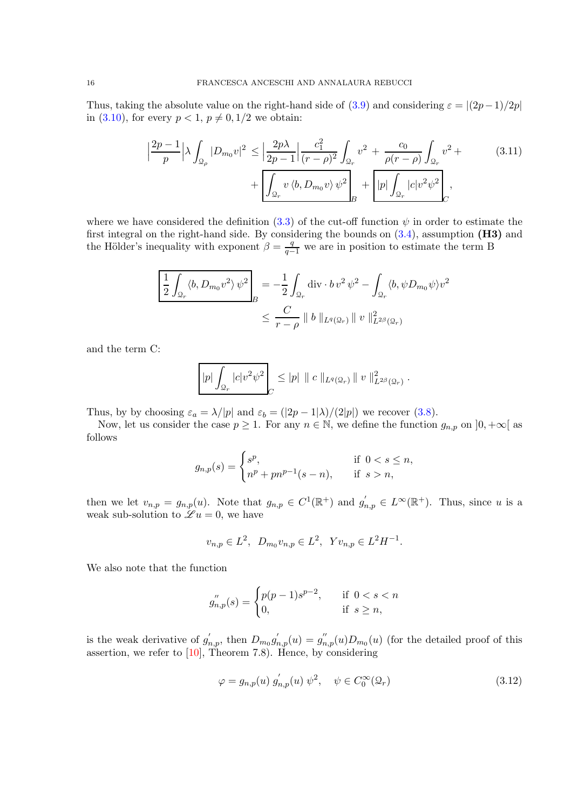Thus, taking the absolute value on the right-hand side of  $(3.9)$  and considering  $\varepsilon = |(2p-1)/2p|$ in [\(3.10\)](#page-14-3), for every  $p < 1$ ,  $p \neq 0$ ,  $1/2$  we obtain:

<span id="page-15-0"></span>
$$
\left| \frac{2p-1}{p} \right| \lambda \int_{\mathcal{Q}_{\rho}} |D_{m_0} v|^2 \le \left| \frac{2p\lambda}{2p-1} \right| \frac{c_1^2}{(r-\rho)^2} \int_{\mathcal{Q}_r} v^2 + \frac{c_0}{\rho(r-\rho)} \int_{\mathcal{Q}_r} v^2 + \left| \frac{2p\lambda}{\rho(r-\rho)} \right|_{\mathcal{Q}_r} + \left| \frac{2p\lambda}{\rho(r-\rho)} \frac{2p\lambda}{\rho(r-\rho)} \frac{1}{\rho(r-\rho)} \frac{1}{\rho(r-\rho)} \right|_{\mathcal{Q}_r} + \left| \frac{2p\lambda}{\rho(r-\rho)} \frac{1}{\rho(r-\rho)} \frac{1}{\rho(r-\rho)} \frac{1}{\rho(r-\rho)} \frac{1}{\rho(r-\rho)} \frac{1}{\rho(r-\rho)} \frac{1}{\rho(r-\rho)} \frac{1}{\rho(r-\rho)} \frac{1}{\rho(r-\rho)} \frac{1}{\rho(r-\rho)} \frac{1}{\rho(r-\rho)} \frac{1}{\rho(r-\rho)} \frac{1}{\rho(r-\rho)} \frac{1}{\rho(r-\rho)} \frac{1}{\rho(r-\rho)} \frac{1}{\rho(r-\rho)} \frac{1}{\rho(r-\rho)} \frac{1}{\rho(r-\rho)} \frac{1}{\rho(r-\rho)} \frac{1}{\rho(r-\rho)} \frac{1}{\rho(r-\rho)} \frac{1}{\rho(r-\rho)} \frac{1}{\rho(r-\rho)} \frac{1}{\rho(r-\rho)} \frac{1}{\rho(r-\rho)} \frac{1}{\rho(r-\rho)} \frac{1}{\rho(r-\rho)} \frac{1}{\rho(r-\rho)} \frac{1}{\rho(r-\rho)} \frac{1}{\rho(r-\rho)} \frac{1}{\rho(r-\rho)} \frac{1}{\rho(r-\rho)} \frac{1}{\rho(r-\rho)} \frac{1}{\rho(r-\rho)} \frac{1}{\rho(r-\rho)} \frac{1}{\rho(r-\rho)} \frac{1}{\rho(r-\rho)} \frac{1}{\rho(r-\rho)} \frac{1}{\rho(r-\rho)} \frac{1}{\rho(r-\rho)} \frac{1}{\rho(r-\rho)} \frac{1}{\rho(r-\rho)} \frac{1}{\rho(r-\rho)} \frac{1}{\rho(r-\rho)} \frac{1}{\rho(r-\rho)} \frac{1}{\rho(r-\rho)} \frac{1}{\rho(r-\rho)} \frac{1}{\rho(r-\rho)} \frac{1}{\rho(r-\rho
$$

where we have considered the definition [\(3.3\)](#page-12-3) of the cut-off function  $\psi$  in order to estimate the first integral on the right-hand side. By considering the bounds on  $(3.4)$ , assumption  $(H3)$  and the Hölder's inequality with exponent  $\beta = \frac{q}{q-1}$  we are in position to estimate the term B

$$
\frac{1}{2} \int_{\mathcal{Q}_r} \langle b, D_{m_0} v^2 \rangle \psi^2 \Big|_{B} = -\frac{1}{2} \int_{\mathcal{Q}_r} \text{div} \cdot b v^2 \psi^2 - \int_{\mathcal{Q}_r} \langle b, \psi D_{m_0} \psi \rangle v^2
$$

$$
\leq \frac{C}{r - \rho} \parallel b \parallel_{L^q(\mathcal{Q}_r)} \parallel v \parallel_{L^{2\beta}(\mathcal{Q}_r)}^2
$$

and the term C:

$$
|p| \int_{\Omega_r} |c| v^2 \psi^2 \Big|_{C} \leq |p| \|c \|_{L^q(\Omega_r)} \|v \|_{L^{2\beta}(\Omega_r)}^2.
$$

Thus, by by choosing  $\varepsilon_a = \lambda/|p|$  and  $\varepsilon_b = (|2p-1|\lambda)/(2|p|)$  we recover [\(3.8\)](#page-14-4).

Now, let us consider the case  $p \geq 1$ . For any  $n \in \mathbb{N}$ , we define the function  $g_{n,p}$  on  $]0, +\infty[$  as follows

$$
g_{n,p}(s) = \begin{cases} s^p, & \text{if } 0 < s \le n, \\ n^p + pn^{p-1}(s-n), & \text{if } s > n, \end{cases}
$$

then we let  $v_{n,p} = g_{n,p}(u)$ . Note that  $g_{n,p} \in C^1(\mathbb{R}^+)$  and  $g'_{n,p} \in L^\infty(\mathbb{R}^+)$ . Thus, since u is a weak sub-solution to  $\mathscr{L} u = 0$ , we have

$$
v_{n,p} \in L^2, \ D_{m_0}v_{n,p} \in L^2, \ Yv_{n,p} \in L^2H^{-1}.
$$

We also note that the function

$$
g_{n,p}^{''}(s) = \begin{cases} p(p-1)s^{p-2}, & \text{if } 0 < s < n \\ 0, & \text{if } s \ge n, \end{cases}
$$

is the weak derivative of  $g'_{n,p}$ , then  $D_{m_0}g'_{n,p}(u) = g''_{n,p}(u)D_{m_0}(u)$  (for the detailed proof of this assertion, we refer to  $[10]$ , Theorem 7.8). Hence, by considering

<span id="page-15-1"></span>
$$
\varphi = g_{n,p}(u) g'_{n,p}(u) \psi^2, \quad \psi \in C_0^{\infty}(\Omega_r)
$$
\n(3.12)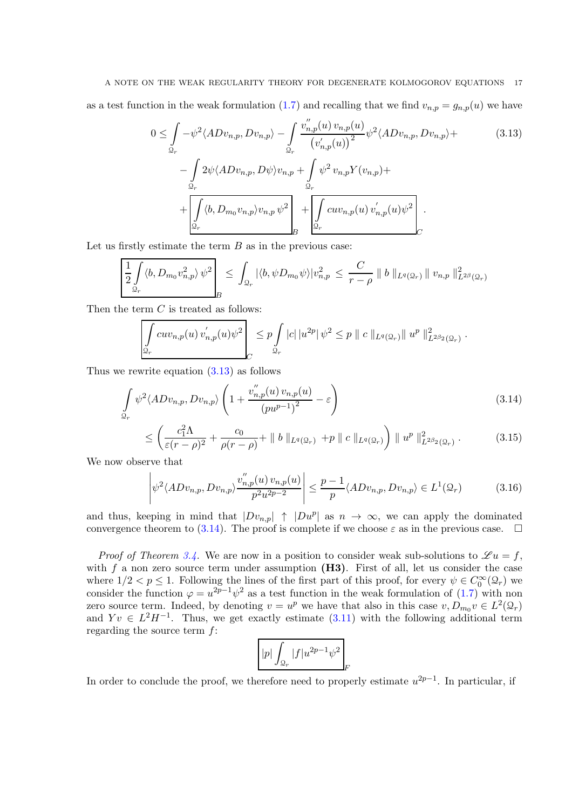# A NOTE ON THE WEAK REGULARITY THEORY FOR DEGENERATE KOLMOGOROV EQUATIONS 17

as a test function in the weak formulation [\(1.7\)](#page-3-1) and recalling that we find  $v_{n,p} = g_{n,p}(u)$  we have

<span id="page-16-0"></span>
$$
0 \leq \int_{\mathcal{Q}_r} -\psi^2 \langle ADv_{n,p}, Dv_{n,p} \rangle - \int_{\mathcal{Q}_r} \frac{v_{n,p}^{''}(u) v_{n,p}(u)}{(v_{n,p}^{'}(u))^{2}} \psi^2 \langle ADv_{n,p}, Dv_{n,p} \rangle + \frac{\int_{\mathcal{Q}_r} 2\psi \langle ADv_{n,p}, D\psi \rangle v_{n,p} + \int_{\mathcal{Q}_r} \psi^2 v_{n,p} Y(v_{n,p}) + \frac{\int_{\mathcal{Q}_r} 2\psi \langle ADv_{n,p}, D\psi \rangle v_{n,p} \psi^2}{\int_{\mathcal{Q}_r} \langle b, D_{m_0} v_{n,p} \rangle v_{n,p} \psi^2} + \frac{\int_{\mathcal{Q}_r} 2\psi v_{n,p}(u) v_{n,p}'(u) \psi^2}{\int_{\mathcal{Q}_r} 2\psi v_{n,p}(u) v_{n,p}'(u) \psi^2}.
$$
\n
$$
(3.13)
$$

Let us firstly estimate the term  $B$  as in the previous case:

$$
\left[\frac{1}{2}\int\limits_{\mathcal{Q}_r}\langle b, D_{m_0}v_{n,p}^2\rangle\,\psi^2\right]_B\leq \int_{\mathcal{Q}_r}|\langle b, \psi D_{m_0}\psi\rangle|v_{n,p}^2\leq \frac{C}{r-\rho}\parallel b\parallel_{L^q(\mathcal{Q}_r)}\parallel v_{n,p}\parallel_{L^{2\beta}(\mathcal{Q}_r)}^2
$$

Then the term  $C$  is treated as follows:

$$
\left| \int_{\mathcal{Q}_r} c u v_{n,p}(u) v'_{n,p}(u) \psi^2 \right|_{\mathcal{Q}_r} \leq p \int_{\mathcal{Q}_r} |c| \left| u^{2p} \right| \psi^2 \leq p \left\| c \right\|_{L^q(\mathcal{Q}_r)} \left\| u^p \right\|_{L^{2\beta_2}(\mathcal{Q}_r)}^2.
$$

Thus we rewrite equation [\(3.13\)](#page-16-0) as follows

$$
\int_{\Omega_r} \psi^2 \langle ADv_{n,p}, Dv_{n,p} \rangle \left( 1 + \frac{v_{n,p}''(u) v_{n,p}(u)}{(p u^{p-1})^2} - \varepsilon \right) \tag{3.14}
$$

$$
\leq \left(\frac{c_1^2 \Lambda}{\varepsilon (r - \rho)^2} + \frac{c_0}{\rho (r - \rho)} + ||b||_{L^q(\mathcal{Q}_r)} + p ||c||_{L^q(\mathcal{Q}_r)}\right) ||u^p||_{L^{2\beta_2}(\mathcal{Q}_r)}^2.
$$
(3.15)

We now observe that

$$
\left| \psi^2 \langle ADv_{n,p}, Dv_{n,p} \rangle \frac{v_{n,p}^{''}(u) v_{n,p}(u)}{p^2 u^{2p-2}} \right| \le \frac{p-1}{p} \langle ADv_{n,p}, Dv_{n,p} \rangle \in L^1(\mathcal{Q}_r)
$$
(3.16)

and thus, keeping in mind that  $|Dv_{n,p}| \uparrow |Du^p|$  as  $n \to \infty$ , we can apply the dominated convergence theorem to [\(3.14\)](#page-16-1). The proof is complete if we choose  $\varepsilon$  as in the previous case.  $\square$ 

*Proof of Theorem [3.4.](#page-14-0)* We are now in a position to consider weak sub-solutions to  $\mathscr{L} u = f$ , with f a non zero source term under assumption  $(H3)$ . First of all, let us consider the case where  $1/2 < p \le 1$ . Following the lines of the first part of this proof, for every  $\psi \in C_0^{\infty}(\mathcal{Q}_r)$  we consider the function  $\varphi = u^{2p-1}\psi^2$  as a test function in the weak formulation of [\(1.7\)](#page-3-1) with non zero source term. Indeed, by denoting  $v = u^p$  we have that also in this case  $v, D_{m_0} v \in L^2(\mathcal{Q}_r)$ and  $Yv \in L^2H^{-1}$ . Thus, we get exactly estimate [\(3.11\)](#page-15-0) with the following additional term regarding the source term f:

<span id="page-16-1"></span>
$$
\boxed{|p|\int_{\mathcal{Q}_r}|f|u^{2p-1}\psi^2}_{F}
$$

In order to conclude the proof, we therefore need to properly estimate  $u^{2p-1}$ . In particular, if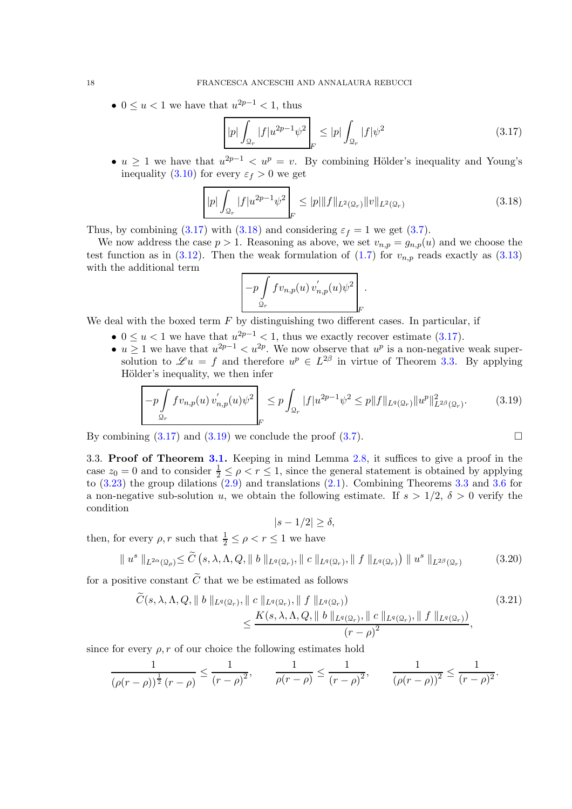•  $0 \le u < 1$  we have that  $u^{2p-1} < 1$ , thus

<span id="page-17-0"></span>
$$
|p| \int_{\mathcal{Q}_r} |f| u^{2p-1} \psi^2 \Big|_F \le |p| \int_{\mathcal{Q}_r} |f| \psi^2 \tag{3.17}
$$

•  $u \geq 1$  we have that  $u^{2p-1} < u^p = v$ . By combining Hölder's inequality and Young's inequality [\(3.10\)](#page-14-3) for every  $\varepsilon_f > 0$  we get

<span id="page-17-1"></span>
$$
|p| \int_{\mathcal{Q}_r} |f| u^{2p-1} \psi^2 \Big|_F \le |p| \|f\|_{L^2(\mathcal{Q}_r)} \|v\|_{L^2(\mathcal{Q}_r)} \tag{3.18}
$$

Thus, by combining [\(3.17\)](#page-17-0) with [\(3.18\)](#page-17-1) and considering  $\varepsilon_f = 1$  we get [\(3.7\)](#page-14-1).

We now address the case  $p > 1$ . Reasoning as above, we set  $v_{n,p} = g_{n,p}(u)$  and we choose the test function as in [\(3.12\)](#page-15-1). Then the weak formulation of [\(1.7\)](#page-3-1) for  $v_{n,p}$  reads exactly as [\(3.13\)](#page-16-0) with the additional term

$$
\left[ -p \int\limits_{\mathcal{Q}_r} f v_{n,p}(u) v'_{n,p}(u) \psi^2 \right]_F.
$$

We deal with the boxed term  $F$  by distinguishing two different cases. In particular, if

- $0 \le u < 1$  we have that  $u^{2p-1} < 1$ , thus we exactly recover estimate [\(3.17\)](#page-17-0).
- $u \geq 1$  we have that  $u^{2p-1} < u^{2p}$ . We now observe that  $u^p$  is a non-negative weak supersolution to  $\mathscr{L}u = f$  and therefore  $u^p \in L^{2\beta}$  in virtue of Theorem [3.3.](#page-12-1) By applying Hölder's inequality, we then infer

<span id="page-17-2"></span>
$$
-p\int_{\mathcal{Q}_r} f v_{n,p}(u) v'_{n,p}(u) \psi^2 \Big|_{F} \leq p \int_{\mathcal{Q}_r} |f| u^{2p-1} \psi^2 \leq p \|f\|_{L^q(\mathcal{Q}_r)} \|u^p\|_{L^{2\beta}(\mathcal{Q}_r)}^2. \tag{3.19}
$$

By combining  $(3.17)$  and  $(3.19)$  we conclude the proof  $(3.7)$ .

3.3. Proof of Theorem [3.1.](#page-11-1) Keeping in mind Lemma [2.8,](#page-11-3) it suffices to give a proof in the case  $z_0 = 0$  and to consider  $\frac{1}{2} \leq \rho < r \leq 1$ , since the general statement is obtained by applying to  $(3.23)$  the group dilations  $(2.9)$  and translations  $(2.1)$ . Combining Theorems [3.3](#page-12-1) and [3.6](#page-14-5) for a non-negative sub-solution u, we obtain the following estimate. If  $s > 1/2$ ,  $\delta > 0$  verify the condition

<span id="page-17-4"></span><span id="page-17-3"></span> $|s - 1/2| > \delta$ ,

then, for every  $\rho, r$  such that  $\frac{1}{2} \leq \rho < r \leq 1$  we have

$$
\|u^s\|_{L^{2\alpha}(\Omega_\rho)} \leq \widetilde{C}\left(s,\lambda,\Lambda,Q,\|\ b\|_{L^q(\Omega_r)},\|\ c\|_{L^q(\Omega_r)},\|\ f\|_{L^q(\Omega_r)}\right) \|\ u^s\|_{L^{2\beta}(\Omega_r)}\tag{3.20}
$$

for a positive constant  $\tilde{C}$  that we be estimated as follows

$$
\tilde{C}(s, \lambda, \Lambda, Q, \|\ b\|_{L^{q}(\mathcal{Q}_{r})}, \|\ c\|_{L^{q}(\mathcal{Q}_{r})}, \|\ f\|_{L^{q}(\mathcal{Q}_{r})})\n\n\leq \frac{K(s, \lambda, \Lambda, Q, \|\ b\|_{L^{q}(\mathcal{Q}_{r})}, \|\ c\|_{L^{q}(\mathcal{Q}_{r})}, \|\ f\|_{L^{q}(\mathcal{Q}_{r})})}{(r-\rho)^{2}},
$$
\n(3.21)

since for every  $\rho$ , r of our choice the following estimates hold

$$
\frac{1}{(\rho(r-\rho))^{\frac{1}{2}}(r-\rho)} \le \frac{1}{(r-\rho)^2}, \qquad \frac{1}{\rho(r-\rho)} \le \frac{1}{(r-\rho)^2}, \qquad \frac{1}{(\rho(r-\rho))^2} \le \frac{1}{(r-\rho)^2}.
$$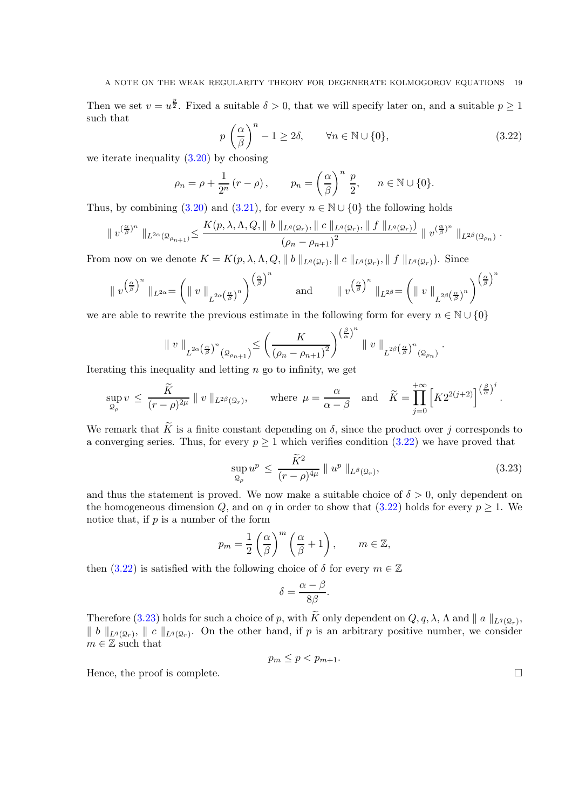Then we set  $v = u^{\frac{p}{2}}$ . Fixed a suitable  $\delta > 0$ , that we will specify later on, and a suitable  $p \ge 1$ such that

<span id="page-18-1"></span>
$$
p\left(\frac{\alpha}{\beta}\right)^n - 1 \ge 2\delta, \qquad \forall n \in \mathbb{N} \cup \{0\},\tag{3.22}
$$

we iterate inequality  $(3.20)$  by choosing

$$
\rho_n = \rho + \frac{1}{2^n} (r - \rho), \qquad p_n = \left(\frac{\alpha}{\beta}\right)^n \frac{p}{2}, \qquad n \in \mathbb{N} \cup \{0\}.
$$

Thus, by combining [\(3.20\)](#page-17-3) and [\(3.21\)](#page-17-4), for every  $n \in \mathbb{N} \cup \{0\}$  the following holds

$$
\|v^{(\frac{\alpha}{\beta})^n}\|_{L^{2\alpha}(\Omega_{\rho_{n+1}})} \leq \frac{K(p,\lambda,\Lambda,Q,\|\;b\; \|_{L^q(\Omega_r)},\|\;c\; \|_{L^q(\Omega_r)},\|\;f\; \|_{L^q(\Omega_r)})}{\left(\rho_n-\rho_{n+1}\right)^2}\;\|\;v^{(\frac{\alpha}{\beta})^n}\; \|_{L^{2\beta}(\Omega_{\rho_n})}\;.
$$

From now on we denote  $K = K(p, \lambda, \Lambda, Q, || b ||_{L^q(Q_r)}, || c ||_{L^q(Q_r)}, || f ||_{L^q(Q_r)}).$  Since

$$
\|v^{\left(\frac{\alpha}{\beta}\right)^n}\|_{L^{2\alpha}} = \left(\|v\|_{L^{2\alpha}\left(\frac{\alpha}{\beta}\right)^n}\right)^{\left(\frac{\alpha}{\beta}\right)^n} \quad \text{and} \quad \|v^{\left(\frac{\alpha}{\beta}\right)^n}\|_{L^{2\beta}} = \left(\|v\|_{L^{2\beta}\left(\frac{\alpha}{\beta}\right)^n}\right)^{\left(\frac{\alpha}{\beta}\right)^n}
$$

we are able to rewrite the previous estimate in the following form for every  $n \in \mathbb{N} \cup \{0\}$ 

$$
\parallel v\parallel_{L^{2\alpha\left(\frac{\alpha}{\beta}\right)^n}\left(\mathcal{Q}_{\rho_{n+1}}\right)}\leq \left(\frac{K}{\left(\rho_n-\rho_{n+1}\right)^2}\right)^{\left(\frac{\beta}{\alpha}\right)^n}\parallel v\parallel_{L^{2\beta}\left(\frac{\alpha}{\beta}\right)^n\left(\mathcal{Q}_{\rho_n}\right)}
$$

Iterating this inequality and letting  $n$  go to infinity, we get

$$
\sup_{\mathfrak{Q}_{\rho}} v \leq \frac{\widetilde{K}}{(r-\rho)^{2\mu}} \parallel v \parallel_{L^{2\beta}(\mathfrak{Q}_r)}, \quad \text{where } \mu = \frac{\alpha}{\alpha-\beta} \quad \text{and} \quad \widetilde{K} = \prod_{j=0}^{+\infty} \left[ K 2^{2(j+2)} \right]^{\left(\frac{\beta}{\alpha}\right)^j}.
$$

We remark that  $\widetilde{K}$  is a finite constant depending on  $\delta$ , since the product over j corresponds to a converging series. Thus, for every  $p \ge 1$  which verifies condition  $(3.22)$  we have proved that

<span id="page-18-0"></span>
$$
\sup_{\mathcal{Q}_{\rho}} u^p \le \frac{\tilde{K}^2}{(r-\rho)^{4\mu}} \parallel u^p \parallel_{L^{\beta}(\mathcal{Q}_r)},\tag{3.23}
$$

.

and thus the statement is proved. We now make a suitable choice of  $\delta > 0$ , only dependent on the homogeneous dimension Q, and on q in order to show that [\(3.22\)](#page-18-1) holds for every  $p \geq 1$ . We notice that, if  $p$  is a number of the form

$$
p_m = \frac{1}{2} \left( \frac{\alpha}{\beta} \right)^m \left( \frac{\alpha}{\beta} + 1 \right), \qquad m \in \mathbb{Z},
$$

then [\(3.22\)](#page-18-1) is satisfied with the following choice of  $\delta$  for every  $m \in \mathbb{Z}$ 

$$
\delta = \frac{\alpha - \beta}{8\beta}.
$$

Therefore [\(3.23\)](#page-18-0) holds for such a choice of p, with K only dependent on  $Q, q, \lambda$ ,  $\Lambda$  and  $||a||_{L^q(Q_r)}$ ,  $\| b \|_{L^q(Q_r)}, \| c \|_{L^q(Q_r)}.$  On the other hand, if p is an arbitrary positive number, we consider  $m \in \mathbb{Z}$  such that

$$
p_m \le p < p_{m+1}.
$$

Hence, the proof is complete.  $\Box$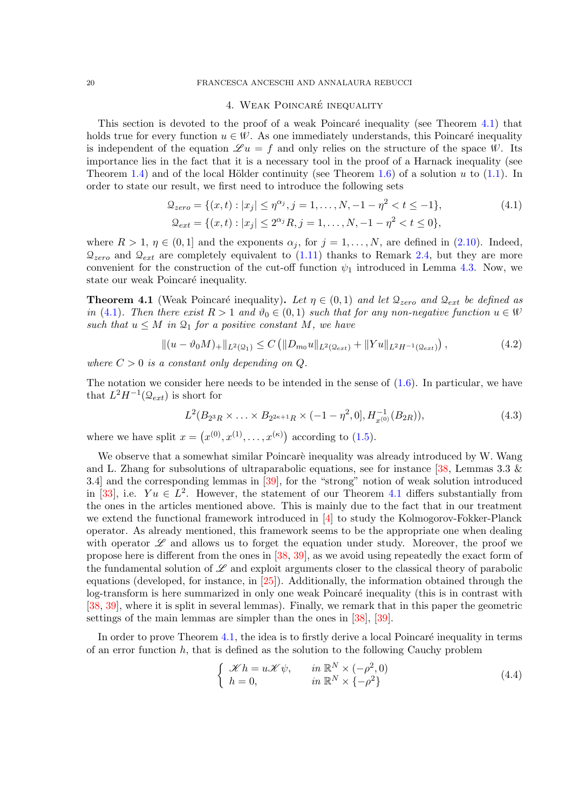## <span id="page-19-2"></span>4. WEAK POINCARÉ INEQUALITY

<span id="page-19-0"></span>This section is devoted to the proof of a weak Poincaré inequality (see Theorem [4.1\)](#page-19-1) that holds true for every function  $u \in \mathcal{W}$ . As one immediately understands, this Poincaré inequality is independent of the equation  $\mathscr{L} u = f$  and only relies on the structure of the space W. Its importance lies in the fact that it is a necessary tool in the proof of a Harnack inequality (see Theorem [1.4\)](#page-4-2) and of the local Hölder continuity (see Theorem [1.6\)](#page-5-0) of a solution u to  $(1.1)$ . In order to state our result, we first need to introduce the following sets

$$
\mathcal{Q}_{zero} = \{(x, t) : |x_j| \le \eta^{\alpha_j}, j = 1, \dots, N, -1 - \eta^2 < t \le -1\},\
$$
\n
$$
\mathcal{Q}_{ext} = \{(x, t) : |x_j| \le 2^{\alpha_j} R, j = 1, \dots, N, -1 - \eta^2 < t \le 0\},\
$$
\n
$$
(4.1)
$$

where  $R > 1$ ,  $\eta \in (0, 1]$  and the exponents  $\alpha_j$ , for  $j = 1, \ldots, N$ , are defined in [\(2.10\)](#page-8-3). Indeed,  $\mathcal{Q}_{zero}$  and  $\mathcal{Q}_{ext}$  are completely equivalent to [\(1.11\)](#page-4-0) thanks to Remark [2.4,](#page-8-4) but they are more convenient for the construction of the cut-off function  $\psi_1$  introduced in Lemma [4.3.](#page-22-0) Now, we state our weak Poincaré inequality.

<span id="page-19-1"></span>**Theorem 4.1** (Weak Poincaré inequality). Let  $\eta \in (0,1)$  and let  $\mathcal{Q}_{zero}$  and  $\mathcal{Q}_{ext}$  be defined as in [\(4.1\)](#page-19-2). Then there exist  $R > 1$  and  $\vartheta_0 \in (0,1)$  such that for any non-negative function  $u \in \mathcal{W}$ such that  $u \leq M$  in  $\mathfrak{Q}_1$  for a positive constant M, we have

$$
\|(u - \vartheta_0 M)_+\|_{L^2(\Omega_1)} \le C \left( \|D_{m_0} u\|_{L^2(\Omega_{ext})} + \|Yu\|_{L^2 H^{-1}(\Omega_{ext})} \right),\tag{4.2}
$$

where  $C > 0$  is a constant only depending on Q.

The notation we consider here needs to be intended in the sense of  $(1.6)$ . In particular, we have that  $L^2H^{-1}(\mathcal{Q}_{ext})$  is short for

<span id="page-19-4"></span>
$$
L^{2}(B_{2^{3}R} \times \ldots \times B_{2^{2\kappa+1}R} \times (-1-\eta^{2},0], H_{x^{(0)}}^{-1}(B_{2R})),
$$
\n(4.3)

where we have split  $x = (x^{(0)}, x^{(1)}, \dots, x^{(\kappa)})$  according to [\(1.5\)](#page-2-1).

We observe that a somewhat similar Poincarè inequality was already introduced by W. Wang and L. Zhang for subsolutions of ultraparabolic equations, see for instance  $[38,$  Lemmas 3.3  $\&$ 3.4] and the corresponding lemmas in [\[39\]](#page-35-1), for the "strong" notion of weak solution introduced in [\[33\]](#page-34-10), i.e.  $Yu \in L^2$ . However, the statement of our Theorem [4.1](#page-19-1) differs substantially from the ones in the articles mentioned above. This is mainly due to the fact that in our treatment we extend the functional framework introduced in [\[4\]](#page-33-2) to study the Kolmogorov-Fokker-Planck operator. As already mentioned, this framework seems to be the appropriate one when dealing with operator  $\mathscr L$  and allows us to forget the equation under study. Moreover, the proof we propose here is different from the ones in [\[38,](#page-35-0) [39\]](#page-35-1), as we avoid using repeatedly the exact form of the fundamental solution of  $\mathscr L$  and exploit arguments closer to the classical theory of parabolic equations (developed, for instance, in [\[25\]](#page-34-18)). Additionally, the information obtained through the log-transform is here summarized in only one weak Poincaré inequality (this is in contrast with [\[38,](#page-35-0) [39\]](#page-35-1), where it is split in several lemmas). Finally, we remark that in this paper the geometric settings of the main lemmas are simpler than the ones in [\[38\]](#page-35-0), [\[39\]](#page-35-1).

In order to prove Theorem  $4.1$ , the idea is to firstly derive a local Poincaré inequality in terms of an error function  $h$ , that is defined as the solution to the following Cauchy problem

<span id="page-19-3"></span>
$$
\begin{cases}\n\mathcal{K}h = u\mathcal{K}\psi, & \text{in } \mathbb{R}^N \times (-\rho^2, 0) \\
h = 0, & \text{in } \mathbb{R}^N \times \{-\rho^2\}\n\end{cases}
$$
\n(4.4)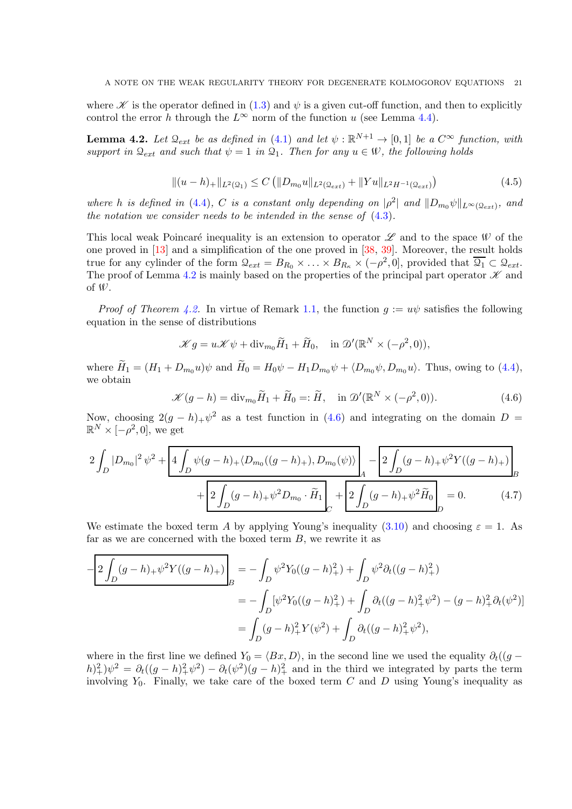where  $\mathscr K$  is the operator defined in [\(1.3\)](#page-1-1) and  $\psi$  is a given cut-off function, and then to explicitly control the error h through the  $L^{\infty}$  norm of the function u (see Lemma [4.4\)](#page-22-1).

<span id="page-20-0"></span>**Lemma 4.2.** Let  $\mathcal{Q}_{ext}$  be as defined in [\(4.1\)](#page-19-2) and let  $\psi : \mathbb{R}^{N+1} \to [0,1]$  be a  $C^{\infty}$  function, with support in  $\mathcal{Q}_{ext}$  and such that  $\psi = 1$  in  $\mathcal{Q}_1$ . Then for any  $u \in \mathcal{W}$ , the following holds

$$
||(u-h)_{+}||_{L^{2}(\Omega_{1})} \leq C \left( ||D_{m_{0}}u||_{L^{2}(\Omega_{ext})} + ||Yu||_{L^{2}H^{-1}(\Omega_{ext})} \right)
$$
\n(4.5)

where h is defined in [\(4.4\)](#page-19-3), C is a constant only depending on  $|\rho^2|$  and  $||D_{m_0}\psi||_{L^{\infty}(\mathcal{Q}_{ext})}$ , and the notation we consider needs to be intended in the sense of [\(4.3\)](#page-19-4).

This local weak Poincaré inequality is an extension to operator  $\mathscr L$  and to the space W of the one proved in [\[13\]](#page-34-8) and a simplification of the one proved in [\[38,](#page-35-0) [39\]](#page-35-1). Moreover, the result holds true for any cylinder of the form  $\mathcal{Q}_{ext} = B_{R_0} \times \ldots \times B_{R_{\kappa}} \times (-\rho^2, 0]$ , provided that  $\overline{\mathcal{Q}_1} \subset \mathcal{Q}_{ext}$ . The proof of Lemma [4.2](#page-20-0) is mainly based on the properties of the principal part operator  $\mathscr K$  and of W.

*Proof of Theorem [4.2.](#page-20-0)* In virtue of Remark [1.1,](#page-3-2) the function  $g := u\psi$  satisfies the following equation in the sense of distributions

$$
\mathcal{K}g = u\mathcal{K}\psi + \text{div}_{m_0}\widetilde{H}_1 + \widetilde{H}_0, \quad \text{in } \mathcal{D}'(\mathbb{R}^N \times (-\rho^2, 0)),
$$

where  $\widetilde{H}_1 = (H_1 + D_{m_0}u)\psi$  and  $\widetilde{H}_0 = H_0\psi - H_1D_{m_0}\psi + \langle D_{m_0}\psi, D_{m_0}u\rangle$ . Thus, owing to [\(4.4\)](#page-19-3), we obtain

<span id="page-20-2"></span><span id="page-20-1"></span>
$$
\mathcal{K}(g-h) = \text{div}_{m_0} \widetilde{H}_1 + \widetilde{H}_0 =: \widetilde{H}, \quad \text{in } \mathcal{D}'(\mathbb{R}^N \times (-\rho^2, 0)). \tag{4.6}
$$

Now, choosing  $2(g-h)+\psi^2$  as a test function in [\(4.6\)](#page-20-1) and integrating on the domain  $D =$  $\mathbb{R}^N \times [-\rho^2, 0]$ , we get

$$
2\int_{D} |D_{m_0}|^2 \psi^2 + \left[4\int_{D} \psi(g-h)_+ \langle D_{m_0}((g-h)_+), D_{m_0}(\psi) \rangle \right]_A - \left[2\int_{D} (g-h)_+ \psi^2 Y((g-h)_+)\right]_B + \left[2\int_{D} (g-h)_+ \psi^2 D_{m_0} \cdot \widetilde{H}_1 \right]_C + \left[2\int_{D} (g-h)_+ \psi^2 \widetilde{H}_0 \right]_D = 0. \tag{4.7}
$$

We estimate the boxed term A by applying Young's inequality [\(3.10\)](#page-14-3) and choosing  $\varepsilon = 1$ . As far as we are concerned with the boxed term  $B$ , we rewrite it as

$$
-\frac{2\int_D (g-h)_+\psi^2 Y((g-h)_+)}{B} = -\int_D \psi^2 Y_0((g-h)_+^2) + \int_D \psi^2 \partial_t ((g-h)_+^2)
$$
  
= 
$$
-\int_D [\psi^2 Y_0((g-h)_+^2) + \int_D \partial_t ((g-h)_+^2 \psi^2) - (g-h)_+^2 \partial_t (\psi^2)]
$$
  
= 
$$
\int_D (g-h)_+^2 Y(\psi^2) + \int_D \partial_t ((g-h)_+^2 \psi^2),
$$

where in the first line we defined  $Y_0 = \langle Bx, D \rangle$ , in the second line we used the equality  $\partial_t((g (h)_+^2 \psi^2 = \partial_t((g-h)_+^2 \psi^2) - \partial_t(\psi^2)(g-h)_+^2$  and in the third we integrated by parts the term involving  $Y_0$ . Finally, we take care of the boxed term C and D using Young's inequality as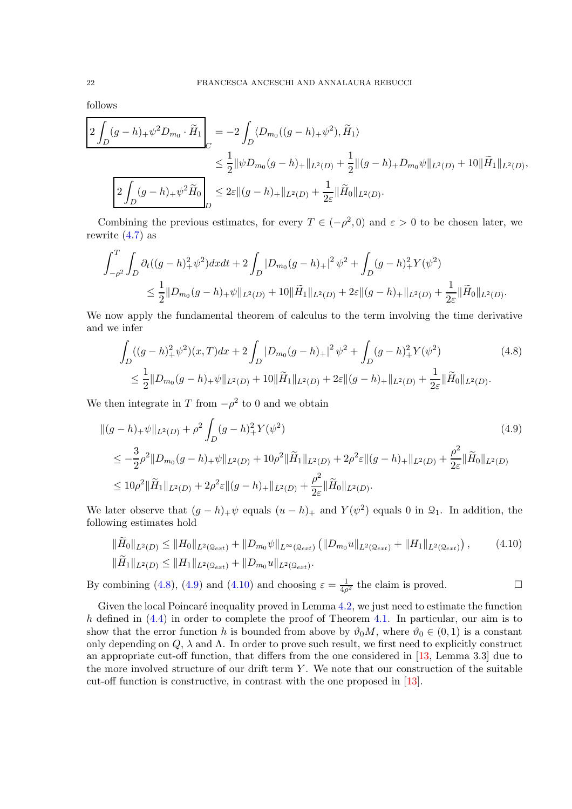follows

$$
\begin{split}\n&\frac{2\int_D (g-h)_+\psi^2 D_{m_0} \cdot \widetilde{H}_1}{\sqrt{D}} = -2 \int_D \langle D_{m_0}((g-h)_+\psi^2), \widetilde{H}_1 \rangle \\
&\leq \frac{1}{2} \|\psi D_{m_0}(g-h)_+\|_{L^2(D)} + \frac{1}{2} \|(g-h)_+ D_{m_0}\psi\|_{L^2(D)} + 10 \|\widetilde{H}_1\|_{L^2(D)}, \\
&\frac{2\int_D (g-h)_+\psi^2 \widetilde{H}_0}{\sqrt{D}} \leq 2\varepsilon \|(g-h)_+\|_{L^2(D)} + \frac{1}{2\varepsilon} \|\widetilde{H}_0\|_{L^2(D)}.\n\end{split}
$$

Combining the previous estimates, for every  $T \in (-\rho^2, 0)$  and  $\varepsilon > 0$  to be chosen later, we rewrite  $(4.7)$  as

$$
\int_{-\rho^2}^T \int_D \partial_t ((g-h)_+^2 \psi^2) dx dt + 2 \int_D |D_{m_0}(g-h)_+|^2 \psi^2 + \int_D (g-h)_+^2 Y(\psi^2) \n\leq \frac{1}{2} ||D_{m_0}(g-h)_+ \psi||_{L^2(D)} + 10 ||\widetilde{H}_1||_{L^2(D)} + 2\varepsilon ||(g-h)_+||_{L^2(D)} + \frac{1}{2\varepsilon} ||\widetilde{H}_0||_{L^2(D)}.
$$

We now apply the fundamental theorem of calculus to the term involving the time derivative and we infer

<span id="page-21-1"></span><span id="page-21-0"></span>
$$
\int_{D} ((g-h)_+^2 \psi^2)(x,T)dx + 2 \int_{D} |D_{m_0}(g-h)_+|^2 \psi^2 + \int_{D} (g-h)_+^2 Y(\psi^2) \tag{4.8}
$$
\n
$$
\leq \frac{1}{2} \|D_{m_0}(g-h)_+ \psi\|_{L^2(D)} + 10 \|\widetilde{H}_1\|_{L^2(D)} + 2\varepsilon \|(g-h)_+\|_{L^2(D)} + \frac{1}{2\varepsilon} \|\widetilde{H}_0\|_{L^2(D)}.
$$

We then integrate in T from  $-\rho^2$  to 0 and we obtain

$$
\begin{split} \|(g-h)_{+}\psi\|_{L^{2}(D)} &+ \rho^{2} \int_{D} (g-h)_{+}^{2} Y(\psi^{2}) \\ &\leq -\frac{3}{2}\rho^{2} \|D_{m_{0}}(g-h)_{+}\psi\|_{L^{2}(D)} + 10\rho^{2} \|\widetilde{H}_{1}\|_{L^{2}(D)} + 2\rho^{2}\varepsilon \|(g-h)_{+}\|_{L^{2}(D)} + \frac{\rho^{2}}{2\varepsilon} \|\widetilde{H}_{0}\|_{L^{2}(D)} \\ &\leq 10\rho^{2} \|\widetilde{H}_{1}\|_{L^{2}(D)} + 2\rho^{2}\varepsilon \|(g-h)_{+}\|_{L^{2}(D)} + \frac{\rho^{2}}{2\varepsilon} \|\widetilde{H}_{0}\|_{L^{2}(D)}. \end{split} \tag{4.9}
$$

We later observe that  $(g - h)_{+} \psi$  equals  $(u - h)_{+}$  and  $Y(\psi^2)$  equals 0 in  $\mathcal{Q}_1$ . In addition, the following estimates hold

<span id="page-21-2"></span>
$$
\|\widetilde{H}_0\|_{L^2(D)} \le \|H_0\|_{L^2(\Omega_{ext})} + \|D_{m_0}\psi\|_{L^\infty(\Omega_{ext})} \left(\|D_{m_0}u\|_{L^2(\Omega_{ext})} + \|H_1\|_{L^2(\Omega_{ext})}\right),\tag{4.10}
$$
  

$$
\|\widetilde{H}_1\|_{L^2(D)} \le \|H_1\|_{L^2(\Omega_{ext})} + \|D_{m_0}u\|_{L^2(\Omega_{ext})}.
$$

By combining [\(4.8\)](#page-21-0), [\(4.9\)](#page-21-1) and [\(4.10\)](#page-21-2) and choosing  $\varepsilon = \frac{1}{4\rho}$  $\frac{1}{4\rho^2}$  the claim is proved.

Given the local Poincaré inequality proved in Lemma  $4.2$ , we just need to estimate the function h defined in  $(4.4)$  in order to complete the proof of Theorem [4.1.](#page-19-1) In particular, our aim is to show that the error function h is bounded from above by  $\vartheta_0 M$ , where  $\vartheta_0 \in (0,1)$  is a constant only depending on  $Q$ ,  $\lambda$  and  $\Lambda$ . In order to prove such result, we first need to explicitly construct an appropriate cut-off function, that differs from the one considered in [\[13,](#page-34-8) Lemma 3.3] due to the more involved structure of our drift term  $Y$ . We note that our construction of the suitable cut-off function is constructive, in contrast with the one proposed in [\[13\]](#page-34-8).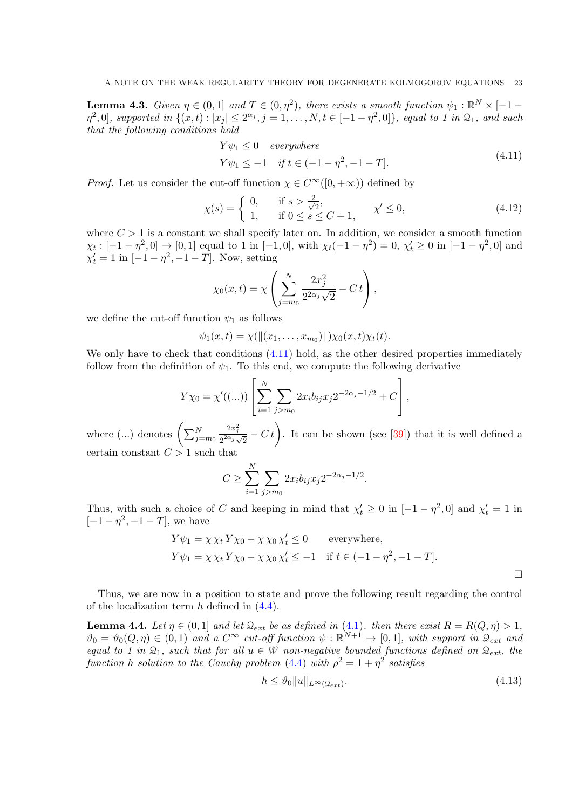<span id="page-22-0"></span>**Lemma 4.3.** Given  $\eta \in (0,1]$  and  $T \in (0,\eta^2)$ , there exists a smooth function  $\psi_1 : \mathbb{R}^N \times [-1-\eta^2]$  $\eta^2, 0$ , supported in  $\{(x, t) : |x_j| \leq 2^{\alpha_j}, j = 1, \ldots, N, t \in [-1 - \eta^2, 0]\}$ , equal to 1 in  $\mathfrak{Q}_1$ , and such that the following conditions hold

$$
Y\psi_1 \le 0 \quad everywhere
$$
  
\n
$$
Y\psi_1 \le -1 \quad if \ t \in (-1 - \eta^2, -1 - T].
$$
\n(4.11)

<span id="page-22-2"></span>*Proof.* Let us consider the cut-off function  $\chi \in C^{\infty}([0, +\infty))$  defined by

$$
\chi(s) = \begin{cases} 0, & \text{if } s > \frac{2}{\sqrt{2}}, \\ 1, & \text{if } 0 \le s \le C + 1, \end{cases} \chi' \le 0,
$$
\n(4.12)

where  $C > 1$  is a constant we shall specify later on. In addition, we consider a smooth function  $\chi_t: [-1-\eta^2, 0] \to [0,1]$  equal to 1 in [-1, 0], with  $\chi_t(-1-\eta^2) = 0$ ,  $\chi'_t \ge 0$  in [-1 -  $\eta^2, 0$ ] and  $\chi'_t = 1$  in  $[-1 - \eta^2, -1 - T]$ . Now, setting

$$
\chi_0(x,t) = \chi \left( \sum_{j=m_0}^{N} \frac{2x_j^2}{2^{2\alpha_j} \sqrt{2}} - C t \right),
$$

we define the cut-off function  $\psi_1$  as follows

 $\psi_1(x,t) = \chi(\|(x_1,\ldots,x_{m_0})\|)\chi_0(x,t)\chi_t(t).$ 

We only have to check that conditions  $(4.11)$  hold, as the other desired properties immediately follow from the definition of  $\psi_1$ . To this end, we compute the following derivative

$$
Y\chi_0 = \chi'((...)) \left[ \sum_{i=1}^N \sum_{j > m_0} 2x_i b_{ij} x_j 2^{-2\alpha_j - 1/2} + C \right],
$$

where (...) denotes  $\left(\sum_{j=m_0}^{N}$  $2x_j^2$  $\frac{2x_j^2}{2^{2\alpha_j}\sqrt{2}}$  –  $C t$ . It can be shown (see [\[39\]](#page-35-1)) that it is well defined a certain constant  $C > 1$  such that

$$
C \ge \sum_{i=1}^{N} \sum_{j > m_0} 2x_i b_{ij} x_j 2^{-2\alpha_j - 1/2}.
$$

Thus, with such a choice of C and keeping in mind that  $\chi'_t \geq 0$  in  $[-1 - \eta^2, 0]$  and  $\chi'_t = 1$  in  $[-1 - \eta^2, -1 - T]$ , we have

$$
Y\psi_1 = \chi \chi_t Y \chi_0 - \chi \chi_0 \chi'_t \le 0 \qquad \text{everywhere},
$$
  
\n
$$
Y\psi_1 = \chi \chi_t Y \chi_0 - \chi \chi_0 \chi'_t \le -1 \quad \text{if } t \in (-1 - \eta^2, -1 - T].
$$

Thus, we are now in a position to state and prove the following result regarding the control of the localization term  $h$  defined in  $(4.4)$ .

<span id="page-22-1"></span>**Lemma 4.4.** Let  $\eta \in (0,1]$  and let  $\mathcal{Q}_{ext}$  be as defined in [\(4.1\)](#page-19-2). then there exist  $R = R(Q, \eta) > 1$ ,  $\vartheta_0 = \vartheta_0(Q,\eta) \in (0,1)$  and a  $C^{\infty}$  cut-off function  $\psi : \mathbb{R}^{N+1} \to [0,1]$ , with support in  $\mathcal{Q}_{ext}$  and equal to 1 in  $\mathfrak{Q}_1$ , such that for all  $u \in W$  non-negative bounded functions defined on  $\mathfrak{Q}_{ext}$ , the function h solution to the Cauchy problem [\(4.4\)](#page-19-3) with  $\rho^2 = 1 + \eta^2$  satisfies

<span id="page-22-3"></span>
$$
h \leq \vartheta_0 \|u\|_{L^{\infty}(\Omega_{ext})}.\tag{4.13}
$$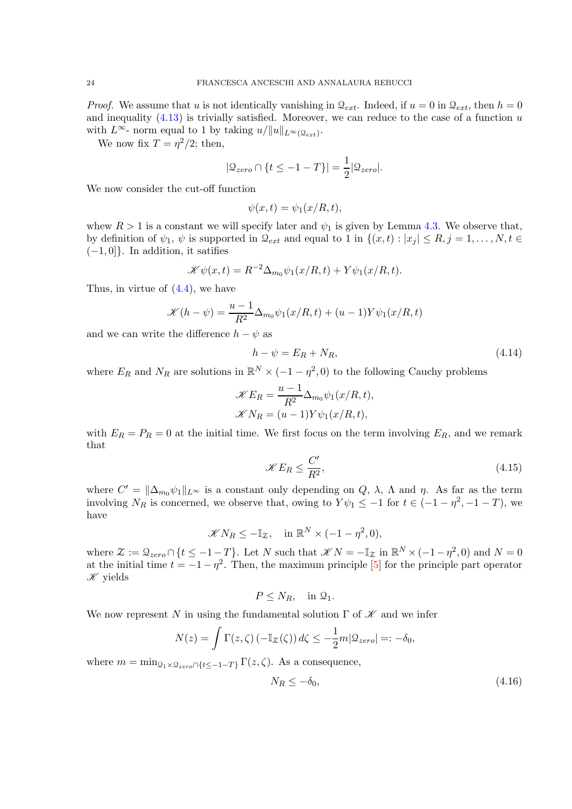*Proof.* We assume that u is not identically vanishing in  $\mathcal{Q}_{ext}$ . Indeed, if  $u = 0$  in  $\mathcal{Q}_{ext}$ , then  $h = 0$ and inequality  $(4.13)$  is trivially satisfied. Moreover, we can reduce to the case of a function  $u$ with  $L^{\infty}$ - norm equal to 1 by taking  $u/||u||_{L^{\infty}(\mathcal{Q}_{ext})}$ .

We now fix  $T = \eta^2/2$ ; then,

$$
|\mathcal{Q}_{zero} \cap \{t \le -1 - T\}| = \frac{1}{2} |\mathcal{Q}_{zero}|.
$$

We now consider the cut-off function

$$
\psi(x,t) = \psi_1(x/R, t),
$$

whew  $R > 1$  is a constant we will specify later and  $\psi_1$  is given by Lemma [4.3.](#page-22-0) We observe that, by definition of  $\psi_1, \psi$  is supported in  $\mathcal{Q}_{ext}$  and equal to 1 in  $\{(x, t) : |x_i| \leq R, j = 1, \ldots, N, t \in$  $(-1, 0]$ . In addition, it satifies

$$
\mathcal{K}\psi(x,t) = R^{-2}\Delta_{m_0}\psi_1(x/R,t) + Y\psi_1(x/R,t).
$$

Thus, in virtue of [\(4.4\)](#page-19-3), we have

$$
\mathcal{K}(h - \psi) = \frac{u - 1}{R^2} \Delta_{m_0} \psi_1(x/R, t) + (u - 1)Y\psi_1(x/R, t)
$$

and we can write the difference  $h - \psi$  as

<span id="page-23-2"></span>
$$
h - \psi = E_R + N_R, \tag{4.14}
$$

where  $E_R$  and  $N_R$  are solutions in  $\mathbb{R}^N \times (-1 - \eta^2, 0)$  to the following Cauchy problems

$$
\mathcal{K}E_R = \frac{u-1}{R^2} \Delta_{m_0} \psi_1(x/R, t),
$$
  

$$
\mathcal{K}N_R = (u-1)Y\psi_1(x/R, t),
$$

with  $E_R = P_R = 0$  at the initial time. We first focus on the term involving  $E_R$ , and we remark that

<span id="page-23-0"></span>
$$
\mathcal{K}E_R \le \frac{C'}{R^2},\tag{4.15}
$$

where  $C' = ||\Delta_{m_0}\psi_1||_{L^\infty}$  is a constant only depending on Q,  $\lambda$ ,  $\Lambda$  and  $\eta$ . As far as the term involving  $N_R$  is concerned, we observe that, owing to  $Y\psi_1 \leq -1$  for  $t \in (-1 - \eta^2, -1 - T)$ , we have

$$
\mathscr{K} N_R \leq -\mathbb{I}_{\mathcal{Z}}, \quad \text{in } \mathbb{R}^N \times (-1 - \eta^2, 0),
$$

where  $\mathcal{Z} := \mathcal{Q}_{zero} \cap \{t \leq -1 - T\}$ . Let N such that  $\mathcal{K}N = -\mathbb{I}_{\mathcal{Z}}$  in  $\mathbb{R}^N \times (-1 - \eta^2, 0)$  and  $N = 0$ at the initial time  $t = -1 - \eta^2$ . Then, the maximum principle [\[5\]](#page-33-9) for the principle part operator  $\mathscr K$  yields

$$
P\leq N_R,\quad\text{in }\mathfrak{Q}_1.
$$

We now represent N in using the fundamental solution  $\Gamma$  of  $\mathscr K$  and we infer

$$
N(z) = \int \Gamma(z,\zeta) \left(-\mathbb{I}_{\mathcal{Z}}(\zeta)\right) d\zeta \le -\frac{1}{2}m|\mathfrak{Q}_{zero}| =: -\delta_0,
$$

where  $m = \min_{Q_1 \times Q_{zero} \cap \{t \leq -1 - T\}} \Gamma(z, \zeta)$ . As a consequence,

<span id="page-23-1"></span>
$$
N_R \le -\delta_0,\tag{4.16}
$$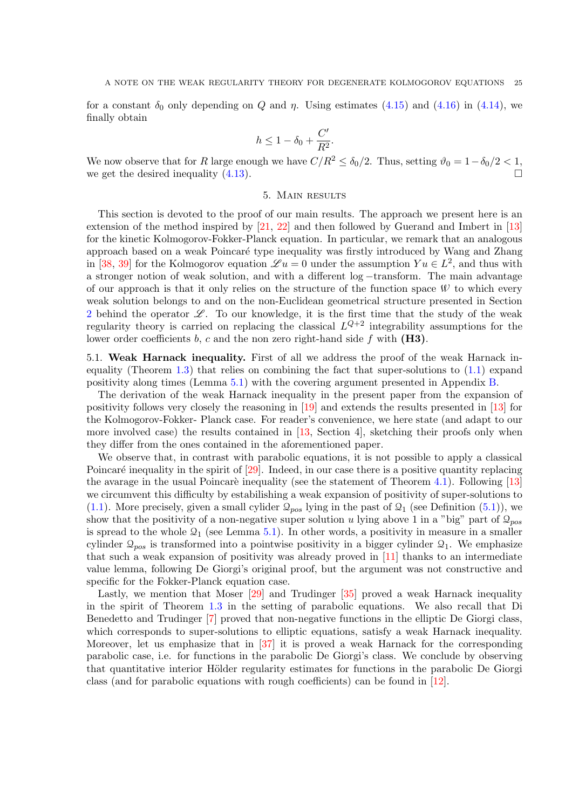for a constant  $\delta_0$  only depending on Q and  $\eta$ . Using estimates [\(4.15\)](#page-23-0) and [\(4.16\)](#page-23-1) in [\(4.14\)](#page-23-2), we finally obtain

$$
h \le 1 - \delta_0 + \frac{C'}{R^2}.
$$

<span id="page-24-0"></span>We now observe that for R large enough we have  $C/R^2 \le \delta_0/2$ . Thus, setting  $\vartheta_0 = 1 - \delta_0/2 < 1$ , we get the desired inequality (4.13) we get the desired inequality  $(4.13)$ .

## 5. Main results

This section is devoted to the proof of our main results. The approach we present here is an extension of the method inspired by [\[21,](#page-34-19) [22\]](#page-34-20) and then followed by Guerand and Imbert in [\[13\]](#page-34-8) for the kinetic Kolmogorov-Fokker-Planck equation. In particular, we remark that an analogous approach based on a weak Poincaré type inequality was firstly introduced by Wang and Zhang in [\[38,](#page-35-0) [39\]](#page-35-1) for the Kolmogorov equation  $\mathscr{L} u = 0$  under the assumption  $Yu \in L^2$ , and thus with a stronger notion of weak solution, and with a different log −transform. The main advantage of our approach is that it only relies on the structure of the function space  $W$  to which every weak solution belongs to and on the non-Euclidean geometrical structure presented in Section [2](#page-6-0) behind the operator  $\mathscr{L}$ . To our knowledge, it is the first time that the study of the weak regularity theory is carried on replacing the classical  $L^{Q+2}$  integrability assumptions for the lower order coefficients b, c and the non zero right-hand side f with  $(H3)$ .

5.1. Weak Harnack inequality. First of all we address the proof of the weak Harnack inequality (Theorem [1.3\)](#page-4-1) that relies on combining the fact that super-solutions to [\(1.1\)](#page-0-1) expand positivity along times (Lemma [5.1\)](#page-25-0) with the covering argument presented in Appendix [B.](#page-33-0)

The derivation of the weak Harnack inequality in the present paper from the expansion of positivity follows very closely the reasoning in [\[19\]](#page-34-11) and extends the results presented in [\[13\]](#page-34-8) for the Kolmogorov-Fokker- Planck case. For reader's convenience, we here state (and adapt to our more involved case) the results contained in [\[13,](#page-34-8) Section 4], sketching their proofs only when they differ from the ones contained in the aforementioned paper.

We observe that, in contrast with parabolic equations, it is not possible to apply a classical Poincaré inequality in the spirit of  $[29]$ . Indeed, in our case there is a positive quantity replacing the avarage in the usual Poincaré inequality (see the statement of Theorem [4.1\)](#page-19-1). Following  $[13]$ we circumvent this difficulty by estabilishing a weak expansion of positivity of super-solutions to  $(1.1)$ . More precisely, given a small cylider  $\mathcal{Q}_{pos}$  lying in the past of  $\mathcal{Q}_1$  (see Definition [\(5.1\)](#page-25-1)), we show that the positivity of a non-negative super solution u lying above 1 in a "big" part of  $\mathcal{Q}_{pos}$ is spread to the whole  $\mathcal{Q}_1$  (see Lemma [5.1\)](#page-25-0). In other words, a positivity in measure in a smaller cylinder  $\mathcal{Q}_{pos}$  is transformed into a pointwise positivity in a bigger cylinder  $\mathcal{Q}_1$ . We emphasize that such a weak expansion of positivity was already proved in [\[11\]](#page-34-7) thanks to an intermediate value lemma, following De Giorgi's original proof, but the argument was not constructive and specific for the Fokker-Planck equation case.

Lastly, we mention that Moser [\[29\]](#page-34-21) and Trudinger [\[35\]](#page-34-22) proved a weak Harnack inequality in the spirit of Theorem [1.3](#page-4-1) in the setting of parabolic equations. We also recall that Di Benedetto and Trudinger [\[7\]](#page-33-10) proved that non-negative functions in the elliptic De Giorgi class, which corresponds to super-solutions to elliptic equations, satisfy a weak Harnack inequality. Moreover, let us emphasize that in [\[37\]](#page-35-3) it is proved a weak Harnack for the corresponding parabolic case, i.e. for functions in the parabolic De Giorgi's class. We conclude by observing that quantitative interior Hölder regularity estimates for functions in the parabolic De Giorgi class (and for parabolic equations with rough coefficients) can be found in [\[12\]](#page-34-23).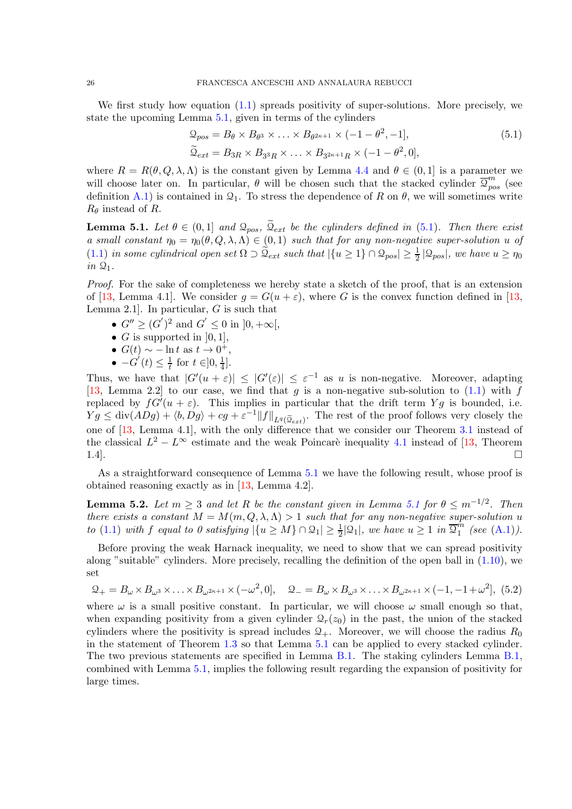We first study how equation [\(1.1\)](#page-0-1) spreads positivity of super-solutions. More precisely, we state the upcoming Lemma [5.1,](#page-25-0) given in terms of the cylinders

<span id="page-25-1"></span>
$$
\mathcal{Q}_{pos} = B_{\theta} \times B_{\theta^3} \times \ldots \times B_{\theta^{2\kappa+1}} \times (-1 - \theta^2, -1],
$$
\n
$$
\widetilde{\mathcal{Q}}_{ext} = B_{3R} \times B_{3^3R} \times \ldots \times B_{3^{2\kappa+1}R} \times (-1 - \theta^2, 0],
$$
\n(5.1)

where  $R = R(\theta, Q, \lambda, \Lambda)$  is the constant given by Lemma [4.4](#page-22-1) and  $\theta \in (0, 1]$  is a parameter we will choose later on. In particular,  $\theta$  will be chosen such that the stacked cylinder  $\overline{\mathcal{Q}}_{pos}^{m}$  (see definition [A.1\)](#page-28-1) is contained in  $\mathcal{Q}_1$ . To stress the dependence of R on  $\theta$ , we will sometimes write  $R_{\theta}$  instead of R.

<span id="page-25-0"></span>**Lemma 5.1.** Let  $\theta \in (0,1]$  and  $\mathcal{Q}_{pos}$ ,  $\widetilde{\mathcal{Q}}_{ext}$  be the cylinders defined in [\(5.1\)](#page-25-1). Then there exist a small constant  $\eta_0 = \eta_0(\theta, Q, \lambda, \Lambda) \in (0, 1)$  such that for any non-negative super-solution u of  $(1.1)$  in some cylindrical open set  $\Omega \supset \widetilde{Q}_{ext}$  such that  $|\{u \geq 1\} \cap \mathcal{Q}_{pos}| \geq \frac{1}{2} |\mathcal{Q}_{pos}|$ , we have  $u \geq \eta_0$  $in \mathcal{Q}_1$ .

Proof. For the sake of completeness we hereby state a sketch of the proof, that is an extension of [\[13,](#page-34-8) Lemma 4.1]. We consider  $q = G(u + \varepsilon)$ , where G is the convex function defined in [13, Lemma 2.1. In particular,  $G$  is such that

- $G'' \ge (G')^2$  and  $G' \le 0$  in  $]0, +\infty[,$
- G is supported in  $[0, 1]$ ,
- $G(t) \sim -\ln t$  as  $t \to 0^+,$
- $\bullet$   $-G'(t) \leq \frac{1}{t}$  $\frac{1}{t}$  for  $t \in ]0, \frac{1}{4}$  $\frac{1}{4}$ .

Thus, we have that  $|G'(u+\varepsilon)| \leq |G'(\varepsilon)| \leq \varepsilon^{-1}$  as u is non-negative. Moreover, adapting [\[13,](#page-34-8) Lemma 2.2] to our case, we find that g is a non-negative sub-solution to [\(1.1\)](#page-0-1) with f replaced by  $fG'(u+\varepsilon)$ . This implies in particular that the drift term Yg is bounded, i.e.  $Yg \leq \text{div}(ADg) + \langle b, Dg \rangle + cg + \varepsilon^{-1} ||f||_{L^q(\widetilde{\mathfrak{Q}}_{ext})}.$  The rest of the proof follows very closely the one of [\[13,](#page-34-8) Lemma 4.1], with the only difference that we consider our Theorem [3.1](#page-11-1) instead of the classical  $L^2 - L^{\infty}$  estimate and the weak Poincarè inequality [4.1](#page-19-1) instead of [\[13,](#page-34-8) Theorem 1.4].

As a straightforward consequence of Lemma [5.1](#page-25-0) we have the following result, whose proof is obtained reasoning exactly as in [\[13,](#page-34-8) Lemma 4.2].

<span id="page-25-2"></span>**Lemma 5.2.** Let  $m \geq 3$  and let R be the constant given in Lemma [5.1](#page-25-0) for  $\theta \leq m^{-1/2}$ . Then there exists a constant  $M = M(m, Q, \lambda, \Lambda) > 1$  such that for any non-negative super-solution u to [\(1.1\)](#page-0-1) with f equal to 0 satisfying  $|\{u \ge M\} \cap \mathcal{Q}_1| \ge \frac{1}{2} |\mathcal{Q}_1|$ , we have  $u \ge 1$  in  $\overline{\mathcal{Q}}_1^{\hat{m}}$  $\binom{m}{1}$  (see [\(A.1\)](#page-28-1)).

Before proving the weak Harnack inequality, we need to show that we can spread positivity along "suitable" cylinders. More precisely, recalling the definition of the open ball in [\(1.10\)](#page-4-3), we set

<span id="page-25-3"></span>
$$
\mathcal{Q}_+ = B_\omega \times B_{\omega^3} \times \ldots \times B_{\omega^{2\kappa+1}} \times (-\omega^2, 0], \quad \mathcal{Q}_- = B_\omega \times B_{\omega^3} \times \ldots \times B_{\omega^{2\kappa+1}} \times (-1, -1 + \omega^2], \tag{5.2}
$$

where  $\omega$  is a small positive constant. In particular, we will choose  $\omega$  small enough so that, when expanding positivity from a given cylinder  $\mathcal{Q}_r(z_0)$  in the past, the union of the stacked cylinders where the positivity is spread includes  $\mathcal{Q}_+$ . Moreover, we will choose the radius  $R_0$ in the statement of Theorem [1.3](#page-4-1) so that Lemma [5.1](#page-25-0) can be applied to every stacked cylinder. The two previous statements are specified in Lemma [B.1.](#page-33-3) The staking cylinders Lemma [B.1,](#page-33-3) combined with Lemma [5.1,](#page-25-0) implies the following result regarding the expansion of positivity for large times.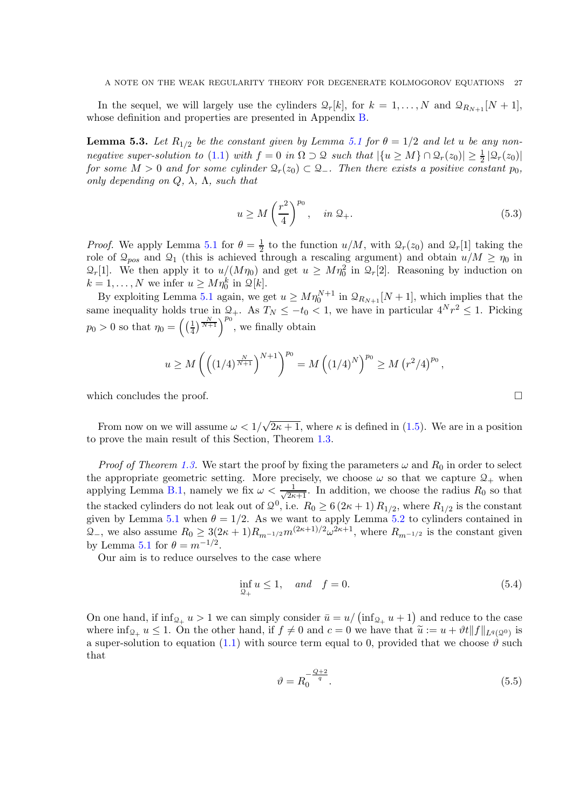In the sequel, we will largely use the cylinders  $\mathcal{Q}_r[k]$ , for  $k = 1, ..., N$  and  $\mathcal{Q}_{R_{N+1}}[N+1]$ , whose definition and properties are presented in Appendix [B.](#page-33-0)

<span id="page-26-1"></span>**Lemma 5.3.** Let  $R_{1/2}$  be the constant given by Lemma [5.1](#page-25-0) for  $\theta = 1/2$  and let u be any non-negative super-solution to [\(1.1\)](#page-0-1) with  $f = 0$  in  $\Omega \supset \Omega$  such that  $|\{u \ge M\} \cap \Omega_r(z_0)| \ge \frac{1}{2} |\Omega_r(z_0)|$ for some  $M > 0$  and for some cylinder  $\mathcal{Q}_r(z_0) \subset \mathcal{Q}_-$ . Then there exists a positive constant  $p_0$ , only depending on  $Q$ ,  $\lambda$ ,  $\Lambda$ , such that

$$
u \ge M\left(\frac{r^2}{4}\right)^{p_0}, \quad in \ \mathcal{Q}_+.\tag{5.3}
$$

*Proof.* We apply Lemma [5.1](#page-25-0) for  $\theta = \frac{1}{2}$  to the function  $u/M$ , with  $\mathcal{Q}_r(z_0)$  and  $\mathcal{Q}_r[1]$  taking the role of  $\mathcal{Q}_{pos}$  and  $\mathcal{Q}_1$  (this is achieved through a rescaling argument) and obtain  $u/M \ge \eta_0$  in  $\mathcal{Q}_r[1]$ . We then apply it to  $u/(M\eta_0)$  and get  $u \geq M\eta_0^2$  in  $\mathcal{Q}_r[2]$ . Reasoning by induction on  $k = 1, ..., N$  we infer  $u \ge M\eta_0^k$  in  $\mathcal{Q}[k]$ .

By exploiting Lemma [5.1](#page-25-0) again, we get  $u \geq M\eta_0^{N+1}$  in  $\mathcal{Q}_{R_{N+1}}[N+1]$ , which implies that the same inequality holds true in  $Q_+$ . As  $T_N \leq -t_0 < 1$ , we have in particular  $4^N r^2 \leq 1$ . Picking  $p_0 > 0$  so that  $\eta_0 = \left(\frac{1}{4}\right)$  $\frac{1}{4}$  $\left(\frac{N}{N+1}\right)^{p_0}$ , we finally obtain

$$
u \ge M \left( \left( \left(1/4\right)^{\frac{N}{N+1}} \right)^{N+1} \right)^{p_0} = M \left( \left(1/4\right)^N \right)^{p_0} \ge M \left( r^2/4 \right)^{p_0},
$$

which concludes the proof.

From now on we will assume  $\omega < 1/\sqrt{2\kappa + 1}$ , where  $\kappa$  is defined in [\(1.5\)](#page-2-1). We are in a position to prove the main result of this Section, Theorem [1.3.](#page-4-1)

*Proof of Theorem [1.3.](#page-4-1)* We start the proof by fixing the parameters  $\omega$  and  $R_0$  in order to select the appropriate geometric setting. More precisely, we choose  $\omega$  so that we capture  $\mathcal{Q}_+$  when applying Lemma [B.1,](#page-33-3) namely we fix  $\omega < \frac{1}{\sqrt{2\kappa+1}}$ . In addition, we choose the radius  $R_0$  so that the stacked cylinders do not leak out of  $\mathcal{Q}^0$ , i.e.  $R_0 \ge 6(2\kappa+1) R_{1/2}$ , where  $R_{1/2}$  is the constant given by Lemma [5.1](#page-25-0) when  $\theta = 1/2$ . As we want to apply Lemma [5.2](#page-25-2) to cylinders contained in  $\mathcal{Q}_-$ , we also assume  $R_0 \geq 3(2\kappa+1)R_{m^{-1/2}}m^{(2\kappa+1)/2} \omega^{2\kappa+1}$ , where  $R_{m^{-1/2}}$  is the constant given by Lemma [5.1](#page-25-0) for  $\theta = m^{-1/2}$ .

Our aim is to reduce ourselves to the case where

$$
\inf_{\mathcal{Q}_+} u \le 1, \quad and \quad f = 0. \tag{5.4}
$$

On one hand, if  $\inf_{\mathcal{Q}_+} u > 1$  we can simply consider  $\bar{u} = u/(\inf_{\mathcal{Q}_+} u + 1)$  and reduce to the case where  $\inf_{\mathcal{Q}_+} u \leq 1$ . On the other hand, if  $f \neq 0$  and  $c = 0$  we have that  $\widetilde{u} := u + \vartheta t ||f||_{L^q(\mathcal{Q}^0)}$  is a super-solution to equation [\(1.1\)](#page-0-1) with source term equal to 0, provided that we choose  $\vartheta$  such that

<span id="page-26-0"></span>
$$
\vartheta = R_0^{-\frac{Q+2}{q}}.\tag{5.5}
$$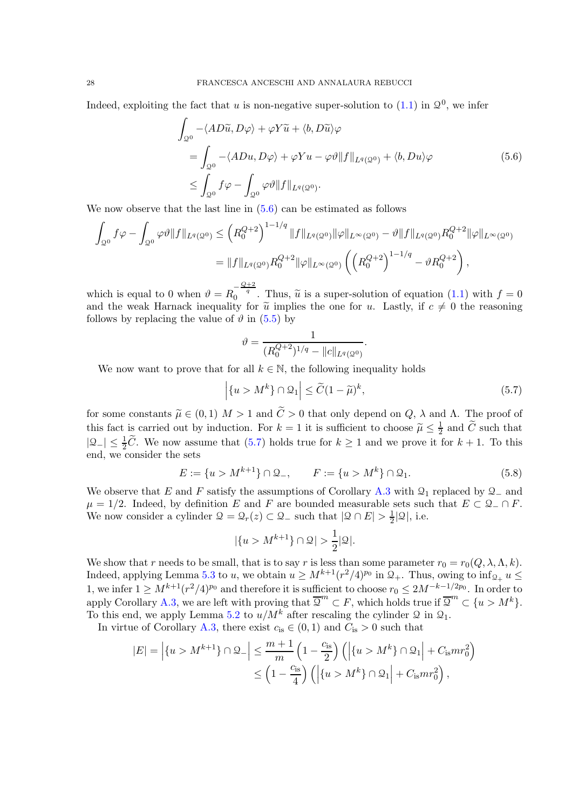Indeed, exploiting the fact that u is non-negative super-solution to  $(1.1)$  in  $\mathcal{Q}^0$ , we infer

$$
\int_{\mathcal{Q}^0} -\langle AD\tilde{u}, D\varphi \rangle + \varphi Y \tilde{u} + \langle b, D\tilde{u} \rangle \varphi
$$
\n
$$
= \int_{\mathcal{Q}^0} -\langle ADu, D\varphi \rangle + \varphi Y u - \varphi \vartheta \| f \|_{L^q(\mathcal{Q}^0)} + \langle b, Du \rangle \varphi
$$
\n
$$
\leq \int_{\mathcal{Q}^0} f\varphi - \int_{\mathcal{Q}^0} \varphi \vartheta \| f \|_{L^q(\mathcal{Q}^0)}.
$$
\n(5.6)

We now observe that the last line in  $(5.6)$  can be estimated as follows

$$
\int_{\mathcal{Q}^0} f\varphi - \int_{\mathcal{Q}^0} \varphi \vartheta \|f\|_{L^q(\mathcal{Q}^0)} \leq \left(R_0^{Q+2}\right)^{1-1/q} \|f\|_{L^q(\mathcal{Q}^0)} \|\varphi\|_{L^\infty(\mathcal{Q}^0)} - \vartheta \|f\|_{L^q(\mathcal{Q}^0)} R_0^{Q+2} \|\varphi\|_{L^\infty(\mathcal{Q}^0)} \n= \|f\|_{L^q(\mathcal{Q}^0)} R_0^{Q+2} \|\varphi\|_{L^\infty(\mathcal{Q}^0)} \left(\left(R_0^{Q+2}\right)^{1-1/q} - \vartheta R_0^{Q+2}\right),
$$

which is equal to 0 when  $\vartheta = R_0^{-\frac{Q+2}{q}}$ . Thus,  $\tilde{u}$  is a super-solution of equation [\(1.1\)](#page-0-1) with  $f = 0$ and the weak Harnack inequality for  $\tilde{u}$  implies the one for u. Lastly, if  $c \neq 0$  the reasoning<br>follows by probating the value of  $\vartheta$  in  $(5,5)$  by follows by replacing the value of  $\vartheta$  in [\(5.5\)](#page-26-0) by

$$
\vartheta = \frac{1}{(R_0^{Q+2})^{1/q} - ||c||_{L^q(\mathcal{Q}^0)}}
$$

We now want to prove that for all  $k \in \mathbb{N}$ , the following inequality holds

<span id="page-27-1"></span>
$$
\left| \{ u > M^k \} \cap \mathcal{Q}_1 \right| \le \widetilde{C} (1 - \widetilde{\mu})^k,\tag{5.7}
$$

<span id="page-27-0"></span>.

for some constants  $\tilde{\mu} \in (0,1)$   $M > 1$  and  $\tilde{C} > 0$  that only depend on  $Q$ ,  $\lambda$  and  $\Lambda$ . The proof of this fact is carried out by induction. For  $k = 1$  it is sufficient to choose  $\widetilde{\mu} \leq \frac{1}{2}$  and  $\widetilde{C}$  such that  $|Q_{-}| \leq \frac{1}{2}\tilde{C}$ . We now assume that [\(5.7\)](#page-27-1) holds true for  $k \geq 1$  and we prove it for  $k + 1$ . To this end, we consider the sets

$$
E := \{ u > M^{k+1} \} \cap \mathcal{Q}_-, \qquad F := \{ u > M^k \} \cap \mathcal{Q}_1. \tag{5.8}
$$

We observe that E and F satisfy the assumptions of Corollary [A.3](#page-29-0) with  $\mathcal{Q}_1$  replaced by  $\mathcal{Q}_-$  and  $\mu = 1/2$ . Indeed, by definition E and F are bounded measurable sets such that  $E \subset \mathcal{Q}_-\cap F$ . We now consider a cylinder  $\mathcal{Q} = \mathcal{Q}_r(z) \subset \mathcal{Q}_-$  such that  $|\mathcal{Q} \cap E| > \frac{1}{2} |\mathcal{Q}|$ , i.e.

$$
|\{u > M^{k+1}\}\cap\mathcal{Q}| > \frac{1}{2}|\mathcal{Q}|.
$$

We show that r needs to be small, that is to say r is less than some parameter  $r_0 = r_0(Q, \lambda, \Lambda, k)$ . Indeed, applying Lemma [5.3](#page-26-1) to u, we obtain  $u \geq M^{k+1} (r^2/4)^{p_0}$  in  $\mathcal{Q}_+$ . Thus, owing to  $\inf_{\mathcal{Q}_+} u \leq$ 1, we infer  $1 \ge M^{k+1} (r^2/4)^{p_0}$  and therefore it is sufficient to choose  $r_0 \le 2M^{-k-1/2p_0}$ . In order to apply Corollary [A.3,](#page-29-0) we are left with proving that  $\overline{Q}^m \subset F$ , which holds true if  $\overline{Q}^m \subset \{u > M^k\}.$ To this end, we apply Lemma [5.2](#page-25-2) to  $u/M^k$  after rescaling the cylinder  $\mathcal Q$  in  $\mathcal Q_1$ .

In virtue of Corollary [A.3,](#page-29-0) there exist  $c_{is} \in (0,1)$  and  $C_{is} > 0$  such that

$$
|E| = \left| \{ u > M^{k+1} \} \cap \mathcal{Q}_- \right| \le \frac{m+1}{m} \left( 1 - \frac{c_{\rm is}}{2} \right) \left( \left| \{ u > M^k \} \cap \mathcal{Q}_1 \right| + C_{\rm is} mr_0^2 \right) \\
\le \left( 1 - \frac{c_{\rm is}}{4} \right) \left( \left| \{ u > M^k \} \cap \mathcal{Q}_1 \right| + C_{\rm is} mr_0^2 \right),
$$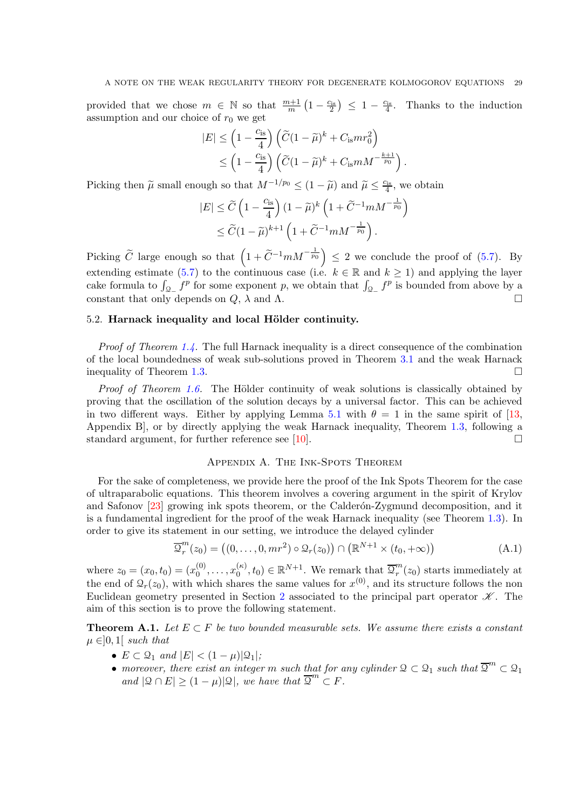provided that we chose  $m \in \mathbb{N}$  so that  $\frac{m+1}{m}(1-\frac{c_{is}}{2}) \leq 1-\frac{c_{is}}{4}$ . Thanks to the induction assumption and our choice of  $r_0$  we get

$$
|E| \leq \left(1 - \frac{c_{\rm is}}{4}\right) \left(\widetilde{C} (1 - \widetilde{\mu})^k + C_{\rm is} mr_0^2\right) \leq \left(1 - \frac{c_{\rm is}}{4}\right) \left(\widetilde{C} (1 - \widetilde{\mu})^k + C_{\rm is} mM^{-\frac{k+1}{p_0}}\right).
$$

Picking then  $\tilde{\mu}$  small enough so that  $M^{-1/p_0} \leq (1 - \tilde{\mu})$  and  $\tilde{\mu} \leq \frac{c_{is}}{4}$ , we obtain

$$
|E| \leq \widetilde{C} \left( 1 - \frac{c_{\rm is}}{4} \right) (1 - \widetilde{\mu})^k \left( 1 + \widetilde{C}^{-1} m M^{-\frac{1}{p_0}} \right)
$$
  

$$
\leq \widetilde{C} (1 - \widetilde{\mu})^{k+1} \left( 1 + \widetilde{C}^{-1} m M^{-\frac{1}{p_0}} \right).
$$

Picking  $\widetilde{C}$  large enough so that  $\left(1+\widetilde{C}^{-1}mM^{-\frac{1}{p_0}}\right) \leq 2$  we conclude the proof of [\(5.7\)](#page-27-1). By extending estimate [\(5.7\)](#page-27-1) to the continuous case (i.e.  $k \in \mathbb{R}$  and  $k \ge 1$ ) and applying the layer cake formula to  $\int_{Q_-} f^p$  for some exponent p, we obtain that  $\int_{Q_-} f^p$  is bounded from above by a constant that only depends on  $Q$ ,  $\lambda$  and  $\Lambda$ .

## 5.2. Harnack inequality and local Hölder continuity.

Proof of Theorem [1.4.](#page-4-2) The full Harnack inequality is a direct consequence of the combination of the local boundedness of weak sub-solutions proved in Theorem [3.1](#page-11-1) and the weak Harnack inequality of Theorem [1.3.](#page-4-1)

*Proof of Theorem [1.6.](#page-5-0)* The Hölder continuity of weak solutions is classically obtained by proving that the oscillation of the solution decays by a universal factor. This can be achieved in two different ways. Either by applying Lemma [5.1](#page-25-0) with  $\theta = 1$  in the same spirit of [\[13,](#page-34-8) Appendix B], or by directly applying the weak Harnack inequality, Theorem [1.3,](#page-4-1) following a standard argument, for further reference see [\[10\]](#page-34-17).  $\Box$ 

# <span id="page-28-1"></span>Appendix A. The Ink-Spots Theorem

<span id="page-28-0"></span>For the sake of completeness, we provide here the proof of the Ink Spots Theorem for the case of ultraparabolic equations. This theorem involves a covering argument in the spirit of Krylov and Safonov [\[23\]](#page-34-24) growing ink spots theorem, or the Calderón-Zygmund decomposition, and it is a fundamental ingredient for the proof of the weak Harnack inequality (see Theorem [1.3\)](#page-4-1). In order to give its statement in our setting, we introduce the delayed cylinder

$$
\overline{\mathcal{Q}}_r^m(z_0) = ((0, \ldots, 0, mr^2) \circ \mathcal{Q}_r(z_0)) \cap (\mathbb{R}^{N+1} \times (t_0, +\infty))
$$
\n(A.1)

where  $z_0 = (x_0, t_0) = (x_0^{(0)})$  $x_0^{(0)}, \ldots, x_0^{(\kappa)}$  $\mathbf{Q}_{0}^{(\kappa)}$ ,  $t_0$ )  $\in \mathbb{R}^{N+1}$ . We remark that  $\overline{\mathcal{Q}}_{r}^{m}$  $r''(z_0)$  starts immediately at the end of  $\mathcal{Q}_r(z_0)$ , with which shares the same values for  $x^{(0)}$ , and its structure follows the non Euclidean geometry presented in Section [2](#page-6-0) associated to the principal part operator  $\mathscr K$ . The aim of this section is to prove the following statement.

<span id="page-28-2"></span>**Theorem A.1.** Let  $E \subset F$  be two bounded measurable sets. We assume there exists a constant  $\mu \in ]0,1]$  such that

- $E \subset \mathcal{Q}_1$  and  $|E| < (1 \mu)|\mathcal{Q}_1|$ ;
- moreover, there exist an integer m such that for any cylinder  $\mathcal{Q} \subset \mathcal{Q}_1$  such that  $\overline{\mathcal{Q}}^m \subset \mathcal{Q}_1$ and  $|\mathcal{Q} \cap E| \geq (1 - \mu)|\mathcal{Q}|$ , we have that  $\overline{\mathcal{Q}}^m \subset F$ .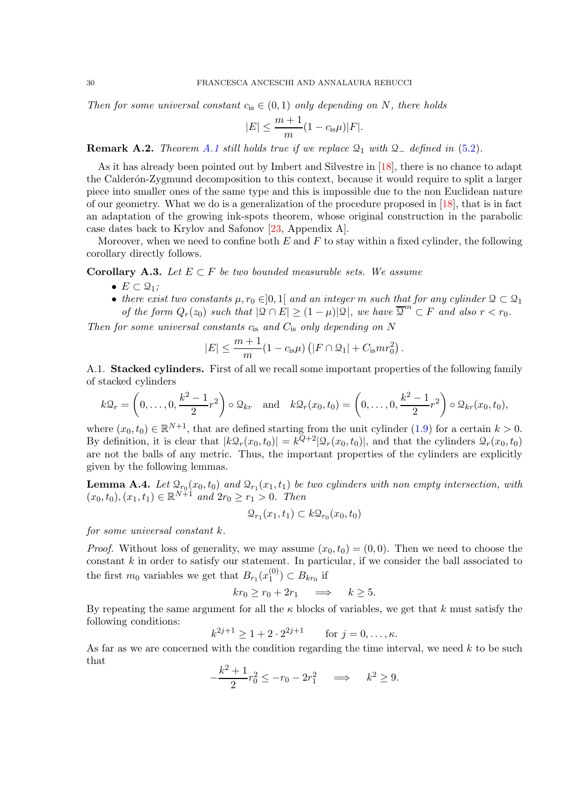Then for some universal constant  $c_{is} \in (0,1)$  only depending on N, there holds

$$
|E| \le \frac{m+1}{m}(1 - c_{\text{is}}\mu)|F|.
$$

**Remark A.2.** Theorem [A.1](#page-28-2) still holds true if we replace  $\mathcal{Q}_1$  with  $\mathcal{Q}_-$  defined in [\(5.2\)](#page-25-3).

As it has already been pointed out by Imbert and Silvestre in [\[18\]](#page-34-25), there is no chance to adapt the Calderón-Zygmund decomposition to this context, because it would require to split a larger piece into smaller ones of the same type and this is impossible due to the non Euclidean nature of our geometry. What we do is a generalization of the procedure proposed in [\[18\]](#page-34-25), that is in fact an adaptation of the growing ink-spots theorem, whose original construction in the parabolic case dates back to Krylov and Safonov [\[23,](#page-34-24) Appendix A].

Moreover, when we need to confine both  $E$  and  $F$  to stay within a fixed cylinder, the following corollary directly follows.

<span id="page-29-0"></span>**Corollary A.3.** Let  $E \subset F$  be two bounded measurable sets. We assume

- $E \subset \mathcal{Q}_1$ ;
- there exist two constants  $\mu, r_0 \in ]0,1[$  and an integer m such that for any cylinder  $\mathfrak{D} \subset \mathfrak{D}_1$ of the form  $Q_r(z_0)$  such that  $|\mathcal{Q} \cap E| \geq (1-\mu)|\mathcal{Q}|$ , we have  $\overline{\mathcal{Q}}^m \subset F$  and also  $r < r_0$ .

Then for some universal constants  $c_{is}$  and  $C_{is}$  only depending on N

$$
|E| \le \frac{m+1}{m}(1 - c_{\text{is}}\mu) (|F \cap \mathcal{Q}_1| + C_{\text{is}}mr_0^2).
$$

A.1. Stacked cylinders. First of all we recall some important properties of the following family of stacked cylinders

$$
k\mathfrak{Q}_r = \left(0,\ldots,0,\frac{k^2-1}{2}r^2\right)\circ \mathfrak{Q}_{kr} \quad \text{and} \quad k\mathfrak{Q}_r(x_0,t_0) = \left(0,\ldots,0,\frac{k^2-1}{2}r^2\right)\circ \mathfrak{Q}_{kr}(x_0,t_0),
$$

where  $(x_0, t_0) \in \mathbb{R}^{N+1}$ , that are defined starting from the unit cylinder  $(1.9)$  for a certain  $k > 0$ . By definition, it is clear that  $|k\mathcal{Q}_r(x_0,t_0)| = k^{Q+2}|\mathcal{Q}_r(x_0,t_0)|$ , and that the cylinders  $\mathcal{Q}_r(x_0,t_0)$ are not the balls of any metric. Thus, the important properties of the cylinders are explicitly given by the following lemmas.

<span id="page-29-1"></span>**Lemma A.4.** Let  $\mathcal{Q}_{r_0}(x_0, t_0)$  and  $\mathcal{Q}_{r_1}(x_1, t_1)$  be two cylinders with non empty intersection, with  $(x_0, t_0), (x_1, t_1) \in \mathbb{R}^{N+1}$  and  $2r_0 \ge r_1 > 0$ . Then

$$
\mathcal{Q}_{r_1}(x_1,t_1) \subset k\mathcal{Q}_{r_0}(x_0,t_0)
$$

for some universal constant k.

*Proof.* Without loss of generality, we may assume  $(x_0, t_0) = (0, 0)$ . Then we need to choose the constant  $k$  in order to satisfy our statement. In particular, if we consider the ball associated to the first  $m_0$  variables we get that  $B_{r_1}(x_1^{(0)})$  $\binom{0}{1}$   $\subset B_{kr_0}$  if

$$
kr_0 \ge r_0 + 2r_1 \quad \Longrightarrow \quad k \ge 5.
$$

By repeating the same argument for all the  $\kappa$  blocks of variables, we get that k must satisfy the following conditions:

$$
k^{2j+1} \ge 1 + 2 \cdot 2^{2j+1}
$$
 for  $j = 0, ..., \kappa$ .

As far as we are concerned with the condition regarding the time interval, we need  $k$  to be such that

$$
-\frac{k^2+1}{2}r_0^2 \le -r_0 - 2r_1^2 \implies k^2 \ge 9.
$$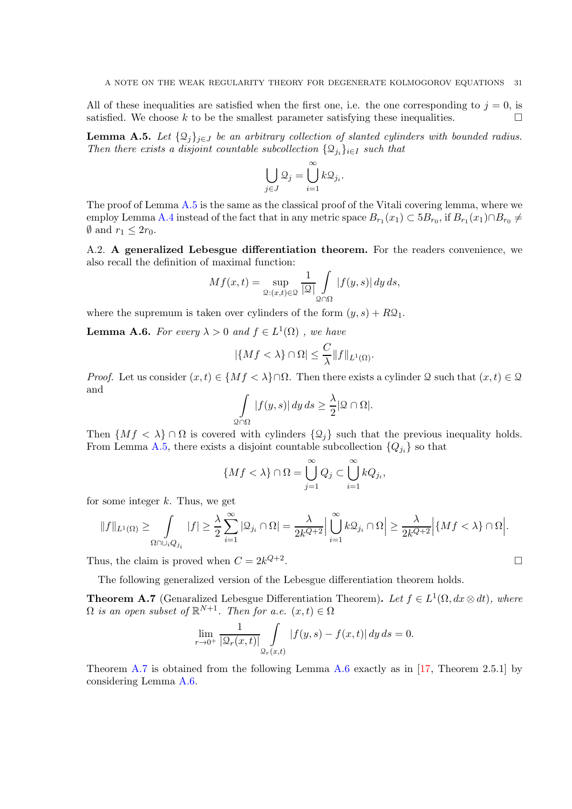All of these inequalities are satisfied when the first one, i.e. the one corresponding to  $j = 0$ , is satisfied. We choose k to be the smallest parameter satisfying these inequalities.

<span id="page-30-0"></span>**Lemma A.5.** Let  $\{\mathcal{Q}_j\}_{j\in J}$  be an arbitrary collection of slanted cylinders with bounded radius. Then there exists a disjoint countable subcollection  $\{\mathcal{Q}_{j_i}\}_{i\in I}$  such that

$$
\bigcup_{j\in J}\mathcal{Q}_j=\bigcup_{i=1}^\infty k\mathcal{Q}_{j_i}.
$$

The proof of Lemma [A.5](#page-30-0) is the same as the classical proof of the Vitali covering lemma, where we employ Lemma [A.4](#page-29-1) instead of the fact that in any metric space  $B_{r_1}(x_1) \subset 5B_{r_0}$ , if  $B_{r_1}(x_1) \cap B_{r_0} \neq$  $\emptyset$  and  $r_1 \leq 2r_0$ .

A.2. A generalized Lebesgue differentiation theorem. For the readers convenience, we also recall the definition of maximal function:

$$
Mf(x,t) = \sup_{\mathcal{Q}: (x,t)\in \mathcal{Q}} \frac{1}{|\mathcal{Q}|} \int_{\mathcal{Q}\cap \Omega} |f(y,s)| dy ds,
$$

where the supremum is taken over cylinders of the form  $(y, s) + R\mathfrak{Q}_1$ .

<span id="page-30-2"></span>**Lemma A.6.** For every  $\lambda > 0$  and  $f \in L^1(\Omega)$ , we have

$$
|\{Mf < \lambda\} \cap \Omega| \leq \frac{C}{\lambda} \|f\|_{L^1(\Omega)}.
$$

*Proof.* Let us consider  $(x, t) \in \{Mf < \lambda\} \cap \Omega$ . Then there exists a cylinder Q such that  $(x, t) \in \mathcal{Q}$ and

$$
\int_{\Omega \cap \Omega} |f(y, s)| dy ds \ge \frac{\lambda}{2} |\mathcal{Q} \cap \Omega|.
$$

Then  $\{Mf \prec \lambda\} \cap \Omega$  is covered with cylinders  $\{\mathcal{Q}_i\}$  such that the previous inequality holds. From Lemma [A.5,](#page-30-0) there exists a disjoint countable subcollection  $\{Q_{j_i}\}$  so that

$$
\{Mf < \lambda\} \cap \Omega = \bigcup_{j=1}^{\infty} Q_j \subset \bigcup_{i=1}^{\infty} kQ_{j_i},
$$

for some integer  $k$ . Thus, we get

$$
\|f\|_{L^1(\Omega)}\geq\int\limits_{\Omega\cap\cup_iQ_{j_i}}|f|\geq \frac{\lambda}{2}\sum_{i=1}^\infty|\mathfrak{Q}_{j_i}\cap\Omega|=\frac{\lambda}{2k^{Q+2}}\Big|\bigcup_{i=1}^\infty k\mathfrak{Q}_{j_i}\cap\Omega\Big|\geq \frac{\lambda}{2k^{Q+2}}\Big|\{Mf<\lambda\}\cap\Omega\Big|.
$$

Thus, the claim is proved when  $C = 2k^{Q+2}$ 

The following generalized version of the Lebesgue differentiation theorem holds.

<span id="page-30-1"></span>**Theorem A.7** (Genaralized Lebesgue Differentiation Theorem). Let  $f \in L^1(\Omega, dx \otimes dt)$ , where  $\Omega$  is an open subset of  $\mathbb{R}^{N+1}$ . Then for a.e.  $(x,t) \in \Omega$ 

$$
\lim_{r \to 0^+} \frac{1}{|\mathcal{Q}_r(x,t)|} \int_{\mathcal{Q}_r(x,t)} |f(y,s) - f(x,t)| \, dy \, ds = 0.
$$

Theorem [A.7](#page-30-1) is obtained from the following Lemma [A.6](#page-30-2) exactly as in [\[17,](#page-34-26) Theorem 2.5.1] by considering Lemma [A.6.](#page-30-2)

. **Experimental and the contract of the Contract of the Contract of the Contract of the Contract of the Contract of**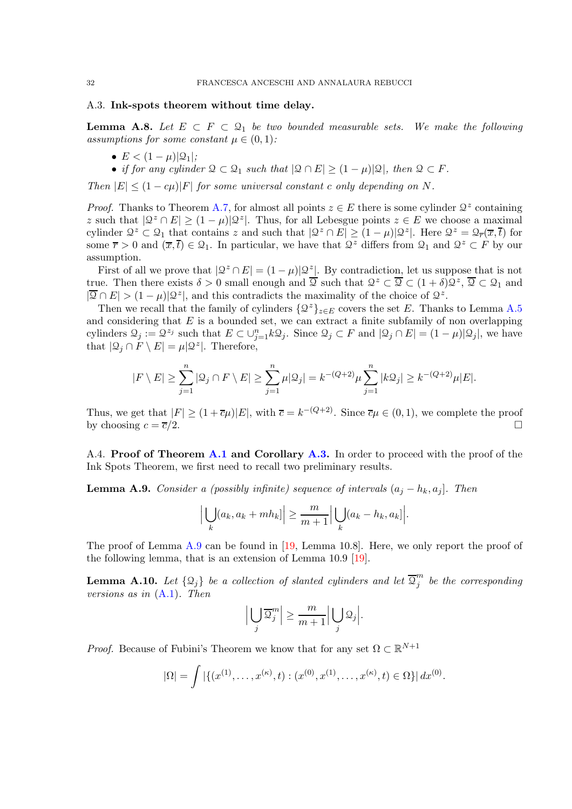#### A.3. Ink-spots theorem without time delay.

<span id="page-31-1"></span>**Lemma A.8.** Let  $E \subset F \subset \mathcal{Q}_1$  be two bounded measurable sets. We make the following assumptions for some constant  $\mu \in (0,1)$ :

- $E < (1 \mu) |Q_1|$ ;
- if for any cylinder  $\mathcal{Q} \subset \mathcal{Q}_1$  such that  $|\mathcal{Q} \cap E| \geq (1 \mu)|\mathcal{Q}|$ , then  $\mathcal{Q} \subset F$ .

Then  $|E| \leq (1 - c\mu)|F|$  for some universal constant c only depending on N.

*Proof.* Thanks to Theorem [A.7,](#page-30-1) for almost all points  $z \in E$  there is some cylinder  $\mathcal{Q}^z$  containing z such that  $|Q^z \cap E| \ge (1 - \mu)|Q^z|$ . Thus, for all Lebesgue points  $z \in E$  we choose a maximal cylinder  $\mathcal{Q}^z \subset \mathcal{Q}_1$  that contains z and such that  $|\mathcal{Q}^z \cap E| \ge (1 - \mu)|\mathcal{Q}^z|$ . Here  $\mathcal{Q}^z = \mathcal{Q}_{\overline{r}}(\overline{x}, \overline{t})$  for some  $\overline{r} > 0$  and  $(\overline{x}, \overline{t}) \in \mathcal{Q}_1$ . In particular, we have that  $\mathcal{Q}^z$  differs from  $\mathcal{Q}_1$  and  $\mathcal{Q}^z \subset F$  by our assumption.

First of all we prove that  $|Q^z \cap E| = (1 - \mu)|Q^z|$ . By contradiction, let us suppose that is not true. Then there exists  $\delta > 0$  small enough and  $\overline{2}$  such that  $\mathcal{Q}^z \subset \overline{\mathcal{Q}} \subset (1 + \delta) \mathcal{Q}^z$ ,  $\overline{\mathcal{Q}} \subset \mathcal{Q}_1$  and  $|\overline{Q} \cap E| > (1 - \mu)|\mathcal{Q}^z|$ , and this contradicts the maximality of the choice of  $\mathcal{Q}^z$ .

Then we recall that the family of cylinders  $\{\mathcal{Q}^z\}_{z\in E}$  covers the set E. Thanks to Lemma [A.5](#page-30-0) and considering that  $E$  is a bounded set, we can extract a finite subfamily of non overlapping cylinders  $\mathcal{Q}_j := \mathcal{Q}^{z_j}$  such that  $E \subset \cup_{j=1}^n k \mathcal{Q}_j$ . Since  $\mathcal{Q}_j \subset F$  and  $|\mathcal{Q}_j \cap E| = (1 - \mu)|\mathcal{Q}_j|$ , we have that  $|\mathcal{Q}_j \cap F \setminus E| = \mu |\mathcal{Q}^z|$ . Therefore,

$$
|F \setminus E| \ge \sum_{j=1}^n |\mathfrak{Q}_j \cap F \setminus E| \ge \sum_{j=1}^n \mu |\mathfrak{Q}_j| = k^{-(Q+2)} \mu \sum_{j=1}^n |k \mathfrak{Q}_j| \ge k^{-(Q+2)} \mu |E|.
$$

Thus, we get that  $|F| \ge (1 + \overline{c}\mu)|E|$ , with  $\overline{c} = k^{-(Q+2)}$ . Since  $\overline{c}\mu \in (0, 1)$ , we complete the proof by choosing  $c = \overline{c}/2$ .

A.4. Proof of Theorem [A.1](#page-28-2) and Corollary [A.3.](#page-29-0) In order to proceed with the proof of the Ink Spots Theorem, we first need to recall two preliminary results.

<span id="page-31-0"></span>**Lemma A.9.** Consider a (possibly infinite) sequence of intervals  $(a_j - h_k, a_j]$ . Then

$$
\Big|\bigcup_{k} (a_k, a_k + mh_k]\Big| \geq \frac{m}{m+1} \Big|\bigcup_{k} (a_k - h_k, a_k)\Big|.
$$

The proof of Lemma [A.9](#page-31-0) can be found in [\[19,](#page-34-11) Lemma 10.8]. Here, we only report the proof of the following lemma, that is an extension of Lemma 10.9 [\[19\]](#page-34-11).

<span id="page-31-2"></span>**Lemma A.10.** Let  $\{\mathfrak{Q}_j\}$  be a collection of slanted cylinders and let  $\overline{\mathfrak{Q}}_j^m$  $j^{\prime\prime}$  be the corresponding versions as in [\(A.1\)](#page-28-1). Then

$$
\Big|\bigcup_j\overline{\mathfrak Q}_j^m\Big|\geq \frac{m}{m+1}\Big|\bigcup_j\mathfrak Q_j\Big|.
$$

*Proof.* Because of Fubini's Theorem we know that for any set  $\Omega \subset \mathbb{R}^{N+1}$ 

$$
|\Omega| = \int | \{ (x^{(1)}, \dots, x^{(\kappa)}, t) : (x^{(0)}, x^{(1)}, \dots, x^{(\kappa)}, t) \in \Omega \} | dx^{(0)}.
$$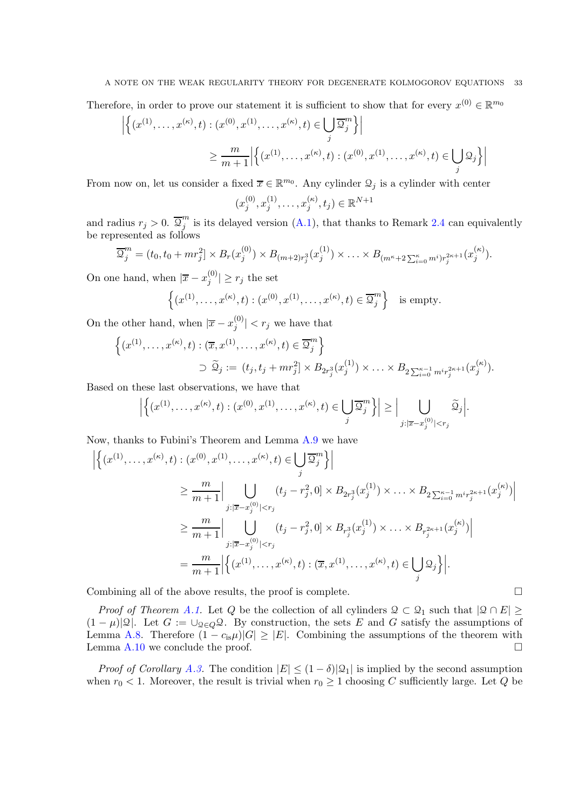Therefore, in order to prove our statement it is sufficient to show that for every  $x^{(0)} \in \mathbb{R}^{m_0}$ 

$$
\left| \left\{ (x^{(1)}, \dots, x^{(\kappa)}, t) : (x^{(0)}, x^{(1)}, \dots, x^{(\kappa)}, t) \in \bigcup_{j} \overline{\mathcal{Q}}_{j}^{m} \right\} \right|
$$
  

$$
\geq \frac{m}{m+1} \left| \left\{ (x^{(1)}, \dots, x^{(\kappa)}, t) : (x^{(0)}, x^{(1)}, \dots, x^{(\kappa)}, t) \in \bigcup_{j} \mathcal{Q}_{j} \right\} \right|
$$

From now on, let us consider a fixed  $\overline{x} \in \mathbb{R}^{m_0}$ . Any cylinder  $\mathcal{Q}_j$  is a cylinder with center  $(x_i^{(0)}$  $j^{(0)}, x_j^{(1)}$  $\binom{1}{j},\ldots,\binom{r(\kappa)}{j}$  $j^{(\kappa)}, t_j) \in \mathbb{R}^{N+1}$ 

and radius  $r_j > 0$ .  $\overline{\mathcal{Q}}_j^m$  $j^{'''}_j$  is its delayed version [\(A.1\)](#page-28-1), that thanks to Remark [2.4](#page-8-4) can equivalently be represented as follows

$$
\overline{\mathcal{Q}}_j^m = (t_0, t_0 + mr_j^2] \times B_r(x_j^{(0)}) \times B_{(m+2)r_j^3}(x_j^{(1)}) \times \ldots \times B_{(m^{\kappa}+2\sum_{i=0}^{\kappa} m^i)r_j^{2\kappa+1}}(x_j^{(\kappa)}).
$$

On one hand, when  $|\overline{x} - x_j^{(0)}|$  $|j^{(0)}| \geq r_j$  the set

$$
\left\{ (x^{(1)}, \ldots, x^{(\kappa)}, t) : (x^{(0)}, x^{(1)}, \ldots, x^{(\kappa)}, t) \in \overline{\mathcal{Q}}_j^m \right\} \text{ is empty.}
$$

On the other hand, when  $|\overline{x} - x_j^{(0)}|$  $|j^{(0)}|$  <  $r_j$  we have that

$$
\left\{ (x^{(1)}, \ldots, x^{(\kappa)}, t) : (\overline{x}, x^{(1)}, \ldots, x^{(\kappa)}, t) \in \overline{\mathcal{Q}}_j^m \right\}
$$
  

$$
\supset \widetilde{\mathcal{Q}}_j := (t_j, t_j + mr_j^2] \times B_{2r_j^3}(x_j^{(1)}) \times \ldots \times B_{2\sum_{i=0}^{\kappa-1} m^i r_j^{2\kappa+1}}(x_j^{(\kappa)}).
$$

Based on these last observations, we have that

$$
\left|\left\{(x^{(1)},\ldots,x^{(\kappa)},t): (x^{(0)},x^{(1)},\ldots,x^{(\kappa)},t)\in\bigcup_j\overline{\mathfrak{Q}}_j^m\right\}\right|\geq\Big|\bigcup_{j:\left|\overline{x}-x_j^{(0)}\right|
$$

Now, thanks to Fubini's Theorem and Lemma [A.9](#page-31-0) we have

$$
\left| \left\{ (x^{(1)}, \ldots, x^{(\kappa)}, t) : (x^{(0)}, x^{(1)}, \ldots, x^{(\kappa)}, t) \in \bigcup_{j} \overline{\mathfrak{Q}}_{j}^{m} \right\} \right|
$$
\n
$$
\geq \frac{m}{m+1} \Big| \bigcup_{\substack{j : |\overline{x} - x_{j}^{(0)}| < r_{j} \\ j : |\overline{x} - x_{j}^{(0)}| < r_{j} \end{cases}} (t_{j} - r_{j}^{2}, 0] \times B_{2r_{j}^{3}}(x_{j}^{(1)}) \times \ldots \times B_{2\sum_{i=0}^{\kappa-1} m^{i} r_{j}^{2\kappa+1}}(x_{j}^{(\kappa)}) \Big|
$$
\n
$$
\geq \frac{m}{m+1} \Big| \bigcup_{\substack{j : |\overline{x} - x_{j}^{(0)}| < r_{j} \\ j : |\overline{x} - x_{j}^{(0)}| < r_{j} \end{cases}} (t_{j} - r_{j}^{2}, 0] \times B_{r_{j}^{3}}(x_{j}^{(1)}) \times \ldots \times B_{r_{j}^{2\kappa+1}}(x_{j}^{(\kappa)}) \Big|
$$
\n
$$
= \frac{m}{m+1} \Big| \Big\{ (x^{(1)}, \ldots, x^{(\kappa)}, t) : (\overline{x}, x^{(1)}, \ldots, x^{(\kappa)}, t) \in \bigcup_{j} \mathfrak{Q}_{j} \Big\} \Big|.
$$

Combining all of the above results, the proof is complete.  $\Box$ 

*Proof of Theorem [A.1.](#page-28-2)* Let Q be the collection of all cylinders  $\mathcal{Q} \subset \mathcal{Q}_1$  such that  $|\mathcal{Q} \cap E| \ge$  $(1 - \mu)|\mathcal{Q}|$ . Let  $G := \cup_{\mathcal{Q} \in Q} \mathcal{Q}$ . By construction, the sets E and G satisfy the assumptions of Lemma [A.8.](#page-31-1) Therefore  $(1 - c_{is}\mu)|G| \geq |E|$ . Combining the assumptions of the theorem with Lemma A.10 we conclude the proof. Lemma [A.10](#page-31-2) we conclude the proof.

*Proof of Corollary [A.3.](#page-29-0)* The condition  $|E| \leq (1 - \delta)|\mathcal{Q}_1|$  is implied by the second assumption when  $r_0 < 1$ . Moreover, the result is trivial when  $r_0 \geq 1$  choosing C sufficiently large. Let Q be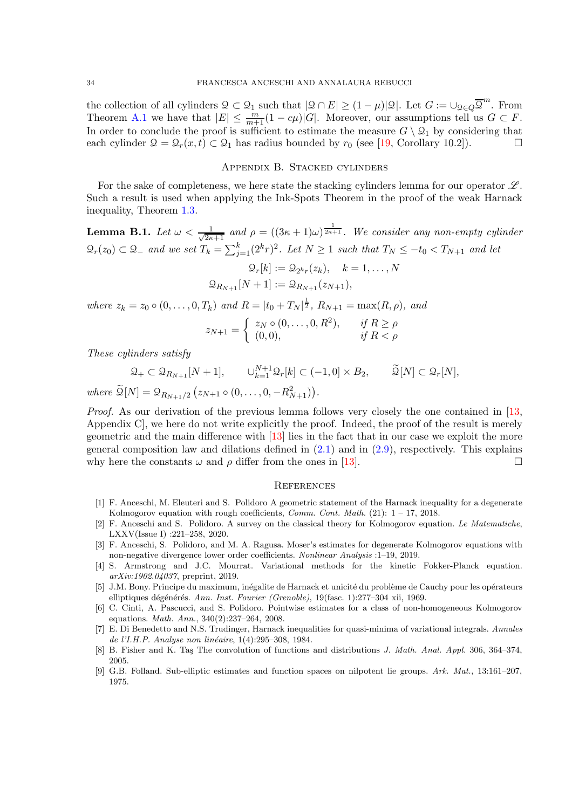the collection of all cylinders  $\mathcal{Q} \subset \mathcal{Q}_1$  such that  $|\mathcal{Q} \cap E| \geq (1 - \mu)|\mathcal{Q}|$ . Let  $G := \bigcup_{\mathcal{Q} \in Q} \overline{\mathcal{Q}}^m$ . From Theorem [A.1](#page-28-2) we have that  $|E| \leq \frac{m}{m+1}(1-c\mu)|G|$ . Moreover, our assumptions tell us  $G \subset F$ . In order to conclude the proof is sufficient to estimate the measure  $G \setminus Q_1$  by considering that each cylinder  $Q = Q_r(x, t) \subset Q_1$  has radius bounded by  $r_0$  (see [19, Corollary 10.2]). each cylinder  $\mathcal{Q} = \mathcal{Q}_r(x, t) \subset \mathcal{Q}_1$  has radius bounded by  $r_0$  (see [\[19,](#page-34-11) Corollary 10.2]).

#### Appendix B. Stacked cylinders

<span id="page-33-0"></span>For the sake of completeness, we here state the stacking cylinders lemma for our operator  $\mathscr{L}$ . Such a result is used when applying the Ink-Spots Theorem in the proof of the weak Harnack inequality, Theorem [1.3.](#page-4-1)

<span id="page-33-3"></span>**Lemma B.1.** Let  $\omega < \frac{1}{\sqrt{2\kappa+1}}$  and  $\rho = ((3\kappa+1)\omega)^{\frac{1}{2\kappa+1}}$ . We consider any non-empty cylinder  $\mathcal{Q}_r(z_0) \subset \mathcal{Q}_-$  and we set  $T_k = \sum_{j=1}^k (2^k r)^2$ . Let  $N \ge 1$  such that  $T_N \le -t_0 < T_{N+1}$  and let

$$
\mathcal{Q}_r[k] := \mathcal{Q}_{2^k r}(z_k), \quad k = 1, ..., N
$$
  

$$
\mathcal{Q}_{R_{N+1}}[N+1] := \mathcal{Q}_{R_{N+1}}(z_{N+1}),
$$

where  $z_k = z_0 \circ (0, \ldots, 0, T_k)$  and  $R = |t_0 + T_N|^{\frac{1}{2}}$ ,  $R_{N+1} = \max(R, \rho)$ , and

$$
z_{N+1} = \begin{cases} z_N \circ (0, \dots, 0, R^2), & \text{if } R \ge \rho \\ (0, 0), & \text{if } R < \rho \end{cases}
$$

These cylinders satisfy

 $\mathfrak{Q}_+ \subset \mathfrak{Q}_{R_{N+1}}[N+1], \qquad \cup_{k=1}^{N+1} \mathfrak{Q}_r[k] \subset (-1,0] \times B_2, \qquad \widetilde{\mathfrak{Q}}[N] \subset \mathfrak{Q}_r[N],$ where  $\widetilde{\mathfrak{Q}}[N] = \mathfrak{Q}_{R_{N+1}/2} (z_{N+1} \circ (0, \ldots, 0, -R_{N+1}^2)).$ 

Proof. As our derivation of the previous lemma follows very closely the one contained in [\[13,](#page-34-8) Appendix C], we here do not write explicitly the proof. Indeed, the proof of the result is merely geometric and the main difference with [\[13\]](#page-34-8) lies in the fact that in our case we exploit the more general composition law and dilations defined in  $(2.1)$  and in  $(2.9)$ , respectively. This explains why here the constants  $\omega$  and  $\rho$  differ from the ones in [\[13\]](#page-34-8).

#### <span id="page-33-1"></span>**REFERENCES**

- <span id="page-33-4"></span>[1] F. Anceschi, M. Eleuteri and S. Polidoro A geometric statement of the Harnack inequality for a degenerate Kolmogorov equation with rough coefficients, *Comm. Cont. Math.* (21):  $1 - 17$ , 2018.
- <span id="page-33-5"></span>[2] F. Anceschi and S. Polidoro. A survey on the classical theory for Kolmogorov equation. Le Matematiche, LXXV(Issue I) :221–258, 2020.
- <span id="page-33-8"></span>[3] F. Anceschi, S. Polidoro, and M. A. Ragusa. Moser's estimates for degenerate Kolmogorov equations with non-negative divergence lower order coefficients. Nonlinear Analysis :1–19, 2019.
- <span id="page-33-2"></span>[4] S. Armstrong and J.C. Mourrat. Variational methods for the kinetic Fokker-Planck equation. arXiv:1902.04037, preprint, 2019.
- <span id="page-33-9"></span>[5] J.M. Bony. Principe du maximum, inégalite de Harnack et unicité du problème de Cauchy pour les opérateurs elliptiques dégénérés. Ann. Inst. Fourier (Grenoble), 19(fasc. 1):277–304 xii, 1969.
- <span id="page-33-7"></span>[6] C. Cinti, A. Pascucci, and S. Polidoro. Pointwise estimates for a class of non-homogeneous Kolmogorov equations. Math. Ann., 340(2):237–264, 2008.
- <span id="page-33-10"></span>[7] E. Di Benedetto and N.S. Trudinger, Harnack inequalities for quasi-minima of variational integrals. Annales de l'I.H.P. Analyse non linéaire, 1(4):295–308, 1984.
- [8] B. Fisher and K. Tas The convolution of functions and distributions J. Math. Anal. Appl. 306, 364–374, 2005.
- <span id="page-33-6"></span>[9] G.B. Folland. Sub-elliptic estimates and function spaces on nilpotent lie groups. Ark. Mat., 13:161–207, 1975.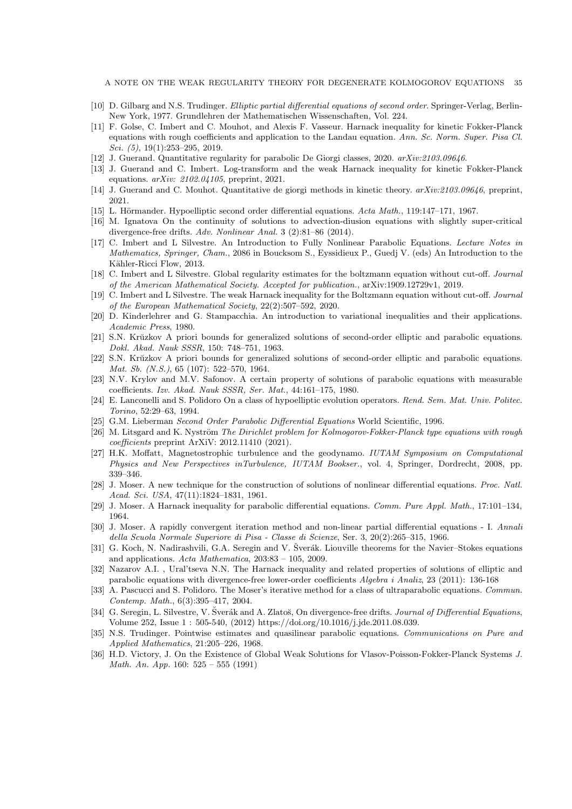A NOTE ON THE WEAK REGULARITY THEORY FOR DEGENERATE KOLMOGOROV EQUATIONS 35

- <span id="page-34-17"></span><span id="page-34-7"></span>[10] D. Gilbarg and N.S. Trudinger. Elliptic partial differential equations of second order. Springer-Verlag, Berlin-New York, 1977. Grundlehren der Mathematischen Wissenschaften, Vol. 224.
- [11] F. Golse, C. Imbert and C. Mouhot, and Alexis F. Vasseur. Harnack inequality for kinetic Fokker-Planck equations with rough coefficients and application to the Landau equation. Ann. Sc. Norm. Super. Pisa Cl. Sci. (5), 19(1):253-295, 2019.
- <span id="page-34-23"></span><span id="page-34-8"></span>[12] J. Guerand. Quantitative regularity for parabolic De Giorgi classes, 2020. arXiv:2103.09646.
- <span id="page-34-9"></span>[13] J. Guerand and C. Imbert. Log-transform and the weak Harnack inequality for kinetic Fokker-Planck equations. arXiv: 2102.04105, preprint, 2021.
- <span id="page-34-13"></span>[14] J. Guerand and C. Mouhot. Quantitative de giorgi methods in kinetic theory.  $arXiv:2103.09646$ , preprint, 2021.
- <span id="page-34-4"></span>[15] L. Hörmander. Hypoelliptic second order differential equations. Acta Math., 119:147–171, 1967.
- [16] M. Ignatova On the continuity of solutions to advection-diusion equations with slightly super-critical divergence-free drifts. Adv. Nonlinear Anal. 3 (2):81–86 (2014).
- <span id="page-34-26"></span>[17] C. Imbert and L Silvestre. An Introduction to Fully Nonlinear Parabolic Equations. Lecture Notes in Mathematics, Springer, Cham., 2086 in Boucksom S., Eyssidieux P., Guedj V. (eds) An Introduction to the Kähler-Ricci Flow, 2013.
- <span id="page-34-25"></span>[18] C. Imbert and L Silvestre. Global regularity estimates for the boltzmann equation without cut-off. Journal of the American Mathematical Society. Accepted for publication., arXiv:1909.12729v1, 2019.
- <span id="page-34-11"></span>[19] C. Imbert and L Silvestre. The weak Harnack inequality for the Boltzmann equation without cut-off. Journal of the European Mathematical Society, 22(2):507–592, 2020.
- <span id="page-34-6"></span>[20] D. Kinderlehrer and G. Stampacchia. An introduction to variational inequalities and their applications. Academic Press, 1980.
- <span id="page-34-19"></span>[21] S.N. Krŭzkov A priori bounds for generalized solutions of second-order elliptic and parabolic equations. Dokl. Akad. Nauk SSSR, 150: 748–751, 1963.
- <span id="page-34-20"></span>[22] S.N. Krŭzkov A priori bounds for generalized solutions of second-order elliptic and parabolic equations. Mat. Sb. (N.S.), 65 (107): 522–570, 1964.
- <span id="page-34-24"></span>[23] N.V. Krylov and M.V. Safonov. A certain property of solutions of parabolic equations with measurable coefficients. Izv. Akad. Nauk SSSR, Ser. Mat., 44:161–175, 1980.
- <span id="page-34-12"></span>[24] E. Lanconelli and S. Polidoro On a class of hypoelliptic evolution operators. Rend. Sem. Mat. Univ. Politec. Torino, 52:29–63, 1994.
- <span id="page-34-18"></span><span id="page-34-5"></span>[25] G.M. Lieberman Second Order Parabolic Differential Equations World Scientific, 1996.
- [26] M. Litsgard and K. Nyström The Dirichlet problem for Kolmogorov-Fokker-Planck type equations with rough coefficients preprint ArXiV: 2012.11410 (2021).
- <span id="page-34-3"></span>[27] H.K. Moffatt, Magnetostrophic turbulence and the geodynamo. IUTAM Symposium on Computational Physics and New Perspectives inTurbulence, IUTAM Bookser., vol. 4, Springer, Dordrecht, 2008, pp. 339–346.
- <span id="page-34-15"></span>[28] J. Moser. A new technique for the construction of solutions of nonlinear differential equations. Proc. Natl. Acad. Sci. USA, 47(11):1824–1831, 1961.
- <span id="page-34-21"></span><span id="page-34-16"></span>[29] J. Moser. A Harnack inequality for parabolic differential equations. Comm. Pure Appl. Math., 17:101–134, 1964.
- [30] J. Moser. A rapidly convergent iteration method and non-linear partial differential equations I. Annali della Scuola Normale Superiore di Pisa - Classe di Scienze, Ser. 3, 20(2):265–315, 1966.
- <span id="page-34-2"></span>[31] G. Koch, N. Nadirashvili, G.A. Seregin and V. Šverák. Liouville theorems for the Navier–Stokes equations and applications. Acta Mathematica, 203:83 – 105, 2009.
- <span id="page-34-14"></span>[32] Nazarov A.I. , Ural'tseva N.N. The Harnack inequality and related properties of solutions of elliptic and parabolic equations with divergence-free lower-order coefficients Algebra i Analiz, 23 (2011): 136-168
- <span id="page-34-10"></span>[33] A. Pascucci and S. Polidoro. The Moser's iterative method for a class of ultraparabolic equations. Commun. Contemp. Math., 6(3):395–417, 2004.
- <span id="page-34-1"></span>[34] G. Seregin, L. Silvestre, V. Šverák and A. Zlatoš, On divergence-free drifts. Journal of Differential Equations, Volume 252, Issue 1 : 505-540, (2012) https://doi.org/10.1016/j.jde.2011.08.039.
- <span id="page-34-22"></span>[35] N.S. Trudinger. Pointwise estimates and quasilinear parabolic equations. Communications on Pure and Applied Mathematics, 21:205–226, 1968.
- <span id="page-34-0"></span>[36] H.D. Victory, J. On the Existence of Global Weak Solutions for Vlasov-Poisson-Fokker-Planck Systems J. Math. An. App. 160: 525 – 555 (1991)